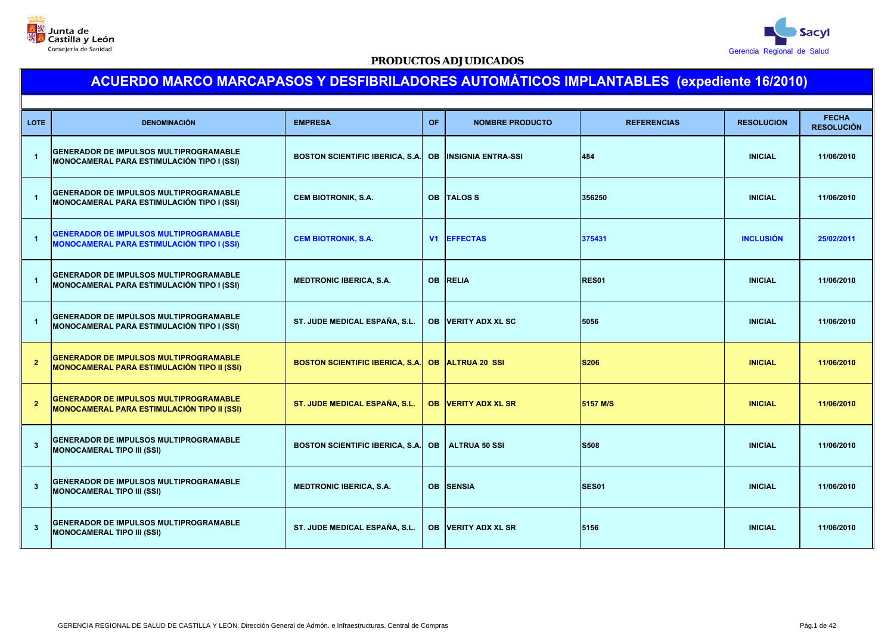



| <b>LOTE</b>             | <b>DENOMINACIÓN</b>                                                                                 | <b>EMPRESA</b>                                   | OF.       | <b>NOMBRE PRODUCTO</b>     | <b>REFERENCIAS</b> | <b>RESOLUCION</b> | <b>FECHA</b><br><b>RESOLUCIÓN</b> |
|-------------------------|-----------------------------------------------------------------------------------------------------|--------------------------------------------------|-----------|----------------------------|--------------------|-------------------|-----------------------------------|
| $\overline{1}$          | <b>GENERADOR DE IMPULSOS MULTIPROGRAMABLE</b><br>MONOCAMERAL PARA ESTIMULACIÓN TIPO I (SSI)         | <b>BOSTON SCIENTIFIC IBERICA, S.A.</b>           | <b>OB</b> | <b>IINSIGNIA ENTRA-SSI</b> | 484                | <b>INICIAL</b>    | 11/06/2010                        |
| $\overline{1}$          | <b>GENERADOR DE IMPULSOS MULTIPROGRAMABLE</b><br>MONOCAMERAL PARA ESTIMULACIÓN TIPO I (SSI)         | <b>CEM BIOTRONIK, S.A.</b>                       |           | OB TALOS S                 | 356250             | <b>INICIAL</b>    | 11/06/2010                        |
| $\overline{1}$          | <b>GENERADOR DE IMPULSOS MULTIPROGRAMABLE</b><br><b>MONOCAMERAL PARA ESTIMULACIÓN TIPO I (SSI)</b>  | <b>CEM BIOTRONIK, S.A.</b>                       | V1        | <b>EFFECTAS</b>            | 375431             | <b>INCLUSIÓN</b>  | 25/02/2011                        |
| $\overline{1}$          | <b>GENERADOR DE IMPULSOS MULTIPROGRAMABLE</b><br>MONOCAMERAL PARA ESTIMULACIÓN TIPO I (SSI)         | <b>MEDTRONIC IBERICA, S.A.</b>                   |           | <b>OB RELIA</b>            | <b>RES01</b>       | <b>INICIAL</b>    | 11/06/2010                        |
| $\overline{1}$          | <b>GENERADOR DE IMPULSOS MULTIPROGRAMABLE</b><br>MONOCAMERAL PARA ESTIMULACIÓN TIPO I (SSI)         | ST. JUDE MEDICAL ESPAÑA, S.L.                    |           | <b>OB VERITY ADX XL SC</b> | 5056               | <b>INICIAL</b>    | 11/06/2010                        |
| $\overline{2}$          | <b>GENERADOR DE IMPULSOS MULTIPROGRAMABLE</b><br><b>MONOCAMERAL PARA ESTIMULACIÓN TIPO II (SSI)</b> | BOSTON SCIENTIFIC IBERICA, S.A. OB ALTRUA 20 SSI |           |                            | <b>S206</b>        | <b>INICIAL</b>    | 11/06/2010                        |
| $\overline{2}$          | <b>GENERADOR DE IMPULSOS MULTIPROGRAMABLE</b><br><b>MONOCAMERAL PARA ESTIMULACIÓN TIPO II (SSI)</b> | ST. JUDE MEDICAL ESPAÑA, S.L.                    |           | <b>OB VERITY ADX XL SR</b> | 5157 M/S           | <b>INICIAL</b>    | 11/06/2010                        |
| $\overline{\mathbf{3}}$ | <b>GENERADOR DE IMPULSOS MULTIPROGRAMABLE</b><br><b>MONOCAMERAL TIPO III (SSI)</b>                  | <b>BOSTON SCIENTIFIC IBERICA, S.A.</b>           | <b>OB</b> | <b>ALTRUA 50 SSI</b>       | <b>S508</b>        | <b>INICIAL</b>    | 11/06/2010                        |
| $\overline{\mathbf{3}}$ | <b>GENERADOR DE IMPULSOS MULTIPROGRAMABLE</b><br><b>MONOCAMERAL TIPO III (SSI)</b>                  | <b>MEDTRONIC IBERICA, S.A.</b>                   |           | <b>OB SENSIA</b>           | SES <sub>01</sub>  | <b>INICIAL</b>    | 11/06/2010                        |
| $\overline{\mathbf{3}}$ | <b>GENERADOR DE IMPULSOS MULTIPROGRAMABLE</b><br><b>MONOCAMERAL TIPO III (SSI)</b>                  | ST. JUDE MEDICAL ESPAÑA, S.L.                    |           | <b>OB VERITY ADX XL SR</b> | 5156               | <b>INICIAL</b>    | 11/06/2010                        |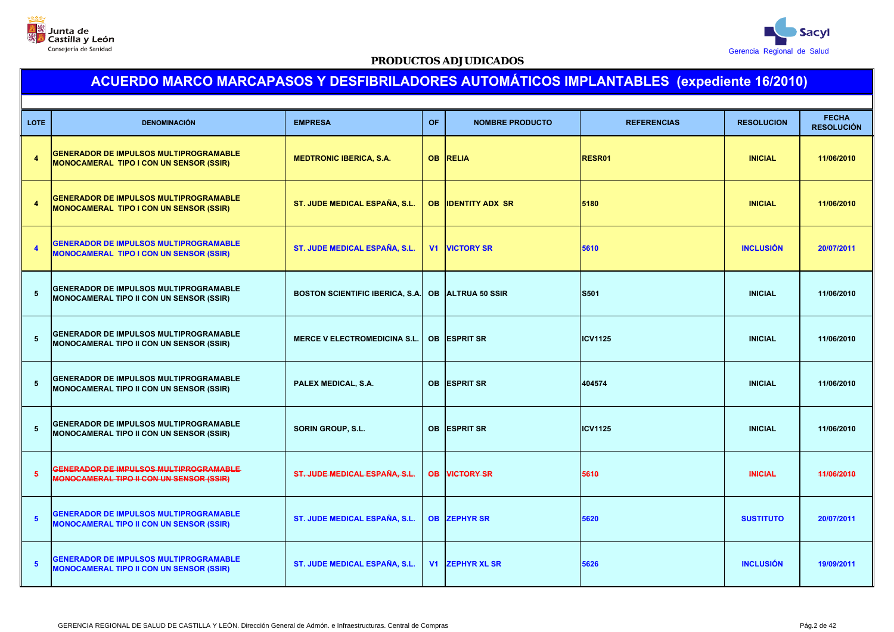



| <b>LOTE</b>     | <b>DENOMINACIÓN</b>                                                                              | <b>EMPRESA</b>                                    | <b>OF</b>      | <b>NOMBRE PRODUCTO</b> | <b>REFERENCIAS</b> | <b>RESOLUCION</b> | <b>FECHA</b><br><b>RESOLUCIÓN</b> |
|-----------------|--------------------------------------------------------------------------------------------------|---------------------------------------------------|----------------|------------------------|--------------------|-------------------|-----------------------------------|
| $\overline{A}$  | <b>GENERADOR DE IMPULSOS MULTIPROGRAMABLE</b><br><b>MONOCAMERAL TIPO I CON UN SENSOR (SSIR)</b>  | <b>MEDTRONIC IBERICA, S.A.</b>                    | <b>OB</b>      | <b>RELIA</b>           | RESR01             | <b>INICIAL</b>    | 11/06/2010                        |
| $\overline{A}$  | <b>GENERADOR DE IMPULSOS MULTIPROGRAMABLE</b><br><b>MONOCAMERAL TIPO I CON UN SENSOR (SSIR)</b>  | ST. JUDE MEDICAL ESPAÑA, S.L.                     | <b>OB</b>      | <b>IDENTITY ADX SR</b> | 5180               | <b>INICIAL</b>    | 11/06/2010                        |
| $\overline{a}$  | <b>GENERADOR DE IMPULSOS MULTIPROGRAMABLE</b><br><b>MONOCAMERAL TIPO I CON UN SENSOR (SSIR)</b>  | ST. JUDE MEDICAL ESPAÑA, S.L.                     | V <sub>1</sub> | <b>VICTORY SR</b>      | 5610               | <b>INCLUSIÓN</b>  | 20/07/2011                        |
| $5\phantom{.0}$ | <b>GENERADOR DE IMPULSOS MULTIPROGRAMABLE</b><br>MONOCAMERAL TIPO II CON UN SENSOR (SSIR)        | BOSTON SCIENTIFIC IBERICA, S.A. OB ALTRUA 50 SSIR |                |                        | S501               | <b>INICIAL</b>    | 11/06/2010                        |
| $5\phantom{.0}$ | <b>GENERADOR DE IMPULSOS MULTIPROGRAMABLE</b><br>MONOCAMERAL TIPO II CON UN SENSOR (SSIR)        | <b>MERCE V ELECTROMEDICINA S.L.</b>               | <b>OB</b>      | <b>ESPRIT SR</b>       | <b>ICV1125</b>     | <b>INICIAL</b>    | 11/06/2010                        |
| $5\phantom{.0}$ | <b>GENERADOR DE IMPULSOS MULTIPROGRAMABLE</b><br>MONOCAMERAL TIPO II CON UN SENSOR (SSIR)        | PALEX MEDICAL, S.A.                               | <b>OB</b>      | <b>ESPRIT SR</b>       | 404574             | <b>INICIAL</b>    | 11/06/2010                        |
| $5\phantom{.0}$ | <b>GENERADOR DE IMPULSOS MULTIPROGRAMABLE</b><br>MONOCAMERAL TIPO II CON UN SENSOR (SSIR)        | <b>SORIN GROUP, S.L.</b>                          | <b>OB</b>      | <b>ESPRIT SR</b>       | <b>ICV1125</b>     | <b>INICIAL</b>    | 11/06/2010                        |
| $5\overline{5}$ | GENERADOR DE IMPULSOS MULTIPROGRAMABLE<br><b>MONOCAMERAL TIPO II CON UN SENSOR (SSIR)</b>        | ST. JUDE MEDICAL ESPAÑA, S.L.                     |                | <b>OB VICTORY SR</b>   | 5610               | <b>INICIAL</b>    | 11/06/2010                        |
| $5\phantom{1}$  | <b>GENERADOR DE IMPULSOS MULTIPROGRAMABLE</b><br><b>MONOCAMERAL TIPO II CON UN SENSOR (SSIR)</b> | ST. JUDE MEDICAL ESPAÑA, S.L.                     |                | <b>OB ZEPHYR SR</b>    | 5620               | <b>SUSTITUTO</b>  | 20/07/2011                        |
| $5\phantom{1}$  | <b>GENERADOR DE IMPULSOS MULTIPROGRAMABLE</b><br><b>MONOCAMERAL TIPO II CON UN SENSOR (SSIR)</b> | ST. JUDE MEDICAL ESPAÑA, S.L.                     |                | <b>V1 ZEPHYR XL SR</b> | 5626               | <b>INCLUSIÓN</b>  | 19/09/2011                        |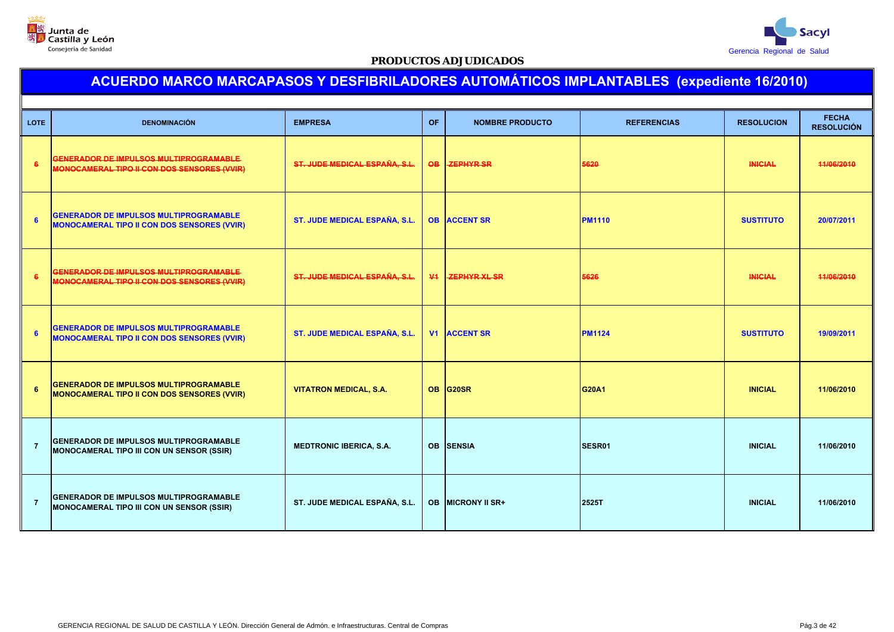



| <b>LOTE</b>    | <b>DENOMINACIÓN</b>                                                                                 | <b>EMPRESA</b>                 | <b>OF</b>      | <b>NOMBRE PRODUCTO</b>   | <b>REFERENCIAS</b> | <b>RESOLUCION</b> | <b>FECHA</b><br><b>RESOLUCIÓN</b> |
|----------------|-----------------------------------------------------------------------------------------------------|--------------------------------|----------------|--------------------------|--------------------|-------------------|-----------------------------------|
| 6              | <b>GENERADOR DE IMPULSOS MULTIPROGRAMABLE</b><br>MONOCAMERAL TIPO II CON DOS SENSORES (VVIR)        | ST. JUDE MEDICAL ESPAÑA, S.L.  | OB.            | <b>ZEPHYR SR</b>         | 5620               | <b>INICIAL</b>    | 11/06/2010                        |
| 6              | <b>GENERADOR DE IMPULSOS MULTIPROGRAMABLE</b><br><b>MONOCAMERAL TIPO II CON DOS SENSORES (VVIR)</b> | ST. JUDE MEDICAL ESPAÑA, S.L.  |                | <b>OB ACCENT SR</b>      | <b>PM1110</b>      | <b>SUSTITUTO</b>  | 20/07/2011                        |
| 6              | GENERADOR DE IMPULSOS MULTIPROGRAMABLE<br>MONOCAMERAL TIPO II CON DOS SENSORES (VVIR)               | ST. JUDE MEDICAL ESPAÑA, S.L.  | $\Psi$         | <b>ZEPHYR XL SR</b>      | 5626               | <b>INICIAL</b>    | 44/06/2010                        |
| 6              | <b>GENERADOR DE IMPULSOS MULTIPROGRAMABLE</b><br><b>MONOCAMERAL TIPO II CON DOS SENSORES (VVIR)</b> | ST. JUDE MEDICAL ESPAÑA, S.L.  | V <sub>1</sub> | <b>ACCENT SR</b>         | <b>PM1124</b>      | <b>SUSTITUTO</b>  | 19/09/2011                        |
| 6              | <b>GENERADOR DE IMPULSOS MULTIPROGRAMABLE</b><br><b>MONOCAMERAL TIPO II CON DOS SENSORES (VVIR)</b> | <b>VITATRON MEDICAL, S.A.</b>  |                | OB G20SR                 | G20A1              | <b>INICIAL</b>    | 11/06/2010                        |
| $\overline{7}$ | <b>GENERADOR DE IMPULSOS MULTIPROGRAMABLE</b><br><b>MONOCAMERAL TIPO III CON UN SENSOR (SSIR)</b>   | <b>MEDTRONIC IBERICA, S.A.</b> |                | <b>OB SENSIA</b>         | SESR01             | <b>INICIAL</b>    | 11/06/2010                        |
| $\overline{7}$ | <b>GENERADOR DE IMPULSOS MULTIPROGRAMABLE</b><br>MONOCAMERAL TIPO III CON UN SENSOR (SSIR)          | ST. JUDE MEDICAL ESPAÑA, S.L.  |                | <b>OB MICRONY II SR+</b> | 2525T              | <b>INICIAL</b>    | 11/06/2010                        |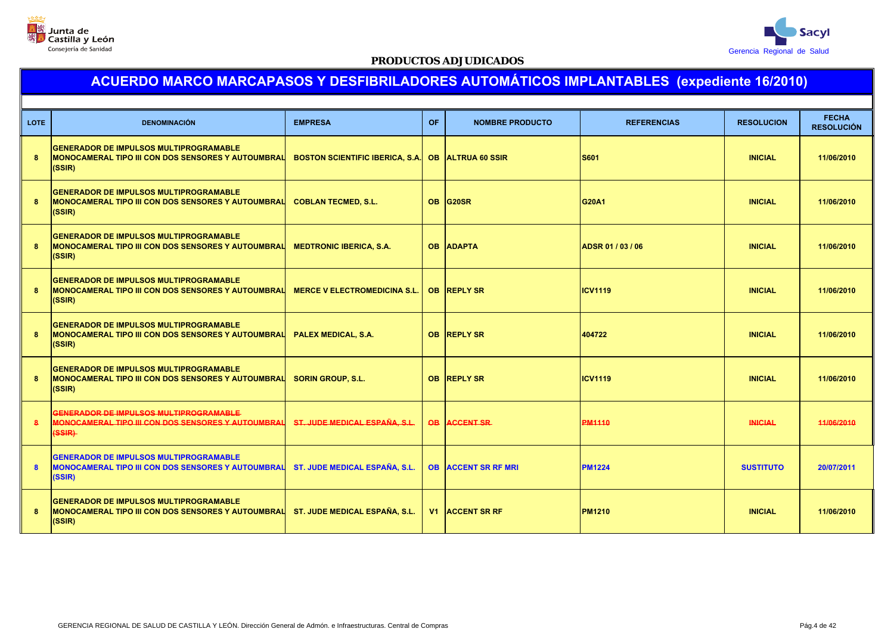



| <b>LOTE</b> | <b>DENOMINACIÓN</b>                                                                                                  | <b>EMPRESA</b>                         | OF. | <b>NOMBRE PRODUCTO</b>     | <b>REFERENCIAS</b> | <b>RESOLUCION</b> | <b>FECHA</b><br><b>RESOLUCIÓN</b> |
|-------------|----------------------------------------------------------------------------------------------------------------------|----------------------------------------|-----|----------------------------|--------------------|-------------------|-----------------------------------|
| 8           | <b>GENERADOR DE IMPULSOS MULTIPROGRAMABLE</b><br>MONOCAMERAL TIPO III CON DOS SENSORES Y AUTOUMBRAL<br>(SSIR)        | <b>BOSTON SCIENTIFIC IBERICA, S.A.</b> |     | <b>OB ALTRUA 60 SSIR</b>   | <b>S601</b>        | <b>INICIAL</b>    | 11/06/2010                        |
| 8           | <b>GENERADOR DE IMPULSOS MULTIPROGRAMABLE</b><br>MONOCAMERAL TIPO III CON DOS SENSORES Y AUTOUMBRAL<br>(SSIR)        | <b>COBLAN TECMED, S.L.</b>             |     | OB G20SR                   | <b>G20A1</b>       | <b>INICIAL</b>    | 11/06/2010                        |
| 8           | <b>GENERADOR DE IMPULSOS MULTIPROGRAMABLE</b><br>MONOCAMERAL TIPO III CON DOS SENSORES Y AUTOUMBRAL<br>(SSIR)        | <b>MEDTRONIC IBERICA, S.A.</b>         |     | <b>OB ADAPTA</b>           | ADSR 01 / 03 / 06  | <b>INICIAL</b>    | 11/06/2010                        |
| 8           | <b>GENERADOR DE IMPULSOS MULTIPROGRAMABLE</b><br><b>MONOCAMERAL TIPO III CON DOS SENSORES Y AUTOUMBRAL</b><br>(SSIR) | <b>MERCE V ELECTROMEDICINA S.L.</b>    |     | OB REPLY SR                | <b>ICV1119</b>     | <b>INICIAL</b>    | 11/06/2010                        |
| 8           | <b>GENERADOR DE IMPULSOS MULTIPROGRAMABLE</b><br>MONOCAMERAL TIPO III CON DOS SENSORES Y AUTOUMBRAL<br>(SSIR)        | <b>PALEX MEDICAL, S.A.</b>             |     | <b>OB REPLY SR</b>         | 404722             | <b>INICIAL</b>    | 11/06/2010                        |
| 8           | <b>GENERADOR DE IMPULSOS MULTIPROGRAMABLE</b><br>MONOCAMERAL TIPO III CON DOS SENSORES Y AUTOUMBRAL<br>(SSIR)        | <b>SORIN GROUP, S.L.</b>               |     | <b>OB REPLY SR</b>         | <b>ICV1119</b>     | <b>INICIAL</b>    | 11/06/2010                        |
| 8           | GENERADOR DE IMPULSOS MULTIPROGRAMABLE-<br><b>MONOCAMERAL TIPO III CON DOS SENSORES Y AUTOUMBRAL</b><br>$(SSIR)$     | ST. JUDE MEDICAL ESPAÑA, S.L.          |     | <b>OB ACCENT SR</b>        | <b>PM1110</b>      | <b>INICIAL</b>    | 44/06/2010                        |
| 8           | <b>GENERADOR DE IMPULSOS MULTIPROGRAMABLE</b><br><b>MONOCAMERAL TIPO III CON DOS SENSORES Y AUTOUMBRAL</b><br>(SSIR) | <b>ST. JUDE MEDICAL ESPAÑA, S.L.</b>   |     | <b>OB ACCENT SR RF MRI</b> | <b>PM1224</b>      | <b>SUSTITUTO</b>  | 20/07/2011                        |
| 8           | <b>GENERADOR DE IMPULSOS MULTIPROGRAMABLE</b><br>MONOCAMERAL TIPO III CON DOS SENSORES Y AUTOUMBRAL<br>(SSIR)        | <b>ST. JUDE MEDICAL ESPAÑA, S.L.</b>   |     | V1 ACCENT SR RF            | <b>PM1210</b>      | <b>INICIAL</b>    | 11/06/2010                        |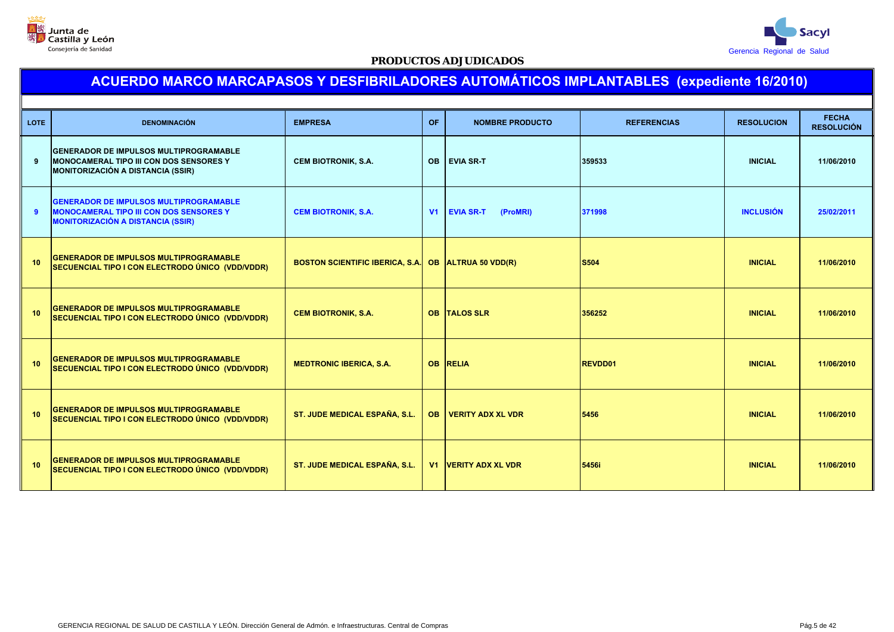



| <b>LOTE</b>     | <b>DENOMINACIÓN</b>                                                                                                                         | <b>EMPRESA</b>                         | <b>OF</b> | <b>NOMBRE PRODUCTO</b>       | <b>REFERENCIAS</b> | <b>RESOLUCION</b> | <b>FECHA</b><br><b>RESOLUCIÓN</b> |  |  |
|-----------------|---------------------------------------------------------------------------------------------------------------------------------------------|----------------------------------------|-----------|------------------------------|--------------------|-------------------|-----------------------------------|--|--|
| 9               | <b>GENERADOR DE IMPULSOS MULTIPROGRAMABLE</b><br><b>MONOCAMERAL TIPO III CON DOS SENSORES Y</b><br><b>MONITORIZACIÓN A DISTANCIA (SSIR)</b> | <b>CEM BIOTRONIK, S.A.</b>             | <b>OB</b> | <b>EVIA SR-T</b>             | 359533             | <b>INICIAL</b>    | 11/06/2010                        |  |  |
| 9               | <b>GENERADOR DE IMPULSOS MULTIPROGRAMABLE</b><br><b>MONOCAMERAL TIPO III CON DOS SENSORES Y</b><br><b>MONITORIZACIÓN A DISTANCIA (SSIR)</b> | <b>CEM BIOTRONIK, S.A.</b>             | V1        | <b>EVIA SR-T</b><br>(ProMRI) | 371998             | <b>INCLUSIÓN</b>  | 25/02/2011                        |  |  |
| 10 <sup>1</sup> | <b>GENERADOR DE IMPULSOS MULTIPROGRAMABLE</b><br>SECUENCIAL TIPO I CON ELECTRODO ÚNICO (VDD/VDDR)                                           | <b>BOSTON SCIENTIFIC IBERICA, S.A.</b> |           | OB ALTRUA 50 VDD(R)          | <b>S504</b>        | <b>INICIAL</b>    | 11/06/2010                        |  |  |
| 10 <sup>1</sup> | <b>GENERADOR DE IMPULSOS MULTIPROGRAMABLE</b><br>SECUENCIAL TIPO I CON ELECTRODO ÚNICO (VDD/VDDR)                                           | <b>CEM BIOTRONIK, S.A.</b>             |           | <b>OB TALOS SLR</b>          | 356252             | <b>INICIAL</b>    | 11/06/2010                        |  |  |
| 10              | <b>GENERADOR DE IMPULSOS MULTIPROGRAMABLE</b><br>SECUENCIAL TIPO I CON ELECTRODO ÚNICO (VDD/VDDR)                                           | <b>MEDTRONIC IBERICA, S.A.</b>         |           | <b>OB RELIA</b>              | <b>REVDD01</b>     | <b>INICIAL</b>    | 11/06/2010                        |  |  |
| 10 <sup>1</sup> | <b>GENERADOR DE IMPULSOS MULTIPROGRAMABLE</b><br>SECUENCIAL TIPO I CON ELECTRODO ÚNICO (VDD/VDDR)                                           | ST. JUDE MEDICAL ESPAÑA, S.L.          | <b>OB</b> | <b>VERITY ADX XL VDR</b>     | 5456               | <b>INICIAL</b>    | 11/06/2010                        |  |  |
| 10 <sup>1</sup> | <b>GENERADOR DE IMPULSOS MULTIPROGRAMABLE</b><br>SECUENCIAL TIPO I CON ELECTRODO ÚNICO (VDD/VDDR)                                           | ST. JUDE MEDICAL ESPAÑA, S.L.          |           | <b>V1 VERITY ADX XL VDR</b>  | 5456i              | <b>INICIAL</b>    | 11/06/2010                        |  |  |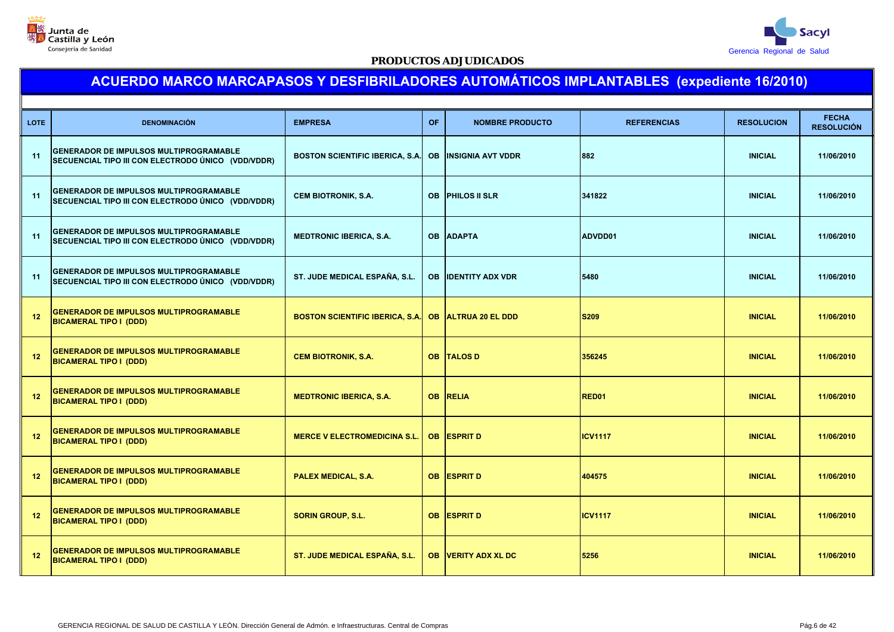



| <b>LOTE</b> | <b>DENOMINACIÓN</b>                                                                                 | <b>EMPRESA</b>                         | <b>OF</b> | <b>NOMBRE PRODUCTO</b>     | <b>REFERENCIAS</b> | <b>RESOLUCION</b> | <b>FECHA</b><br><b>RESOLUCIÓN</b> |
|-------------|-----------------------------------------------------------------------------------------------------|----------------------------------------|-----------|----------------------------|--------------------|-------------------|-----------------------------------|
| 11          | <b>GENERADOR DE IMPULSOS MULTIPROGRAMABLE</b><br>SECUENCIAL TIPO III CON ELECTRODO ÚNICO (VDD/VDDR) | <b>BOSTON SCIENTIFIC IBERICA, S.A.</b> | <b>OB</b> | <b>INSIGNIA AVT VDDR</b>   | 882                | <b>INICIAL</b>    | 11/06/2010                        |
| 11          | <b>GENERADOR DE IMPULSOS MULTIPROGRAMABLE</b><br>SECUENCIAL TIPO III CON ELECTRODO ÚNICO (VDD/VDDR) | <b>CEM BIOTRONIK, S.A.</b>             | <b>OB</b> | <b>PHILOS II SLR</b>       | 341822             | <b>INICIAL</b>    | 11/06/2010                        |
| 11          | <b>GENERADOR DE IMPULSOS MULTIPROGRAMABLE</b><br>SECUENCIAL TIPO III CON ELECTRODO ÚNICO (VDD/VDDR) | <b>MEDTRONIC IBERICA, S.A.</b>         | <b>OB</b> | <b>ADAPTA</b>              | ADVDD01            | <b>INICIAL</b>    | 11/06/2010                        |
| 11          | <b>GENERADOR DE IMPULSOS MULTIPROGRAMABLE</b><br>SECUENCIAL TIPO III CON ELECTRODO ÚNICO (VDD/VDDR) | ST. JUDE MEDICAL ESPAÑA, S.L.          | <b>OB</b> | <b>IDENTITY ADX VDR</b>    | 5480               | <b>INICIAL</b>    | 11/06/2010                        |
| 12          | <b>GENERADOR DE IMPULSOS MULTIPROGRAMABLE</b><br><b>BICAMERAL TIPO I (DDD)</b>                      | <b>BOSTON SCIENTIFIC IBERICA, S.A.</b> | <b>OB</b> | <b>ALTRUA 20 EL DDD</b>    | <b>S209</b>        | <b>INICIAL</b>    | 11/06/2010                        |
| 12          | <b>GENERADOR DE IMPULSOS MULTIPROGRAMABLE</b><br><b>BICAMERAL TIPO I (DDD)</b>                      | <b>CEM BIOTRONIK, S.A.</b>             | <b>OB</b> | <b>TALOS D</b>             | 356245             | <b>INICIAL</b>    | 11/06/2010                        |
| 12          | <b>GENERADOR DE IMPULSOS MULTIPROGRAMABLE</b><br><b>BICAMERAL TIPO I (DDD)</b>                      | <b>MEDTRONIC IBERICA, S.A.</b>         | <b>OB</b> | <b>RELIA</b>               | <b>RED01</b>       | <b>INICIAL</b>    | 11/06/2010                        |
| 12          | <b>GENERADOR DE IMPULSOS MULTIPROGRAMABLE</b><br><b>BICAMERAL TIPO I (DDD)</b>                      | <b>MERCE V ELECTROMEDICINA S.L.</b>    | <b>OB</b> | <b>ESPRIT D</b>            | <b>ICV1117</b>     | <b>INICIAL</b>    | 11/06/2010                        |
| 12          | <b>GENERADOR DE IMPULSOS MULTIPROGRAMABLE</b><br><b>BICAMERAL TIPO I (DDD)</b>                      | PALEX MEDICAL, S.A.                    | <b>OB</b> | <b>ESPRIT D</b>            | 404575             | <b>INICIAL</b>    | 11/06/2010                        |
| 12          | <b>GENERADOR DE IMPULSOS MULTIPROGRAMABLE</b><br><b>BICAMERAL TIPO I (DDD)</b>                      | <b>SORIN GROUP, S.L.</b>               |           | OB ESPRIT D                | <b>ICV1117</b>     | <b>INICIAL</b>    | 11/06/2010                        |
| 12          | <b>GENERADOR DE IMPULSOS MULTIPROGRAMABLE</b><br><b>BICAMERAL TIPO I (DDD)</b>                      | ST. JUDE MEDICAL ESPAÑA, S.L.          |           | <b>OB VERITY ADX XL DC</b> | 5256               | <b>INICIAL</b>    | 11/06/2010                        |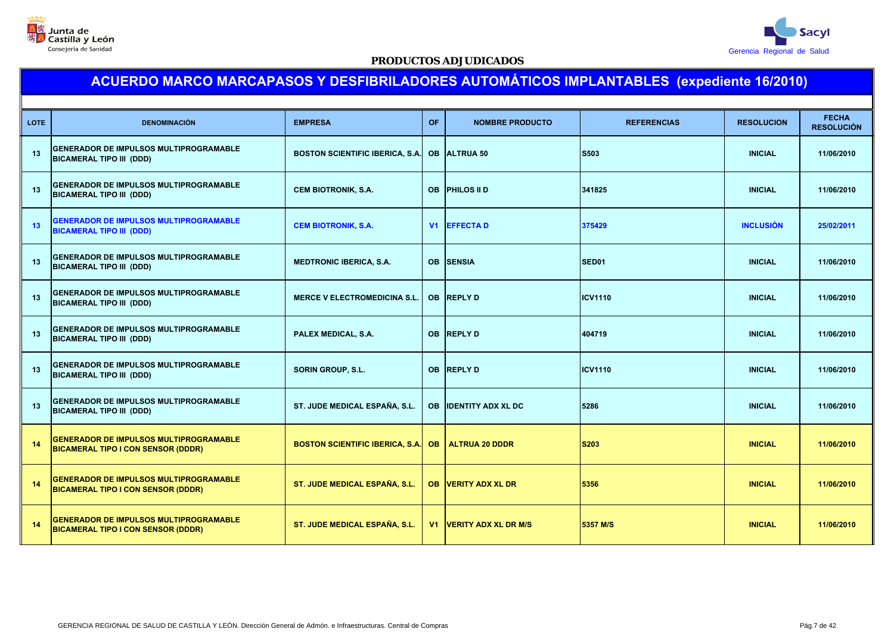



| <b>LOTE</b> | <b>DENOMINACIÓN</b>                                                                        | <b>EMPRESA</b>                         | OF        | <b>NOMBRE PRODUCTO</b>         | <b>REFERENCIAS</b> | <b>RESOLUCION</b> | <b>FECHA</b><br><b>RESOLUCIÓN</b> |
|-------------|--------------------------------------------------------------------------------------------|----------------------------------------|-----------|--------------------------------|--------------------|-------------------|-----------------------------------|
| 13          | <b>GENERADOR DE IMPULSOS MULTIPROGRAMABLE</b><br><b>BICAMERAL TIPO III (DDD)</b>           | <b>BOSTON SCIENTIFIC IBERICA, S.A.</b> | <b>OB</b> | <b>ALTRUA 50</b>               | S503               | <b>INICIAL</b>    | 11/06/2010                        |
| 13          | <b>GENERADOR DE IMPULSOS MULTIPROGRAMABLE</b><br><b>BICAMERAL TIPO III (DDD)</b>           | <b>CEM BIOTRONIK, S.A.</b>             | <b>OB</b> | <b>PHILOS II D</b>             | 341825             | <b>INICIAL</b>    | 11/06/2010                        |
| 13          | <b>GENERADOR DE IMPULSOS MULTIPROGRAMABLE</b><br><b>BICAMERAL TIPO III (DDD)</b>           | <b>CEM BIOTRONIK, S.A.</b>             | V1        | <b>EFFECTAD</b>                | 375429             | <b>INCLUSIÓN</b>  | 25/02/2011                        |
| 13          | <b>GENERADOR DE IMPULSOS MULTIPROGRAMABLE</b><br><b>BICAMERAL TIPO III (DDD)</b>           | <b>MEDTRONIC IBERICA, S.A.</b>         | <b>OB</b> | <b>SENSIA</b>                  | SED <sub>01</sub>  | <b>INICIAL</b>    | 11/06/2010                        |
| 13          | <b>GENERADOR DE IMPULSOS MULTIPROGRAMABLE</b><br><b>BICAMERAL TIPO III (DDD)</b>           | <b>MERCE V ELECTROMEDICINA S.L.</b>    | <b>OB</b> | <b>REPLY D</b>                 | <b>ICV1110</b>     | <b>INICIAL</b>    | 11/06/2010                        |
| 13          | <b>GENERADOR DE IMPULSOS MULTIPROGRAMABLE</b><br><b>BICAMERAL TIPO III (DDD)</b>           | PALEX MEDICAL, S.A.                    | <b>OB</b> | <b>REPLYD</b>                  | 404719             | <b>INICIAL</b>    | 11/06/2010                        |
| 13          | <b>GENERADOR DE IMPULSOS MULTIPROGRAMABLE</b><br><b>BICAMERAL TIPO III (DDD)</b>           | <b>SORIN GROUP, S.L.</b>               | <b>OB</b> | <b>REPLY D</b>                 | <b>ICV1110</b>     | <b>INICIAL</b>    | 11/06/2010                        |
| 13          | <b>GENERADOR DE IMPULSOS MULTIPROGRAMABLE</b><br><b>BICAMERAL TIPO III (DDD)</b>           | ST. JUDE MEDICAL ESPAÑA, S.L.          | <b>OB</b> | <b>IDENTITY ADX XL DC</b>      | 5286               | <b>INICIAL</b>    | 11/06/2010                        |
| 14          | <b>GENERADOR DE IMPULSOS MULTIPROGRAMABLE</b><br><b>BICAMERAL TIPO I CON SENSOR (DDDR)</b> | <b>BOSTON SCIENTIFIC IBERICA, S.A.</b> | <b>OB</b> | <b>ALTRUA 20 DDDR</b>          | <b>S203</b>        | <b>INICIAL</b>    | 11/06/2010                        |
| 14          | <b>GENERADOR DE IMPULSOS MULTIPROGRAMABLE</b><br><b>BICAMERAL TIPO I CON SENSOR (DDDR)</b> | ST. JUDE MEDICAL ESPAÑA, S.L.          | <b>OB</b> | <b>VERITY ADX XL DR</b>        | 5356               | <b>INICIAL</b>    | 11/06/2010                        |
| 14          | <b>GENERADOR DE IMPULSOS MULTIPROGRAMABLE</b><br><b>BICAMERAL TIPO I CON SENSOR (DDDR)</b> | ST. JUDE MEDICAL ESPAÑA, S.L.          |           | <b>V1 VERITY ADX XL DR M/S</b> | 5357 M/S           | <b>INICIAL</b>    | 11/06/2010                        |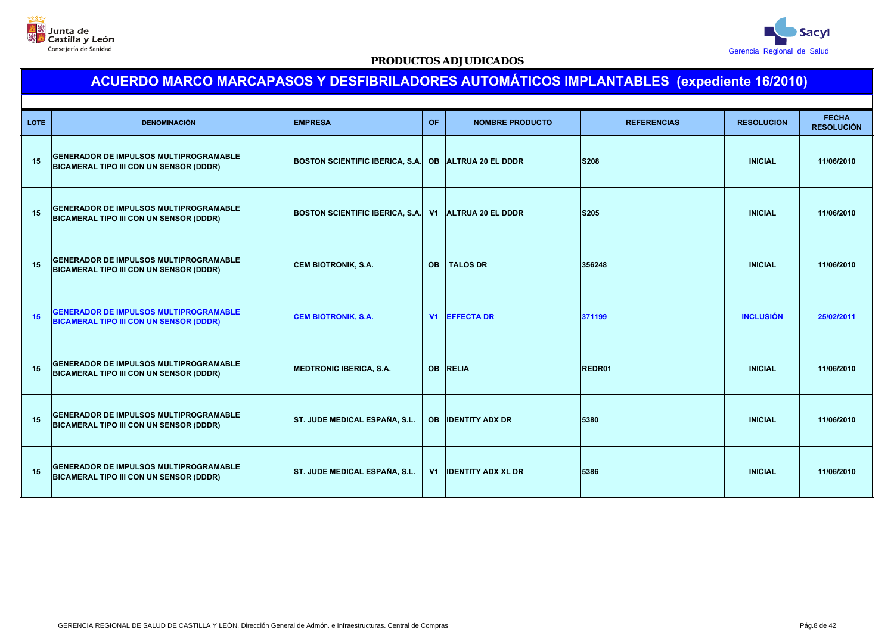



| <b>LOTE</b> | <b>DENOMINACIÓN</b>                                                                             | <b>EMPRESA</b>                                       | OF.            | <b>NOMBRE PRODUCTO</b>    | <b>REFERENCIAS</b> | <b>RESOLUCION</b> | <b>FECHA</b><br><b>RESOLUCIÓN</b> |
|-------------|-------------------------------------------------------------------------------------------------|------------------------------------------------------|----------------|---------------------------|--------------------|-------------------|-----------------------------------|
| 15          | <b>GENERADOR DE IMPULSOS MULTIPROGRAMABLE</b><br>BICAMERAL TIPO III CON UN SENSOR (DDDR)        | BOSTON SCIENTIFIC IBERICA, S.A. OB ALTRUA 20 EL DDDR |                |                           | <b>S208</b>        | <b>INICIAL</b>    | 11/06/2010                        |
| 15          | GENERADOR DE IMPULSOS MULTIPROGRAMABLE<br>BICAMERAL TIPO III CON UN SENSOR (DDDR)               | <b>BOSTON SCIENTIFIC IBERICA, S.A.</b>               |                | V1 ALTRUA 20 EL DDDR      | <b>S205</b>        | <b>INICIAL</b>    | 11/06/2010                        |
| 15          | GENERADOR DE IMPULSOS MULTIPROGRAMABLE<br><b>BICAMERAL TIPO III CON UN SENSOR (DDDR)</b>        | <b>CEM BIOTRONIK, S.A.</b>                           | <b>OB</b>      | <b>TALOS DR</b>           | 356248             | <b>INICIAL</b>    | 11/06/2010                        |
| 15          | <b>GENERADOR DE IMPULSOS MULTIPROGRAMABLE</b><br><b>BICAMERAL TIPO III CON UN SENSOR (DDDR)</b> | <b>CEM BIOTRONIK, S.A.</b>                           |                | <b>V1 EFFECTA DR</b>      | 371199             | <b>INCLUSIÓN</b>  | 25/02/2011                        |
| 15          | <b>GENERADOR DE IMPULSOS MULTIPROGRAMABLE</b><br><b>BICAMERAL TIPO III CON UN SENSOR (DDDR)</b> | <b>MEDTRONIC IBERICA, S.A.</b>                       |                | <b>OB RELIA</b>           | REDR01             | <b>INICIAL</b>    | 11/06/2010                        |
| 15          | <b>GENERADOR DE IMPULSOS MULTIPROGRAMABLE</b><br><b>BICAMERAL TIPO III CON UN SENSOR (DDDR)</b> | ST. JUDE MEDICAL ESPAÑA, S.L.                        | <b>OB</b>      | <b>IDENTITY ADX DR</b>    | 5380               | <b>INICIAL</b>    | 11/06/2010                        |
| 15          | <b>GENERADOR DE IMPULSOS MULTIPROGRAMABLE</b><br><b>BICAMERAL TIPO III CON UN SENSOR (DDDR)</b> | ST. JUDE MEDICAL ESPAÑA, S.L.                        | V <sub>1</sub> | <b>IDENTITY ADX XL DR</b> | 5386               | <b>INICIAL</b>    | 11/06/2010                        |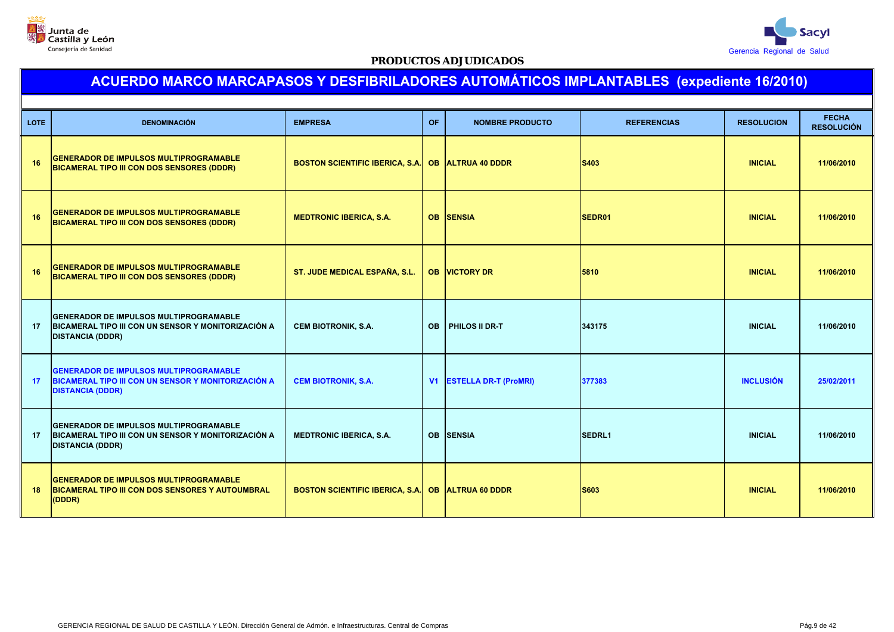



| <b>LOTE</b> | <b>DENOMINACIÓN</b>                                                                                                             | <b>EMPRESA</b>                                    | <b>OF</b>      | <b>NOMBRE PRODUCTO</b>       | <b>REFERENCIAS</b> | <b>RESOLUCION</b> | <b>FECHA</b><br><b>RESOLUCIÓN</b> |
|-------------|---------------------------------------------------------------------------------------------------------------------------------|---------------------------------------------------|----------------|------------------------------|--------------------|-------------------|-----------------------------------|
| 16          | <b>GENERADOR DE IMPULSOS MULTIPROGRAMABLE</b><br>BICAMERAL TIPO III CON DOS SENSORES (DDDR)                                     | BOSTON SCIENTIFIC IBERICA, S.A. OB ALTRUA 40 DDDR |                |                              | S403               | <b>INICIAL</b>    | 11/06/2010                        |
| 16          | <b>GENERADOR DE IMPULSOS MULTIPROGRAMABLE</b><br>BICAMERAL TIPO III CON DOS SENSORES (DDDR)                                     | <b>MEDTRONIC IBERICA, S.A.</b>                    |                | OB SENSIA                    | SEDR01             | <b>INICIAL</b>    | 11/06/2010                        |
| 16          | <b>GENERADOR DE IMPULSOS MULTIPROGRAMABLE</b><br>BICAMERAL TIPO III CON DOS SENSORES (DDDR)                                     | ST. JUDE MEDICAL ESPAÑA, S.L.                     |                | <b>OB VICTORY DR</b>         | 5810               | <b>INICIAL</b>    | 11/06/2010                        |
| 17          | <b>GENERADOR DE IMPULSOS MULTIPROGRAMABLE</b><br>BICAMERAL TIPO III CON UN SENSOR Y MONITORIZACIÓN A<br><b>DISTANCIA (DDDR)</b> | <b>CEM BIOTRONIK, S.A.</b>                        | <b>OB</b>      | PHILOS II DR-T               | 343175             | <b>INICIAL</b>    | 11/06/2010                        |
| 17          | <b>GENERADOR DE IMPULSOS MULTIPROGRAMABLE</b><br>BICAMERAL TIPO III CON UN SENSOR Y MONITORIZACIÓN A<br><b>DISTANCIA (DDDR)</b> | <b>CEM BIOTRONIK, S.A.</b>                        | V <sub>1</sub> | <b>ESTELLA DR-T (ProMRI)</b> | 377383             | <b>INCLUSIÓN</b>  | 25/02/2011                        |
| 17          | <b>GENERADOR DE IMPULSOS MULTIPROGRAMABLE</b><br>BICAMERAL TIPO III CON UN SENSOR Y MONITORIZACIÓN A<br><b>DISTANCIA (DDDR)</b> | <b>MEDTRONIC IBERICA, S.A.</b>                    |                | <b>OB SENSIA</b>             | <b>SEDRL1</b>      | <b>INICIAL</b>    | 11/06/2010                        |
| 18          | <b>GENERADOR DE IMPULSOS MULTIPROGRAMABLE</b><br>BICAMERAL TIPO III CON DOS SENSORES Y AUTOUMBRAL<br>(DDDR)                     | BOSTON SCIENTIFIC IBERICA, S.A. OB ALTRUA 60 DDDR |                |                              | <b>S603</b>        | <b>INICIAL</b>    | 11/06/2010                        |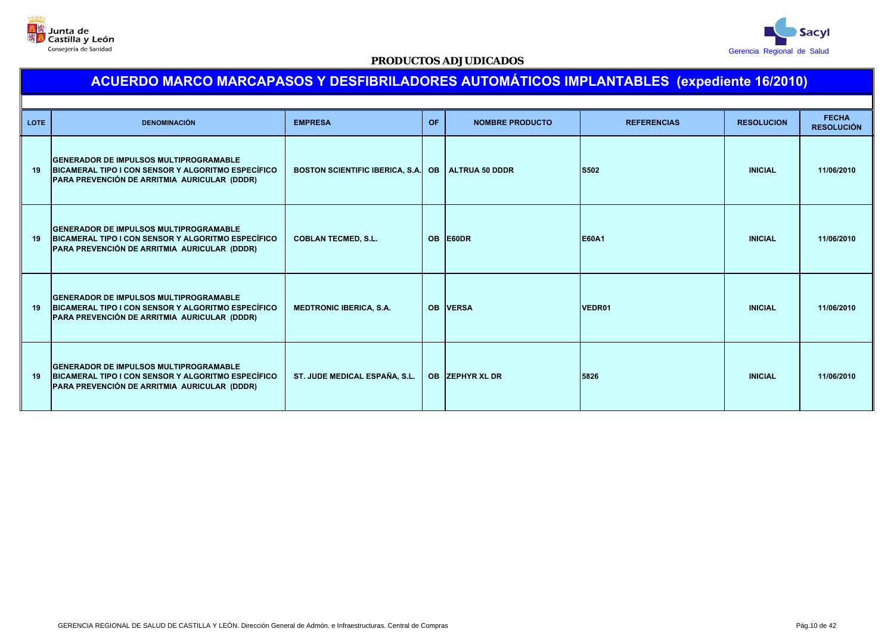



| <b>LOTE</b> | <b>DENOMINACIÓN</b>                                                                                                                                  | <b>EMPRESA</b>                         | <b>OF</b> | <b>NOMBRE PRODUCTO</b> | <b>REFERENCIAS</b> | <b>RESOLUCION</b> | <b>FECHA</b><br><b>RESOLUCIÓN</b> |
|-------------|------------------------------------------------------------------------------------------------------------------------------------------------------|----------------------------------------|-----------|------------------------|--------------------|-------------------|-----------------------------------|
| 19          | <b>GENERADOR DE IMPULSOS MULTIPROGRAMABLE</b><br>BICAMERAL TIPO I CON SENSOR Y ALGORITMO ESPECÍFICO<br>PARA PREVENCIÓN DE ARRITMIA AURICULAR (DDDR)  | <b>BOSTON SCIENTIFIC IBERICA, S.A.</b> | <b>OB</b> | <b>ALTRUA 50 DDDR</b>  | <b>S502</b>        | <b>INICIAL</b>    | 11/06/2010                        |
| 19          | <b>GENERADOR DE IMPULSOS MULTIPROGRAMABLE</b><br>BICAMERAL TIPO I CON SENSOR Y ALGORITMO ESPECÍFICO<br>PARA PREVENCIÓN DE ARRITMIA AURICULAR (DDDR)  | <b>COBLAN TECMED, S.L.</b>             | <b>OB</b> | <b>E60DR</b>           | <b>E60A1</b>       | <b>INICIAL</b>    | 11/06/2010                        |
| 19          | <b>IGENERADOR DE IMPULSOS MULTIPROGRAMABLE</b><br>BICAMERAL TIPO I CON SENSOR Y ALGORITMO ESPECÍFICO<br>PARA PREVENCIÓN DE ARRITMIA AURICULAR (DDDR) | <b>MEDTRONIC IBERICA, S.A.</b>         | <b>OB</b> | <b>VERSA</b>           | VEDR01             | <b>INICIAL</b>    | 11/06/2010                        |
| 19          | <b>GENERADOR DE IMPULSOS MULTIPROGRAMABLE</b><br>BICAMERAL TIPO I CON SENSOR Y ALGORITMO ESPECÍFICO<br>PARA PREVENCIÓN DE ARRITMIA AURICULAR (DDDR)  | ST. JUDE MEDICAL ESPAÑA, S.L.          |           | OB ZEPHYR XL DR        | 5826               | <b>INICIAL</b>    | 11/06/2010                        |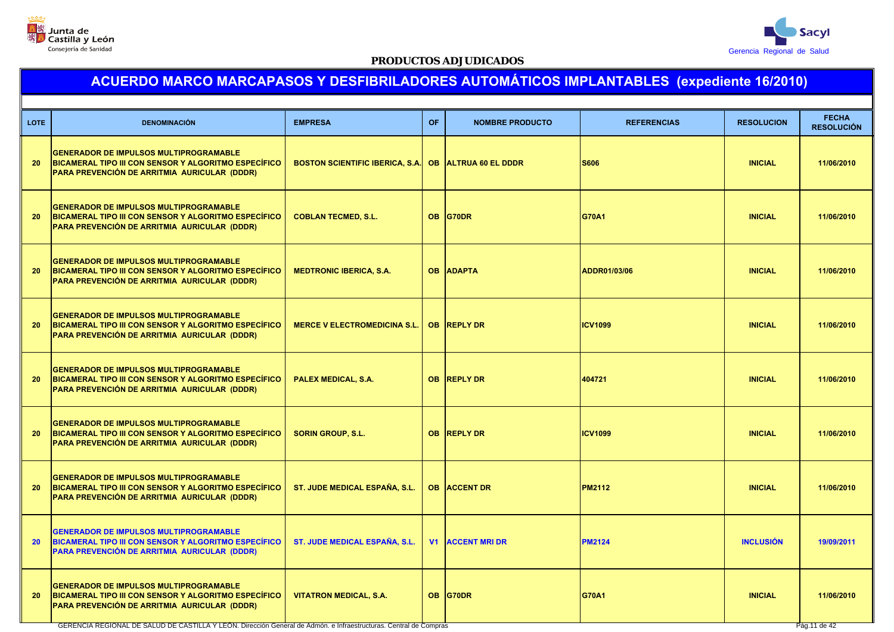



# **ACUERDO MARCO MARCAPASOS Y DESFIBRILADORES AUTOMÁTICOS IMPLANTABLES (expediente 16/2010)**

| <b>LOTE</b> | <b>DENOMINACIÓN</b>                                                                                                                                   | <b>EMPRESA</b>                                       | OF.       | <b>NOMBRE PRODUCTO</b>  | <b>REFERENCIAS</b> | <b>RESOLUCION</b> | <b>FECHA</b><br><b>RESOLUCIÓN</b> |
|-------------|-------------------------------------------------------------------------------------------------------------------------------------------------------|------------------------------------------------------|-----------|-------------------------|--------------------|-------------------|-----------------------------------|
| 20          | <b>GENERADOR DE IMPULSOS MULTIPROGRAMABLE</b><br>BICAMERAL TIPO III CON SENSOR Y ALGORITMO ESPECÍFICO<br>PARA PREVENCIÓN DE ARRITMIA AURICULAR (DDDR) | BOSTON SCIENTIFIC IBERICA, S.A. OB ALTRUA 60 EL DDDR |           |                         | <b>S606</b>        | <b>INICIAL</b>    | 11/06/2010                        |
| 20          | <b>GENERADOR DE IMPULSOS MULTIPROGRAMABLE</b><br>BICAMERAL TIPO III CON SENSOR Y ALGORITMO ESPECÍFICO<br>PARA PREVENCIÓN DE ARRITMIA AURICULAR (DDDR) | <b>COBLAN TECMED, S.L.</b>                           | <b>OB</b> | <b>G70DR</b>            | G70A1              | <b>INICIAL</b>    | 11/06/2010                        |
| 20          | <b>GENERADOR DE IMPULSOS MULTIPROGRAMABLE</b><br>BICAMERAL TIPO III CON SENSOR Y ALGORITMO ESPECÍFICO<br>PARA PREVENCIÓN DE ARRITMIA AURICULAR (DDDR) | <b>MEDTRONIC IBERICA, S.A.</b>                       |           | <b>OB ADAPTA</b>        | ADDR01/03/06       | <b>INICIAL</b>    | 11/06/2010                        |
| 20          | <b>GENERADOR DE IMPULSOS MULTIPROGRAMABLE</b><br>BICAMERAL TIPO III CON SENSOR Y ALGORITMO ESPECÍFICO<br>PARA PREVENCIÓN DE ARRITMIA AURICULAR (DDDR) | <b>MERCE V ELECTROMEDICINA S.L.</b>                  |           | OB REPLY DR             | <b>ICV1099</b>     | <b>INICIAL</b>    | 11/06/2010                        |
| 20          | <b>GENERADOR DE IMPULSOS MULTIPROGRAMABLE</b><br>BICAMERAL TIPO III CON SENSOR Y ALGORITMO ESPECÍFICO<br>PARA PREVENCIÓN DE ARRITMIA AURICULAR (DDDR) | PALEX MEDICAL, S.A.                                  |           | OB REPLY DR             | 404721             | <b>INICIAL</b>    | 11/06/2010                        |
| 20          | <b>GENERADOR DE IMPULSOS MULTIPROGRAMABLE</b><br>BICAMERAL TIPO III CON SENSOR Y ALGORITMO ESPECÍFICO<br>PARA PREVENCIÓN DE ARRITMIA AURICULAR (DDDR) | <b>SORIN GROUP, S.L.</b>                             |           | <b>OB REPLY DR</b>      | <b>ICV1099</b>     | <b>INICIAL</b>    | 11/06/2010                        |
| 20          | <b>GENERADOR DE IMPULSOS MULTIPROGRAMABLE</b><br>BICAMERAL TIPO III CON SENSOR Y ALGORITMO ESPECÍFICO<br>PARA PREVENCIÓN DE ARRITMIA AURICULAR (DDDR) | ST. JUDE MEDICAL ESPAÑA, S.L.                        |           | <b>OB ACCENT DR</b>     | <b>PM2112</b>      | <b>INICIAL</b>    | 11/06/2010                        |
| 20          | <b>GENERADOR DE IMPULSOS MULTIPROGRAMABLE</b><br>BICAMERAL TIPO III CON SENSOR Y ALGORITMO ESPECÍFICO<br>PARA PREVENCIÓN DE ARRITMIA AURICULAR (DDDR) | ST. JUDE MEDICAL ESPAÑA, S.L.                        |           | <b>V1 ACCENT MRI DR</b> | <b>PM2124</b>      | <b>INCLUSIÓN</b>  | 19/09/2011                        |
| 20          | <b>GENERADOR DE IMPULSOS MULTIPROGRAMABLE</b><br>BICAMERAL TIPO III CON SENSOR Y ALGORITMO ESPECÍFICO<br>PARA PREVENCIÓN DE ARRITMIA AURICULAR (DDDR) | <b>VITATRON MEDICAL, S.A.</b>                        | <b>OB</b> | <b>G70DR</b>            | <b>G70A1</b>       | <b>INICIAL</b>    | 11/06/2010                        |

GERENCIA REGIONAL DE SALUD DE CASTILLA Y LEÓN. Dirección General de Admón. e Infraestructuras. Central de Compras Pág.11 de Compras Pág.11 de 12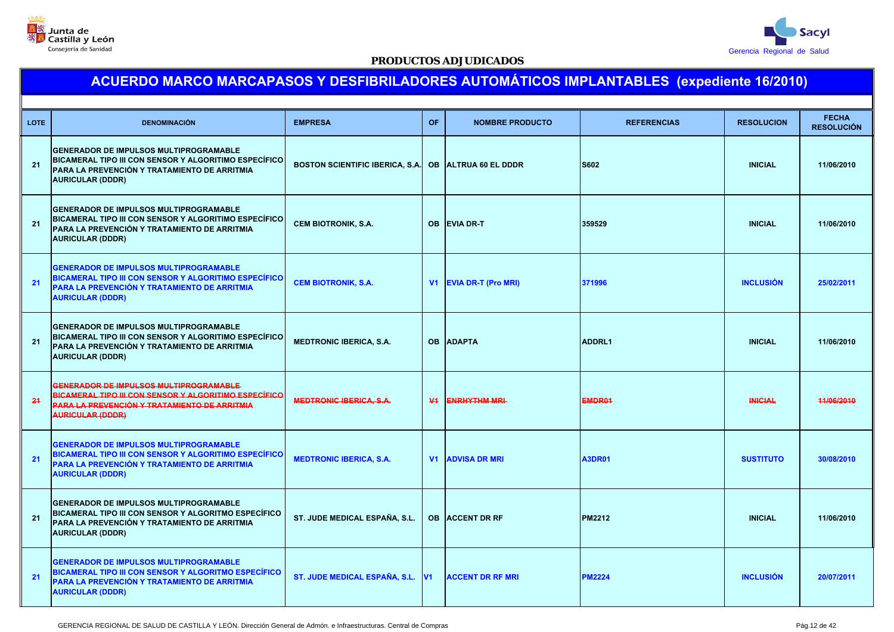



| <b>LOTE</b> | <b>DENOMINACIÓN</b>                                                                                                                                                               | <b>EMPRESA</b>                         | <b>OF</b>      | <b>NOMBRE PRODUCTO</b>      | <b>REFERENCIAS</b> | <b>RESOLUCION</b> | <b>FECHA</b><br><b>RESOLUCIÓN</b> |
|-------------|-----------------------------------------------------------------------------------------------------------------------------------------------------------------------------------|----------------------------------------|----------------|-----------------------------|--------------------|-------------------|-----------------------------------|
| 21          | <b>GENERADOR DE IMPULSOS MULTIPROGRAMABLE</b><br>BICAMERAL TIPO III CON SENSOR Y ALGORITIMO ESPECÍFICO<br>PARA LA PREVENCIÓN Y TRATAMIENTO DE ARRITMIA<br><b>AURICULAR (DDDR)</b> | <b>BOSTON SCIENTIFIC IBERICA, S.A.</b> |                | <b>OB ALTRUA 60 EL DDDR</b> | <b>S602</b>        | <b>INICIAL</b>    | 11/06/2010                        |
| 21          | <b>GENERADOR DE IMPULSOS MULTIPROGRAMABLE</b><br>BICAMERAL TIPO III CON SENSOR Y ALGORITIMO ESPECÍFICO<br>PARA LA PREVENCIÓN Y TRATAMIENTO DE ARRITMIA<br><b>AURICULAR (DDDR)</b> | <b>CEM BIOTRONIK, S.A.</b>             | OB.            | <b>EVIA DR-T</b>            | 359529             | <b>INICIAL</b>    | 11/06/2010                        |
| 21          | <b>GENERADOR DE IMPULSOS MULTIPROGRAMABLE</b><br>BICAMERAL TIPO III CON SENSOR Y ALGORITIMO ESPECÍFICO<br>PARA LA PREVENCIÓN Y TRATAMIENTO DE ARRITMIA<br><b>AURICULAR (DDDR)</b> | <b>CEM BIOTRONIK, S.A.</b>             |                | V1 EVIA DR-T (Pro MRI)      | 371996             | <b>INCLUSIÓN</b>  | 25/02/2011                        |
| 21          | <b>GENERADOR DE IMPULSOS MULTIPROGRAMABLE</b><br>BICAMERAL TIPO III CON SENSOR Y ALGORITIMO ESPECÍFICO<br>PARA LA PREVENCIÓN Y TRATAMIENTO DE ARRITMIA<br><b>AURICULAR (DDDR)</b> | <b>MEDTRONIC IBERICA, S.A.</b>         | <b>OB</b>      | <b>ADAPTA</b>               | <b>ADDRL1</b>      | <b>INICIAL</b>    | 11/06/2010                        |
| 24          | GENERADOR DE IMPULSOS MULTIPROGRAMABLE<br>BICAMERAL TIPO III CON SENSOR Y ALGORITIMO ESPECÍFICO<br><u>PARA LA PREVENCIÓN Y TRATAMIENTO DE ARRITMIA</u><br><b>AURICULAR (DDDR)</b> | <b>MEDTRONIC IBERICA, S.A.</b>         | $\Psi$         | <b>ENRHYTHM MRI-</b>        | EMDR01             | <b>INICIAL</b>    | 44/06/2010                        |
| 21          | <b>GENERADOR DE IMPULSOS MULTIPROGRAMABLE</b><br>BICAMERAL TIPO III CON SENSOR Y ALGORITIMO ESPECÍFICO<br>PARA LA PREVENCIÓN Y TRATAMIENTO DE ARRITMIA<br><b>AURICULAR (DDDR)</b> | <b>MEDTRONIC IBERICA, S.A.</b>         |                | <b>V1 ADVISA DR MRI</b>     | <b>A3DR01</b>      | <b>SUSTITUTO</b>  | 30/08/2010                        |
| 21          | GENERADOR DE IMPULSOS MULTIPROGRAMABLE<br>BICAMERAL TIPO III CON SENSOR Y ALGORITMO ESPECÍFICO<br>PARA LA PREVENCIÓN Y TRATAMIENTO DE ARRITMIA<br><b>AURICULAR (DDDR)</b>         | ST. JUDE MEDICAL ESPAÑA, S.L.          | <b>OB</b>      | <b>ACCENT DR RF</b>         | <b>PM2212</b>      | <b>INICIAL</b>    | 11/06/2010                        |
| 21          | <b>GENERADOR DE IMPULSOS MULTIPROGRAMABLE</b><br>BICAMERAL TIPO III CON SENSOR Y ALGORITMO ESPECÍFICO<br>PARA LA PREVENCIÓN Y TRATAMIENTO DE ARRITMIA<br><b>AURICULAR (DDDR)</b>  | ST. JUDE MEDICAL ESPAÑA, S.L.          | V <sub>1</sub> | <b>ACCENT DR RF MRI</b>     | <b>PM2224</b>      | <b>INCLUSIÓN</b>  | 20/07/2011                        |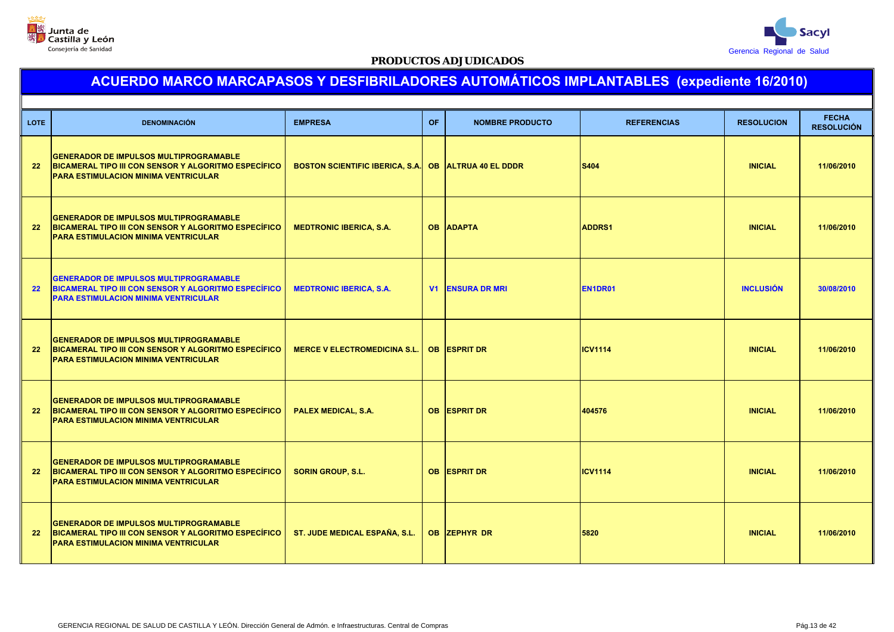



| <b>LOTE</b>       | <b>DENOMINACIÓN</b>                                                                                                                                  | <b>EMPRESA</b>                         | <b>OF</b> | <b>NOMBRE PRODUCTO</b>      | <b>REFERENCIAS</b> | <b>RESOLUCION</b> | <b>FECHA</b><br><b>RESOLUCIÓN</b> |
|-------------------|------------------------------------------------------------------------------------------------------------------------------------------------------|----------------------------------------|-----------|-----------------------------|--------------------|-------------------|-----------------------------------|
| $22 \overline{ }$ | <b>GENERADOR DE IMPULSOS MULTIPROGRAMABLE</b><br>BICAMERAL TIPO III CON SENSOR Y ALGORITMO ESPECÍFICO<br><b>PARA ESTIMULACION MINIMA VENTRICULAR</b> | <b>BOSTON SCIENTIFIC IBERICA, S.A.</b> |           | <b>OB ALTRUA 40 EL DDDR</b> | S404               | <b>INICIAL</b>    | 11/06/2010                        |
| 22                | <b>GENERADOR DE IMPULSOS MULTIPROGRAMABLE</b><br>BICAMERAL TIPO III CON SENSOR Y ALGORITMO ESPECÍFICO<br>PARA ESTIMULACION MINIMA VENTRICULAR        | <b>MEDTRONIC IBERICA, S.A.</b>         |           | <b>OB ADAPTA</b>            | <b>ADDRS1</b>      | <b>INICIAL</b>    | 11/06/2010                        |
| 22                | <b>GENERADOR DE IMPULSOS MULTIPROGRAMABLE</b><br>BICAMERAL TIPO III CON SENSOR Y ALGORITMO ESPECÍFICO<br><b>PARA ESTIMULACION MINIMA VENTRICULAR</b> | <b>MEDTRONIC IBERICA, S.A.</b>         | V1        | <b>ENSURA DR MRI</b>        | EN1DR01            | <b>INCLUSIÓN</b>  | 30/08/2010                        |
| 22                | <b>GENERADOR DE IMPULSOS MULTIPROGRAMABLE</b><br>BICAMERAL TIPO III CON SENSOR Y ALGORITMO ESPECÍFICO<br><b>PARA ESTIMULACION MINIMA VENTRICULAR</b> | <b>MERCE V ELECTROMEDICINA S.L.</b>    |           | <b>OB ESPRIT DR</b>         | <b>ICV1114</b>     | <b>INICIAL</b>    | 11/06/2010                        |
| 22                | <b>GENERADOR DE IMPULSOS MULTIPROGRAMABLE</b><br>BICAMERAL TIPO III CON SENSOR Y ALGORITMO ESPECÍFICO<br><b>PARA ESTIMULACION MINIMA VENTRICULAR</b> | <b>PALEX MEDICAL, S.A.</b>             |           | <b>OB ESPRIT DR</b>         | 404576             | <b>INICIAL</b>    | 11/06/2010                        |
| 22 <sub>2</sub>   | <b>GENERADOR DE IMPULSOS MULTIPROGRAMABLE</b><br>BICAMERAL TIPO III CON SENSOR Y ALGORITMO ESPECÍFICO<br><b>PARA ESTIMULACION MINIMA VENTRICULAR</b> | <b>SORIN GROUP, S.L.</b>               |           | <b>OB ESPRIT DR</b>         | <b>ICV1114</b>     | <b>INICIAL</b>    | 11/06/2010                        |
| $22 \overline{ }$ | <b>GENERADOR DE IMPULSOS MULTIPROGRAMABLE</b><br>BICAMERAL TIPO III CON SENSOR Y ALGORITMO ESPECÍFICO<br><b>PARA ESTIMULACION MINIMA VENTRICULAR</b> | ST. JUDE MEDICAL ESPAÑA, S.L.          |           | OB ZEPHYR DR                | 5820               | <b>INICIAL</b>    | 11/06/2010                        |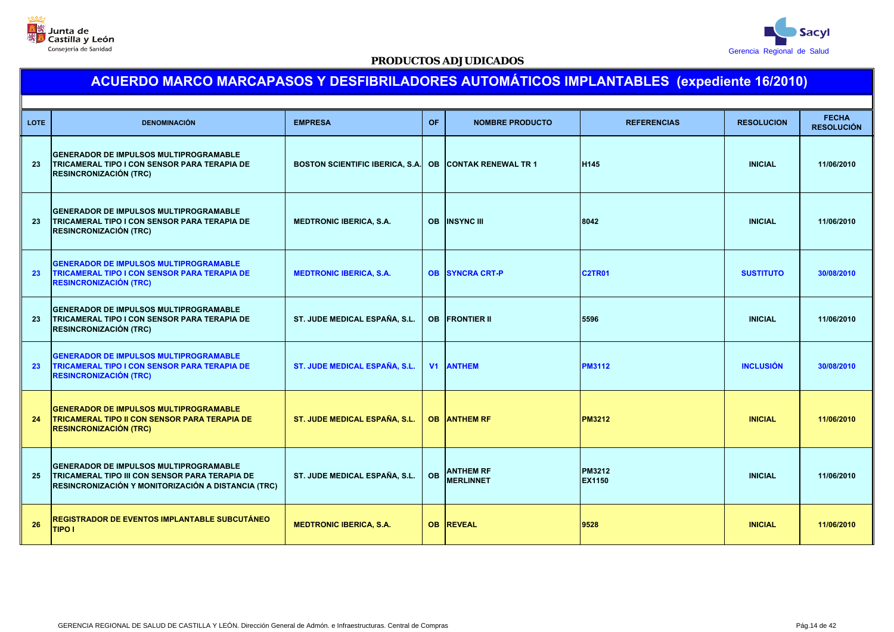



| <b>LOTE</b> | <b>DENOMINACIÓN</b>                                                                                                                                    | <b>EMPRESA</b>                     | <b>OF</b> | <b>NOMBRE PRODUCTO</b>               | <b>REFERENCIAS</b>      | <b>RESOLUCION</b> | <b>FECHA</b><br><b>RESOLUCIÓN</b> |
|-------------|--------------------------------------------------------------------------------------------------------------------------------------------------------|------------------------------------|-----------|--------------------------------------|-------------------------|-------------------|-----------------------------------|
| 23          | <b>GENERADOR DE IMPULSOS MULTIPROGRAMABLE</b><br><b>TRICAMERAL TIPO I CON SENSOR PARA TERAPIA DE</b><br><b>RESINCRONIZACIÓN (TRC)</b>                  | BOSTON SCIENTIFIC IBERICA, S.A. OB |           | <b>CONTAK RENEWAL TR 1</b>           | H145                    | <b>INICIAL</b>    | 11/06/2010                        |
| 23          | <b>GENERADOR DE IMPULSOS MULTIPROGRAMABLE</b><br>TRICAMERAL TIPO I CON SENSOR PARA TERAPIA DE<br><b>RESINCRONIZACIÓN (TRC)</b>                         | <b>MEDTRONIC IBERICA, S.A.</b>     |           | <b>OB INSYNC III</b>                 | 8042                    | <b>INICIAL</b>    | 11/06/2010                        |
| 23          | <b>GENERADOR DE IMPULSOS MULTIPROGRAMABLE</b><br>TRICAMERAL TIPO I CON SENSOR PARA TERAPIA DE<br><b>RESINCRONIZACIÓN (TRC)</b>                         | <b>MEDTRONIC IBERICA, S.A.</b>     | <b>OB</b> | <b>SYNCRA CRT-P</b>                  | <b>C2TR01</b>           | <b>SUSTITUTO</b>  | 30/08/2010                        |
| 23          | <b>GENERADOR DE IMPULSOS MULTIPROGRAMABLE</b><br><b>TRICAMERAL TIPO I CON SENSOR PARA TERAPIA DE</b><br><b>RESINCRONIZACIÓN (TRC)</b>                  | ST. JUDE MEDICAL ESPAÑA, S.L.      |           | <b>OB FRONTIER II</b>                | 5596                    | <b>INICIAL</b>    | 11/06/2010                        |
| 23          | <b>GENERADOR DE IMPULSOS MULTIPROGRAMABLE</b><br><b>TRICAMERAL TIPO I CON SENSOR PARA TERAPIA DE</b><br><b>RESINCRONIZACIÓN (TRC)</b>                  | ST. JUDE MEDICAL ESPAÑA, S.L.      |           | <b>V1 ANTHEM</b>                     | <b>PM3112</b>           | <b>INCLUSIÓN</b>  | 30/08/2010                        |
| 24          | <b>GENERADOR DE IMPULSOS MULTIPROGRAMABLE</b><br><b>TRICAMERAL TIPO II CON SENSOR PARA TERAPIA DE</b><br><b>RESINCRONIZACIÓN (TRC)</b>                 | ST. JUDE MEDICAL ESPAÑA, S.L.      |           | <b>OB ANTHEM RF</b>                  | <b>PM3212</b>           | <b>INICIAL</b>    | 11/06/2010                        |
| 25          | <b>GENERADOR DE IMPULSOS MULTIPROGRAMABLE</b><br>TRICAMERAL TIPO III CON SENSOR PARA TERAPIA DE<br>RESINCRONIZACIÓN Y MONITORIZACIÓN A DISTANCIA (TRC) | ST. JUDE MEDICAL ESPAÑA, S.L.      | <b>OB</b> | <b>ANTHEM RF</b><br><b>MERLINNET</b> | PM3212<br><b>EX1150</b> | <b>INICIAL</b>    | 11/06/2010                        |
| 26          | REGISTRADOR DE EVENTOS IMPLANTABLE SUBCUTÁNEO<br>TIPO I                                                                                                | <b>MEDTRONIC IBERICA, S.A.</b>     |           | <b>OB REVEAL</b>                     | 9528                    | <b>INICIAL</b>    | 11/06/2010                        |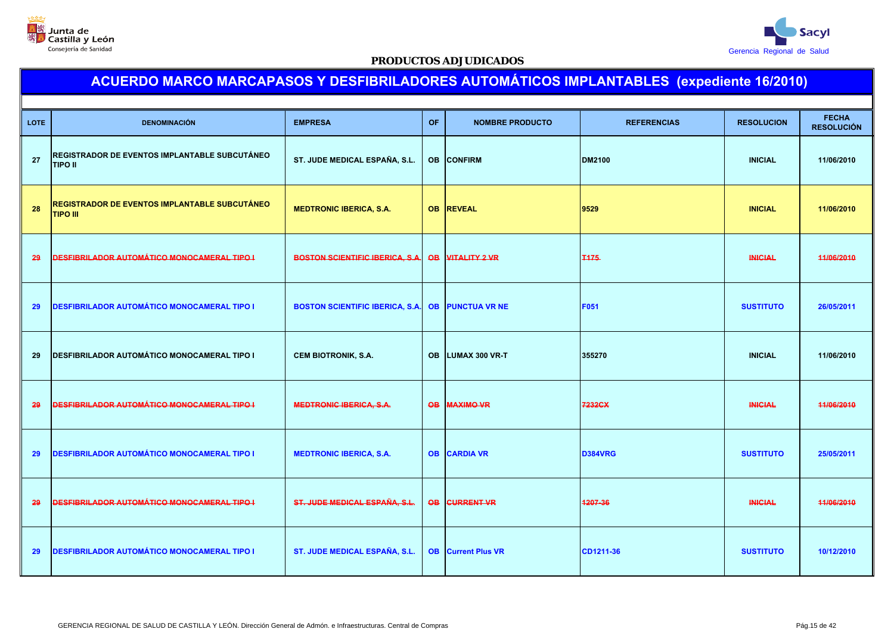



| <b>LOTE</b> | <b>DENOMINACIÓN</b>                                                     | <b>EMPRESA</b>                         | <b>OF</b>       | <b>NOMBRE PRODUCTO</b>    | <b>REFERENCIAS</b> | <b>RESOLUCION</b> | <b>FECHA</b><br><b>RESOLUCIÓN</b> |
|-------------|-------------------------------------------------------------------------|----------------------------------------|-----------------|---------------------------|--------------------|-------------------|-----------------------------------|
| 27          | REGISTRADOR DE EVENTOS IMPLANTABLE SUBCUTÁNEO<br><b>TIPO II</b>         | ST. JUDE MEDICAL ESPAÑA, S.L.          |                 | <b>OB CONFIRM</b>         | <b>DM2100</b>      | <b>INICIAL</b>    | 11/06/2010                        |
| 28          | <u>REGISTRADOR DE EVENTOS IMPLANTABLE SUBCUTÁNEO</u><br><b>TIPO III</b> | <b>MEDTRONIC IBERICA, S.A.</b>         |                 | <b>OB REVEAL</b>          | 9529               | <b>INICIAL</b>    | 11/06/2010                        |
| 29          | <b>DESFIBRILADOR AUTOMÁTICO MONOCAMERAL TIPO I</b>                      | <b>BOSTON SCIENTIFIC IBERICA, S.A.</b> | $\overline{OB}$ | <b>VITALITY 2 VR</b>      | <b>T175</b>        | <b>INICIAL</b>    | 44/06/2010                        |
| 29          | DESFIBRILADOR AUTOMÁTICO MONOCAMERAL TIPO I                             | <b>BOSTON SCIENTIFIC IBERICA, S.A.</b> | <b>OB</b>       | <b>PUNCTUA VR NE</b>      | F051               | <b>SUSTITUTO</b>  | 26/05/2011                        |
| 29          | <b>DESFIBRILADOR AUTOMÁTICO MONOCAMERAL TIPO I</b>                      | <b>CEM BIOTRONIK, S.A.</b>             | <b>OB</b>       | <b>LUMAX 300 VR-T</b>     | 355270             | <b>INICIAL</b>    | 11/06/2010                        |
| 29          | <b>DESFIBRILADOR AUTOMÁTICO MONOCAMERAL TIPO I</b>                      | <b>MEDTRONIC IBERICA, S.A.</b>         | <b>OB</b>       | <b>MAXIMO VR</b>          | 7232CX             | <b>INICIAL</b>    | 11/06/2010                        |
| 29          | <b>DESFIBRILADOR AUTOMÁTICO MONOCAMERAL TIPO I</b>                      | <b>MEDTRONIC IBERICA, S.A.</b>         | <b>OB</b>       | <b>CARDIA VR</b>          | <b>D384VRG</b>     | <b>SUSTITUTO</b>  | 25/05/2011                        |
| 29          | <b>DESFIBRILADOR AUTOMÁTICO MONOCAMERAL TIPO-I</b>                      | ST. JUDE MEDICAL ESPAÑA, S.L.          | <b>OB</b>       | <b>CURRENT VR</b>         | 1207-36            | <b>INICIAL</b>    | 11/06/2010                        |
| 29          | <b>DESFIBRILADOR AUTOMÁTICO MONOCAMERAL TIPO I</b>                      | ST. JUDE MEDICAL ESPAÑA, S.L.          |                 | <b>OB</b> Current Plus VR | CD1211-36          | <b>SUSTITUTO</b>  | 10/12/2010                        |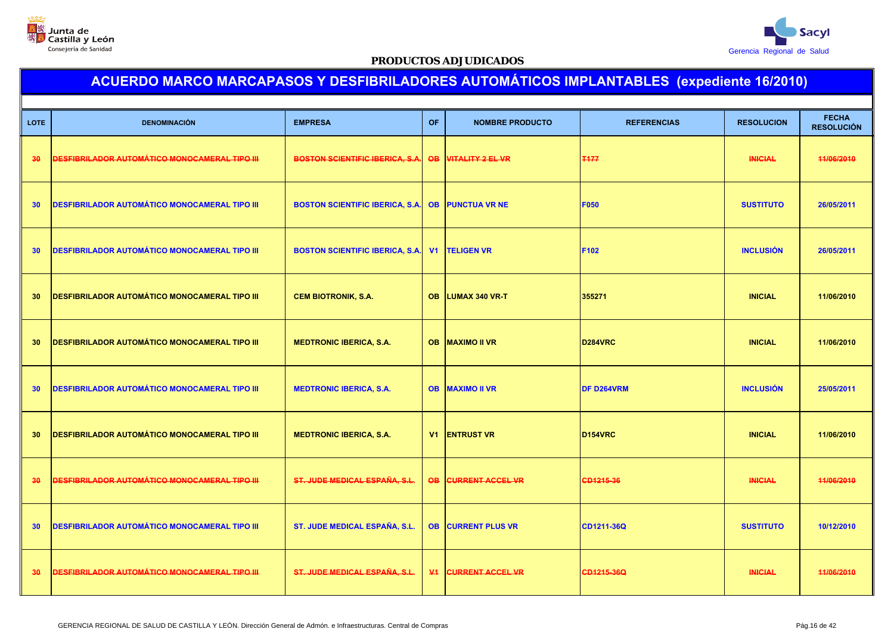



| <b>LOTE</b>     | <b>DENOMINACIÓN</b>                                  | <b>EMPRESA</b>                         | OF              | <b>NOMBRE PRODUCTO</b>     | <b>REFERENCIAS</b>   | <b>RESOLUCION</b> | <b>FECHA</b><br><b>RESOLUCIÓN</b> |
|-----------------|------------------------------------------------------|----------------------------------------|-----------------|----------------------------|----------------------|-------------------|-----------------------------------|
| 30              | DESFIBRILADOR AUTOMÁTICO MONOCAMERAL TIPO III        | <b>BOSTON SCIENTIFIC IBERICA, S.A.</b> | $\overline{OB}$ | <b>VITALITY 2 EL VR</b>    | <b>T177</b>          | <b>INICIAL</b>    | 44/06/2010                        |
| 30 <sup>°</sup> | <b>DESFIBRILADOR AUTOMÁTICO MONOCAMERAL TIPO III</b> | <b>BOSTON SCIENTIFIC IBERICA, S.A.</b> | <b>OB</b>       | <b>PUNCTUA VR NE</b>       | <b>F050</b>          | <b>SUSTITUTO</b>  | 26/05/2011                        |
| 30              | <b>DESFIBRILADOR AUTOMÁTICO MONOCAMERAL TIPO III</b> | <b>BOSTON SCIENTIFIC IBERICA, S.A.</b> | V <sub>1</sub>  | <b>TELIGEN VR</b>          | F102                 | <b>INCLUSIÓN</b>  | 26/05/2011                        |
| 30              | <b>DESFIBRILADOR AUTOMÁTICO MONOCAMERAL TIPO III</b> | <b>CEM BIOTRONIK, S.A.</b>             | <b>OB</b>       | <b>LUMAX 340 VR-T</b>      | 355271               | <b>INICIAL</b>    | 11/06/2010                        |
| 30              | <b>DESFIBRILADOR AUTOMÁTICO MONOCAMERAL TIPO III</b> | <b>MEDTRONIC IBERICA, S.A.</b>         | <b>OB</b>       | <b>MAXIMO II VR</b>        | D284VRC              | <b>INICIAL</b>    | 11/06/2010                        |
| 30 <sup>°</sup> | <b>DESFIBRILADOR AUTOMÁTICO MONOCAMERAL TIPO III</b> | <b>MEDTRONIC IBERICA, S.A.</b>         |                 | <b>OB MAXIMO II VR</b>     | <b>DF D264VRM</b>    | <b>INCLUSIÓN</b>  | 25/05/2011                        |
| 30              | <b>DESFIBRILADOR AUTOMÁTICO MONOCAMERAL TIPO III</b> | <b>MEDTRONIC IBERICA, S.A.</b>         |                 | <b>V1 ENTRUST VR</b>       | D <sub>154</sub> VRC | <b>INICIAL</b>    | 11/06/2010                        |
| 30              | <b>DESFIBRILADOR AUTOMÁTICO MONOCAMERAL TIPO III</b> | ST. JUDE MEDICAL ESPAÑA, S.L.          | <b>OB</b>       | <b>CURRENT ACCEL VR</b>    | CD1215-36            | <b>INICIAL</b>    | 44/06/2010                        |
| 30              | <b>DESFIBRILADOR AUTOMÁTICO MONOCAMERAL TIPO III</b> | ST. JUDE MEDICAL ESPAÑA, S.L.          | <b>OB</b>       | <b>CURRENT PLUS VR</b>     | CD1211-36Q           | <b>SUSTITUTO</b>  | 10/12/2010                        |
| 30              | <b>DESFIBRILADOR AUTOMÁTICO MONOCAMERAL TIPO III</b> | ST. JUDE MEDICAL ESPAÑA, S.L.          |                 | <b>V4 CURRENT ACCEL VR</b> | CD1215-36Q           | <b>INICIAL</b>    | 11/06/2010                        |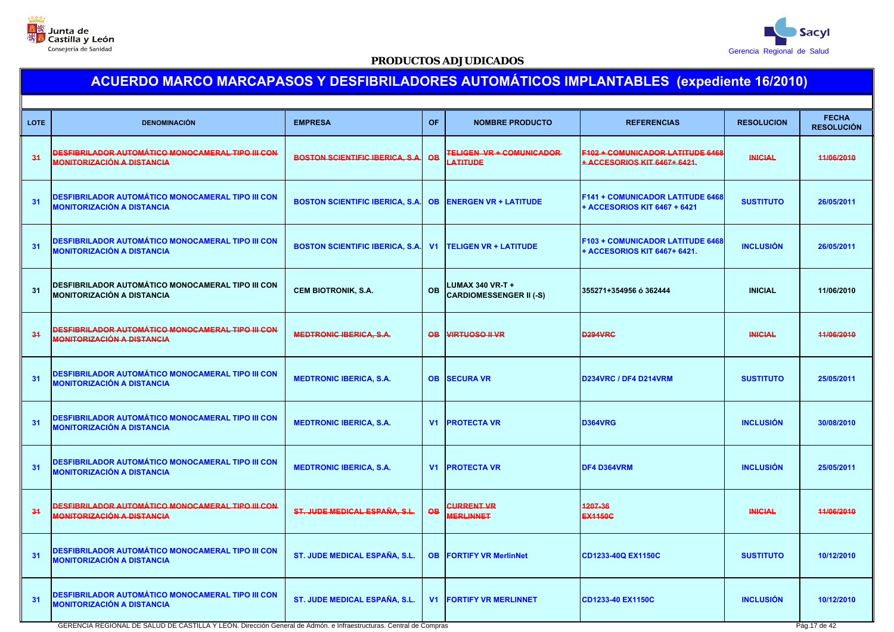



# **ACUERDO MARCO MARCAPASOS Y DESFIBRILADORES AUTOMÁTICOS IMPLANTABLES (expediente 16/2010)**

| <b>LOTE</b> | <b>DENOMINACIÓN</b>                                                                           | <b>EMPRESA</b>                         | <b>OF</b>       | <b>NOMBRE PRODUCTO</b>                                    | <b>REFERENCIAS</b>                                                      | <b>RESOLUCION</b> | <b>FECHA</b><br><b>RESOLUCIÓN</b> |
|-------------|-----------------------------------------------------------------------------------------------|----------------------------------------|-----------------|-----------------------------------------------------------|-------------------------------------------------------------------------|-------------------|-----------------------------------|
| 34          | DESFIBRILADOR AUTOMÁTICO MONOCAMERAL TIPO III CON<br><u>MONITORIZACIÓN A DISTANCIA</u>        | <b>BOSTON SCIENTIFIC IBERICA, S.A.</b> | $\overline{OB}$ | <b>TELIGEN VR + COMUNICADOR</b><br>LATITUDE               | F102 + COMUNICADOR LATITUDE 6468<br>+ ACCESORIOS KIT 6467+ 6421.        | <b>INICIAL</b>    | 44/06/2010                        |
| 31          | DESFIBRILADOR AUTOMÁTICO MONOCAMERAL TIPO III CON<br><b>MONITORIZACIÓN A DISTANCIA</b>        | <b>BOSTON SCIENTIFIC IBERICA, S.A.</b> | <b>OB</b>       | <b>ENERGEN VR + LATITUDE</b>                              | F141 + COMUNICADOR LATITUDE 6468<br>+ ACCESORIOS KIT 6467 + 6421        | <b>SUSTITUTO</b>  | 26/05/2011                        |
| 31          | DESFIBRILADOR AUTOMÁTICO MONOCAMERAL TIPO III CON<br>MONITORIZACIÓN A DISTANCIA               | <b>BOSTON SCIENTIFIC IBERICA, S.A.</b> | V <sub>1</sub>  | <b>TELIGEN VR + LATITUDE</b>                              | <b>F103 + COMUNICADOR LATITUDE 6468</b><br>+ ACCESORIOS KIT 6467+ 6421. | <b>INCLUSIÓN</b>  | 26/05/2011                        |
| 31          | DESFIBRILADOR AUTOMÁTICO MONOCAMERAL TIPO III CON<br><b>MONITORIZACIÓN A DISTANCIA</b>        | <b>CEM BIOTRONIK, S.A.</b>             | <b>OB</b>       | <b>LUMAX 340 VR-T +</b><br><b>CARDIOMESSENGER II (-S)</b> | 355271+354956 ó 362444                                                  | <b>INICIAL</b>    | 11/06/2010                        |
| 34          | <u>DESFIBRILADOR AUTOMÁTICO MONOCAMERAL TIPO III CON</u><br><u>MONITORIZACIÓN A DISTANCIA</u> | <b>MEDTRONIC IBERICA, S.A.</b>         | <b>QB</b>       | <b>VIRTUOSO II VR</b>                                     | <b>D294VRC</b>                                                          | <b>INICIAL</b>    | 11/06/2010                        |
| 31          | DESFIBRILADOR AUTOMÁTICO MONOCAMERAL TIPO III CON<br>MONITORIZACIÓN A DISTANCIA               | <b>MEDTRONIC IBERICA, S.A.</b>         | <b>OB</b>       | <b>SECURA VR</b>                                          | <b>D234VRC / DF4 D214VRM</b>                                            | <b>SUSTITUTO</b>  | 25/05/2011                        |
| 31          | DESFIBRILADOR AUTOMÁTICO MONOCAMERAL TIPO III CON<br>MONITORIZACIÓN A DISTANCIA               | <b>MEDTRONIC IBERICA, S.A.</b>         | V <sub>1</sub>  | <b>PROTECTA VR</b>                                        | <b>D364VRG</b>                                                          | <b>INCLUSIÓN</b>  | 30/08/2010                        |
| 31          | DESFIBRILADOR AUTOMÁTICO MONOCAMERAL TIPO III CON<br>MONITORIZACIÓN A DISTANCIA               | <b>MEDTRONIC IBERICA, S.A.</b>         | V <sub>1</sub>  | <b>PROTECTA VR</b>                                        | DF4 D364VRM                                                             | <b>INCLUSIÓN</b>  | 25/05/2011                        |
| 34          | DESFIBRILADOR AUTOMÁTICO MONOCAMERAL TIPO III CON<br><b>MONITORIZACIÓN A DISTANCIA</b>        | ST. JUDE MEDICAL ESPAÑA, S.L.          | <b>OB</b>       | CURRENT VR<br><b>MERLINNET</b>                            | 1207-36<br><b>EX1150C</b>                                               | <b>INICIAL</b>    | 44/06/2010                        |
| 31          | DESFIBRILADOR AUTOMÁTICO MONOCAMERAL TIPO III CON<br>MONITORIZACIÓN A DISTANCIA               | ST. JUDE MEDICAL ESPAÑA, S.L.          | <b>OB</b>       | <b>FORTIFY VR MerlinNet</b>                               | CD1233-40Q EX1150C                                                      | <b>SUSTITUTO</b>  | 10/12/2010                        |
| 31          | DESFIBRILADOR AUTOMÁTICO MONOCAMERAL TIPO III CON<br>MONITORIZACIÓN A DISTANCIA               | <b>ST. JUDE MEDICAL ESPAÑA, S.L.</b>   | V <sub>1</sub>  | <b>FORTIFY VR MERLINNET</b>                               | CD1233-40 EX1150C                                                       | <b>INCLUSIÓN</b>  | 10/12/2010                        |

GERENCIA REGIONAL DE SALUD DE CASTILLA Y LEÓN. Dirección General de Admón. e Infraestructuras. Central de Compras Pág.17 de 42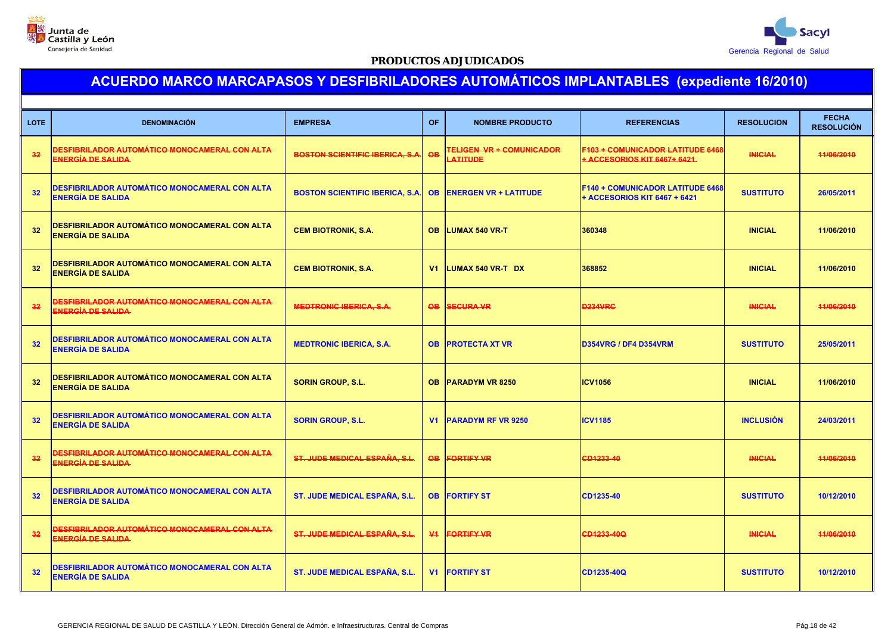



| <b>LOTE</b> | <b>DENOMINACIÓN</b>                                                              | <b>EMPRESA</b>                         | OF              | <b>NOMBRE PRODUCTO</b>                      | <b>REFERENCIAS</b>                                                      | <b>RESOLUCION</b> | <b>FECHA</b><br><b>RESOLUCIÓN</b> |
|-------------|----------------------------------------------------------------------------------|----------------------------------------|-----------------|---------------------------------------------|-------------------------------------------------------------------------|-------------------|-----------------------------------|
| 32          | <u>DESFIBRILADOR AUTOMÁTICO MONOCAMERAL CON ALTA</u><br><b>ENERGÍA DE SALIDA</b> | <b>BOSTON SCIENTIFIC IBERICA, S.A.</b> | $\overline{OB}$ | <b>TELIGEN VR + COMUNICADOR</b><br>LATITUDE | <b>F103 + COMUNICADOR LATITUDE 6468</b><br>+ ACCESORIOS KIT 6467+ 6421. | <b>INICIAL</b>    | 11/06/2010                        |
| 32          | DESFIBRILADOR AUTOMÁTICO MONOCAMERAL CON ALTA<br>ENERGÍA DE SALIDA               | <b>BOSTON SCIENTIFIC IBERICA, S.A.</b> | <b>OB</b>       | <b>ENERGEN VR + LATITUDE</b>                | <b>F140 + COMUNICADOR LATITUDE 6468</b><br>+ ACCESORIOS KIT 6467 + 6421 | <b>SUSTITUTO</b>  | 26/05/2011                        |
| 32          | DESFIBRILADOR AUTOMÁTICO MONOCAMERAL CON ALTA<br>ENERGÍA DE SALIDA               | <b>CEM BIOTRONIK, S.A.</b>             | OB.             | <b>LUMAX 540 VR-T</b>                       | 360348                                                                  | <b>INICIAL</b>    | 11/06/2010                        |
| 32          | <b>DESFIBRILADOR AUTOMÁTICO MONOCAMERAL CON ALTA</b><br>ENERGÍA DE SALIDA        | <b>CEM BIOTRONIK, S.A.</b>             | V <sub>1</sub>  | <b>LUMAX 540 VR-T DX</b>                    | 368852                                                                  | <b>INICIAL</b>    | 11/06/2010                        |
| 32          | DESFIBRILADOR AUTOMÁTICO MONOCAMERAL CON ALTA<br><b>ENERGÍA DE SALIDA</b>        | <b>MEDTRONIC IBERICA, S.A.</b>         | <b>OB</b>       | <b>SECURA VR</b>                            | <b>D234VRC</b>                                                          | <b>INICIAL</b>    | 11/06/2010                        |
| 32          | <b>DESFIBRILADOR AUTOMÁTICO MONOCAMERAL CON ALTA</b><br><b>ENERGÍA DE SALIDA</b> | <b>MEDTRONIC IBERICA, S.A.</b>         | <b>OB</b>       | <b>PROTECTA XT VR</b>                       | D354VRG / DF4 D354VRM                                                   | <b>SUSTITUTO</b>  | 25/05/2011                        |
| 32          | <b>DESFIBRILADOR AUTOMÁTICO MONOCAMERAL CON ALTA</b><br><b>ENERGÍA DE SALIDA</b> | <b>SORIN GROUP, S.L.</b>               | <b>OB</b>       | <b>PARADYM VR 8250</b>                      | <b>ICV1056</b>                                                          | <b>INICIAL</b>    | 11/06/2010                        |
| 32          | DESFIBRILADOR AUTOMÁTICO MONOCAMERAL CON ALTA<br>ENERGÍA DE SALIDA               | <b>SORIN GROUP, S.L.</b>               | V <sub>1</sub>  | <b>PARADYM RF VR 9250</b>                   | <b>ICV1185</b>                                                          | <b>INCLUSIÓN</b>  | 24/03/2011                        |
| 32          | DESFIBRILADOR AUTOMÁTICO MONOCAMERAL CON ALTA<br><u>ENERGÍA DE SALIDA-</u>       | ST. JUDE MEDICAL ESPAÑA, S.L.          | <b>OB</b>       | <b>FORTIFY VR</b>                           | CD1233-40                                                               | <b>INICIAL</b>    | 11/06/2010                        |
| 32          | DESFIBRILADOR AUTOMÁTICO MONOCAMERAL CON ALTA<br>ENERGÍA DE SALIDA               | ST. JUDE MEDICAL ESPAÑA, S.L           | <b>OB</b>       | <b>FORTIFY ST</b>                           | CD1235-40                                                               | <b>SUSTITUTO</b>  | 10/12/2010                        |
| 32          | DESFIBRILADOR AUTOMÁTICO MONOCAMERAL CON ALTA<br><b>ENERGÍA DE SALIDA</b>        | ST. JUDE MEDICAL ESPAÑA, S.L.          | $\Psi$          | <b>FORTIFY VR</b>                           | CD1233-40Q                                                              | <b>INICIAL</b>    | 11/06/2010                        |
| 32          | DESFIBRILADOR AUTOMÁTICO MONOCAMERAL CON ALTA<br>ENERGÍA DE SALIDA               | <b>ST. JUDE MEDICAL ESPAÑA, S.L</b>    | V <sub>1</sub>  | <b>FORTIFY ST</b>                           | CD1235-40Q                                                              | <b>SUSTITUTO</b>  | 10/12/2010                        |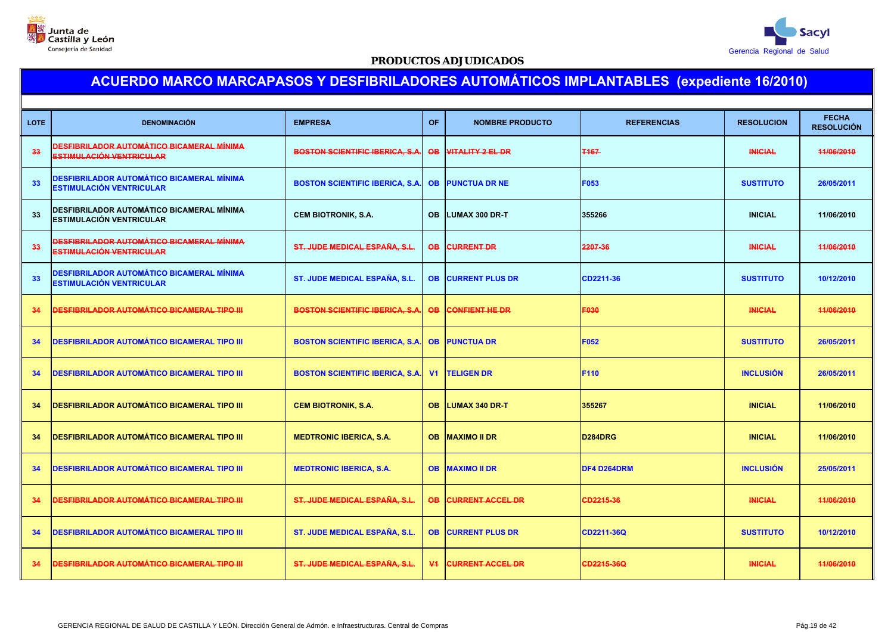



| <b>LOTE</b>     | <b>DENOMINACIÓN</b>                                                          | <b>EMPRESA</b>                         | <b>OF</b>      | <b>NOMBRE PRODUCTO</b>  | <b>REFERENCIAS</b>   | <b>RESOLUCION</b> | <b>FECHA</b><br><b>RESOLUCIÓN</b> |
|-----------------|------------------------------------------------------------------------------|----------------------------------------|----------------|-------------------------|----------------------|-------------------|-----------------------------------|
| 33              | DESFIBRILADOR AUTOMÁTICO BICAMERAL MÍNIMA<br><b>ESTIMULACIÓN VENTRICULAR</b> | <b>BOSTON SCIENTIFIC IBERICA, S.A</b>  | <b>QB</b>      | <b>VITALITY 2 EL DR</b> | <b>T167</b>          | <b>INICIAL</b>    | 11/06/2010                        |
| 33 <sub>o</sub> | DESFIBRILADOR AUTOMÁTICO BICAMERAL MÍNIMA<br><b>ESTIMULACIÓN VENTRICULAR</b> | <b>BOSTON SCIENTIFIC IBERICA, S.A.</b> | <b>OB</b>      | <b>PUNCTUA DR NE</b>    | F053                 | <b>SUSTITUTO</b>  | 26/05/2011                        |
| 33              | DESFIBRILADOR AUTOMÁTICO BICAMERAL MÍNIMA<br><b>ESTIMULACIÓN VENTRICULAR</b> | <b>CEM BIOTRONIK, S.A.</b>             | <b>OB</b>      | <b>LUMAX 300 DR-T</b>   | 355266               | <b>INICIAL</b>    | 11/06/2010                        |
| 33              | DESFIBRILADOR AUTOMÁTICO BICAMERAL MÍNIMA<br><b>ESTIMULACIÓN VENTRICULAR</b> | ST. JUDE MEDICAL ESPAÑA, S.L.          | <b>QB</b>      | <b>CURRENT DR</b>       | 2207-36              | <b>INICIAL</b>    | 11/06/2010                        |
| 33              | <b>DESFIBRILADOR AUTOMÁTICO BICAMERAL MÍNIMA</b><br>ESTIMULACIÓN VENTRICULAR | ST. JUDE MEDICAL ESPAÑA, S.L.          | <b>OB</b>      | <b>CURRENT PLUS DR</b>  | CD2211-36            | <b>SUSTITUTO</b>  | 10/12/2010                        |
| 34              | <u>DESFIBRILADOR AUTOMÁTICO BICAMERAL TIPO III</u>                           | <b>BOSTON SCIENTIFIC IBERICA, S.A</b>  | <b>OB</b>      | CONFIENT HE DR          | F030                 | <b>INICIAL</b>    | 44/06/2010                        |
| 34              | <b>DESFIBRILADOR AUTOMÁTICO BICAMERAL TIPO III</b>                           | <b>BOSTON SCIENTIFIC IBERICA, S.A.</b> | <b>OB</b>      | <b>PUNCTUA DR</b>       | <b>F052</b>          | <b>SUSTITUTO</b>  | 26/05/2011                        |
| 34              | <b>DESFIBRILADOR AUTOMÁTICO BICAMERAL TIPO III</b>                           | <b>BOSTON SCIENTIFIC IBERICA, S.A</b>  | V <sub>1</sub> | <b>TELIGEN DR</b>       | F110                 | <b>INCLUSIÓN</b>  | 26/05/2011                        |
| 34              | <b>DESFIBRILADOR AUTOMÁTICO BICAMERAL TIPO III</b>                           | <b>CEM BIOTRONIK, S.A.</b>             | OB.            | <b>LUMAX 340 DR-T</b>   | 355267               | <b>INICIAL</b>    | 11/06/2010                        |
| 34              | <b>DESFIBRILADOR AUTOMÁTICO BICAMERAL TIPO III</b>                           | <b>MEDTRONIC IBERICA, S.A.</b>         | <b>OB</b>      | <b>MAXIMO II DR</b>     | D <sub>284</sub> DRG | <b>INICIAL</b>    | 11/06/2010                        |
| 34              | <b>DESFIBRILADOR AUTOMÁTICO BICAMERAL TIPO III</b>                           | <b>MEDTRONIC IBERICA, S.A.</b>         | <b>OB</b>      | <b>MAXIMO II DR</b>     | DF4 D264DRM          | <b>INCLUSIÓN</b>  | 25/05/2011                        |
| 34              | DESFIBRILADOR AUTOMÁTICO BICAMERAL TIPO III                                  | ST. JUDE MEDICAL ESPAÑA, S.L.          | <b>OB</b>      | <b>CURRENT ACCEL DR</b> | CD2215-36            | <b>INICIAL</b>    | 44/06/2010                        |
| 34              | <b>DESFIBRILADOR AUTOMÁTICO BICAMERAL TIPO III</b>                           | <b>ST. JUDE MEDICAL ESPAÑA, S.L.</b>   | <b>OB</b>      | <b>CURRENT PLUS DR</b>  | CD2211-36Q           | <b>SUSTITUTO</b>  | 10/12/2010                        |
| 34              | <u>DESFIBRILADOR AUTOMÁTICO BICAMERAL TIPO III</u>                           | <b>ST. JUDE MEDICAL ESPAÑA, S.L.</b>   | $\Psi$         | <b>CURRENT ACCEL DR</b> | CD2215-36Q           | <b>INICIAL</b>    | 44/06/2010                        |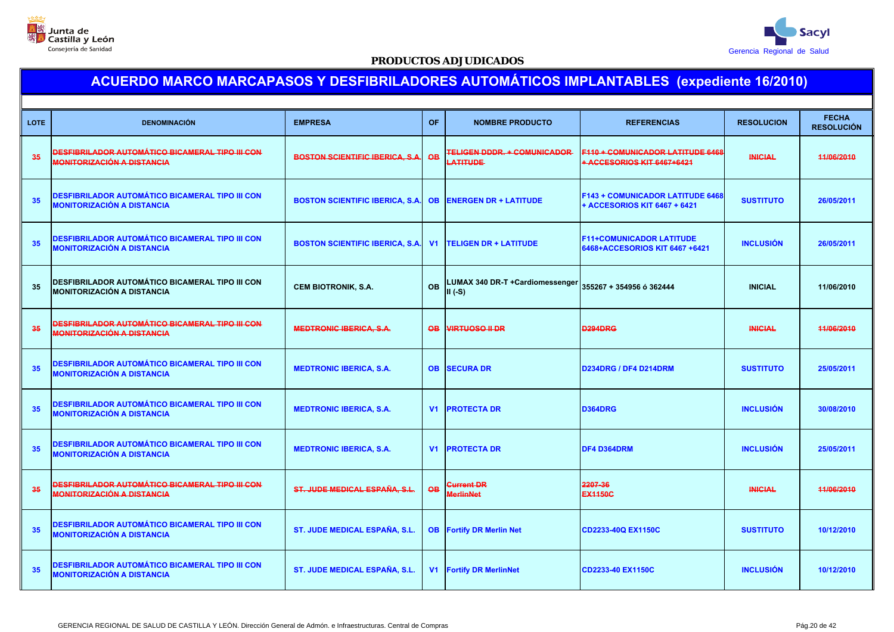



| <b>LOTE</b>     | <b>DENOMINACIÓN</b>                                                                  | <b>EMPRESA</b>                         | <b>OF</b>       | <b>NOMBRE PRODUCTO</b>                         | <b>REFERENCIAS</b>                                                      | <b>RESOLUCION</b> | <b>FECHA</b><br><b>RESOLUCIÓN</b> |
|-----------------|--------------------------------------------------------------------------------------|----------------------------------------|-----------------|------------------------------------------------|-------------------------------------------------------------------------|-------------------|-----------------------------------|
| 35 <sub>5</sub> | DESFIBRILADOR AUTOMÁTICO BICAMERAL TIPO III CON<br><b>MONITORIZACIÓN A DISTANCIA</b> | <b>BOSTON SCIENTIFIC IBERICA, S.A.</b> | $\overline{OB}$ | <b>TELIGEN DDDR. + COMUNICADOR</b><br>LATITUDE | <b>F110 + COMUNICADOR LATITUDE 6468</b><br>+ ACCESORIOS KIT 6467+6421   | <b>INICIAL</b>    | 44/06/2010                        |
| 35              | DESFIBRILADOR AUTOMÁTICO BICAMERAL TIPO III CON<br><b>MONITORIZACIÓN A DISTANCIA</b> | <b>BOSTON SCIENTIFIC IBERICA, S.A.</b> | <b>OB</b>       | <b>ENERGEN DR + LATITUDE</b>                   | <b>F143 + COMUNICADOR LATITUDE 6468</b><br>+ ACCESORIOS KIT 6467 + 6421 | <b>SUSTITUTO</b>  | 26/05/2011                        |
| 35              | DESFIBRILADOR AUTOMÁTICO BICAMERAL TIPO III CON<br><b>MONITORIZACIÓN A DISTANCIA</b> | <b>BOSTON SCIENTIFIC IBERICA, S.A</b>  | V <sub>1</sub>  | <b>TELIGEN DR + LATITUDE</b>                   | <b>F11+COMUNICADOR LATITUDE</b><br>6468+ACCESORIOS KIT 6467 +6421       | <b>INCLUSIÓN</b>  | 26/05/2011                        |
| 35              | DESFIBRILADOR AUTOMÁTICO BICAMERAL TIPO III CON<br><b>MONITORIZACIÓN A DISTANCIA</b> | <b>CEM BIOTRONIK, S.A.</b>             | <b>OB</b>       | LUMAX 340 DR-T +Cardiomessenger<br>$II(-S)$    | 355267 + 354956 ó 362444                                                | <b>INICIAL</b>    | 11/06/2010                        |
| 35              | <u>DESFIBRILADOR AUTOMÁTICO BICAMERAL TIPO III CON</u><br>MONITORIZACIÓN A DISTANCIA | <b>MEDTRONIC IBERICA, S.A.</b>         | $\overline{OB}$ | <b>VIRTUOSO II DR</b>                          | <b>D294DRG</b>                                                          | <b>INICIAL</b>    | 44/06/2010                        |
| 35              | DESFIBRILADOR AUTOMÁTICO BICAMERAL TIPO III CON<br><b>MONITORIZACIÓN A DISTANCIA</b> | <b>MEDTRONIC IBERICA, S.A.</b>         | <b>OB</b>       | <b>SECURA DR</b>                               | D234DRG / DF4 D214DRM                                                   | <b>SUSTITUTO</b>  | 25/05/2011                        |
| 35              | DESFIBRILADOR AUTOMÁTICO BICAMERAL TIPO III CON<br>MONITORIZACIÓN A DISTANCIA        | <b>MEDTRONIC IBERICA, S.A.</b>         |                 | <b>V1 PROTECTA DR</b>                          | <b>D364DRG</b>                                                          | <b>INCLUSIÓN</b>  | 30/08/2010                        |
| 35              | DESFIBRILADOR AUTOMÁTICO BICAMERAL TIPO III CON<br><b>MONITORIZACIÓN A DISTANCIA</b> | <b>MEDTRONIC IBERICA, S.A.</b>         | V1              | <b>PROTECTA DR</b>                             | DF4 D364DRM                                                             | <b>INCLUSIÓN</b>  | 25/05/2011                        |
| 35              | <u>DESFIBRILADOR AUTOMÁTICO BICAMERAL TIPO III CON</u><br>MONITORIZACIÓN A DISTANCIA | ST. JUDE MEDICAL ESPAÑA, S.L.          | <b>OB</b>       | <b>Current DR</b><br><b>MerlinNet</b>          | 2207-36<br><b>EX1150C</b>                                               | <b>INICIAL</b>    | 11/06/2010                        |
| 35              | DESFIBRILADOR AUTOMÁTICO BICAMERAL TIPO III CON<br><b>MONITORIZACIÓN A DISTANCIA</b> | ST. JUDE MEDICAL ESPAÑA, S.L.          | <b>OB</b>       | <b>Fortify DR Merlin Net</b>                   | CD2233-40Q EX1150C                                                      | <b>SUSTITUTO</b>  | 10/12/2010                        |
| 35              | DESFIBRILADOR AUTOMÁTICO BICAMERAL TIPO III CON<br>MONITORIZACIÓN A DISTANCIA        | ST. JUDE MEDICAL ESPAÑA, S.L.          |                 | <b>V1 Fortify DR MerlinNet</b>                 | CD2233-40 EX1150C                                                       | <b>INCLUSIÓN</b>  | 10/12/2010                        |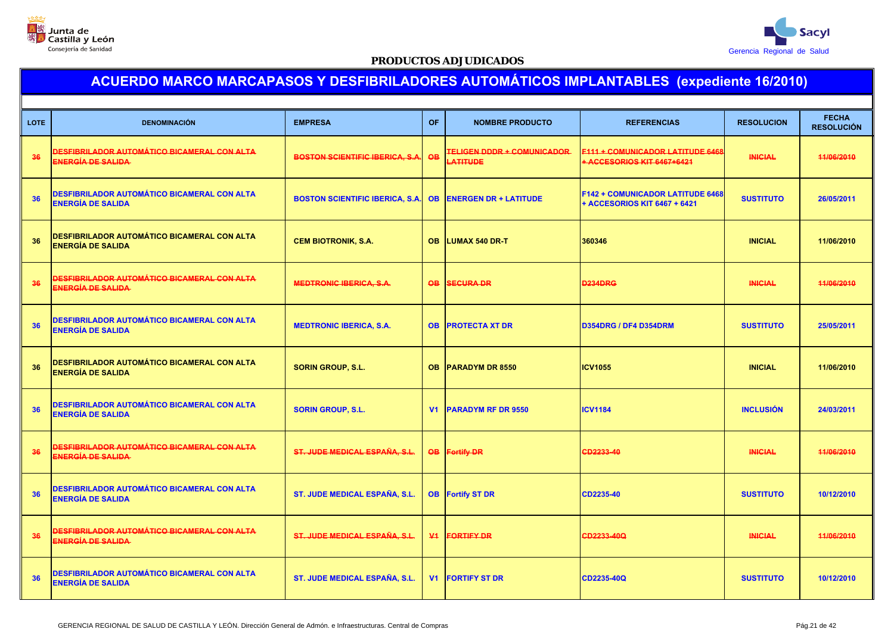



| <b>LOTE</b> | <b>DENOMINACIÓN</b>                                                            | <b>EMPRESA</b>                         | <b>OF</b>      | <b>NOMBRE PRODUCTO</b>                        | <b>REFERENCIAS</b>                                                      | <b>RESOLUCION</b> | <b>FECHA</b><br><b>RESOLUCIÓN</b> |
|-------------|--------------------------------------------------------------------------------|----------------------------------------|----------------|-----------------------------------------------|-------------------------------------------------------------------------|-------------------|-----------------------------------|
| 36          | <u>DESFIBRILADOR AUTOMÁTICO BICAMERAL CON ALTA</u><br><b>ENERGÍA DE SALIDA</b> | <b>BOSTON SCIENTIFIC IBERICA, S.A.</b> | <b>QB</b>      | <b>TELIGEN DDDR + COMUNICADOR</b><br>LATITUDE | <b>F111 + COMUNICADOR LATITUDE 6468</b><br>+ ACCESORIOS KIT 6467+6421   | <b>INICIAL</b>    | 11/06/2010                        |
| 36          | <b>DESFIBRILADOR AUTOMÁTICO BICAMERAL CON ALTA</b><br>ENERGÍA DE SALIDA        | <b>BOSTON SCIENTIFIC IBERICA, S.A.</b> | <b>OB</b>      | <b>ENERGEN DR + LATITUDE</b>                  | <b>F142 + COMUNICADOR LATITUDE 6468</b><br>+ ACCESORIOS KIT 6467 + 6421 | <b>SUSTITUTO</b>  | 26/05/2011                        |
| 36          | DESFIBRILADOR AUTOMÁTICO BICAMERAL CON ALTA<br><b>ENERGÍA DE SALIDA</b>        | <b>CEM BIOTRONIK, S.A.</b>             | <b>OB</b>      | <b>LUMAX 540 DR-T</b>                         | 360346                                                                  | <b>INICIAL</b>    | 11/06/2010                        |
| 36          | DESFIBRILADOR AUTOMÁTICO BICAMERAL CON ALTA<br><b>ENERGÍA DE SALIDA</b>        | <b>MEDTRONIC IBERICA, S.A.</b>         | <b>QB</b>      | <b>SECURA DR</b>                              | <b>D234DRG</b>                                                          | <b>INICIAL</b>    | 11/06/2010                        |
| 36          | <b>DESFIBRILADOR AUTOMÁTICO BICAMERAL CON ALTA</b><br><b>ENERGÍA DE SALIDA</b> | <b>MEDTRONIC IBERICA, S.A.</b>         | <b>OB</b>      | <b>PROTECTA XT DR</b>                         | D354DRG / DF4 D354DRM                                                   | <b>SUSTITUTO</b>  | 25/05/2011                        |
| 36          | DESFIBRILADOR AUTOMÁTICO BICAMERAL CON ALTA<br><b>ENERGÍA DE SALIDA</b>        | <b>SORIN GROUP, S.L.</b>               | <b>OB</b>      | PARADYM DR 8550                               | <b>ICV1055</b>                                                          | <b>INICIAL</b>    | 11/06/2010                        |
| 36          | <b>DESFIBRILADOR AUTOMÁTICO BICAMERAL CON ALTA</b><br><b>ENERGÍA DE SALIDA</b> | <b>SORIN GROUP, S.L.</b>               | V <sub>1</sub> | <b>PARADYM RF DR 9550</b>                     | <b>ICV1184</b>                                                          | <b>INCLUSIÓN</b>  | 24/03/2011                        |
| 36          | <u>DESFIBRILADOR AUTOMÁTICO BICAMERAL CON ALTA</u><br>ENERGÍA DE SALIDA        | ST. JUDE MEDICAL ESPAÑA, S.L.          | <b>OB</b>      | <b>Fortify DR</b>                             | CD2233-40                                                               | <b>INICIAL</b>    | 11/06/2010                        |
| 36          | DESFIBRILADOR AUTOMÁTICO BICAMERAL CON ALTA<br><b>ENERGÍA DE SALIDA</b>        | <b>ST. JUDE MEDICAL ESPAÑA, S.L.</b>   |                | <b>OB</b> Fortify ST DR                       | CD2235-40                                                               | <b>SUSTITUTO</b>  | 10/12/2010                        |
| 36          | <u>DESFIBRILADOR AUTOMÁTICO BICAMERAL CON ALTA</u><br>ENERGÍA DE SALIDA        | ST. JUDE MEDICAL ESPAÑA, S.L.          | $\Psi$         | <b>FORTIFY DR</b>                             | CD2233-40Q                                                              | <b>INICIAL</b>    | 11/06/2010                        |
| 36          | <b>DESFIBRILADOR AUTOMÁTICO BICAMERAL CON ALTA</b><br>ENERGÍA DE SALIDA        | ST. JUDE MEDICAL ESPAÑA, S.L.          | V <sub>1</sub> | <b>FORTIFY ST DR</b>                          | CD2235-40Q                                                              | <b>SUSTITUTO</b>  | 10/12/2010                        |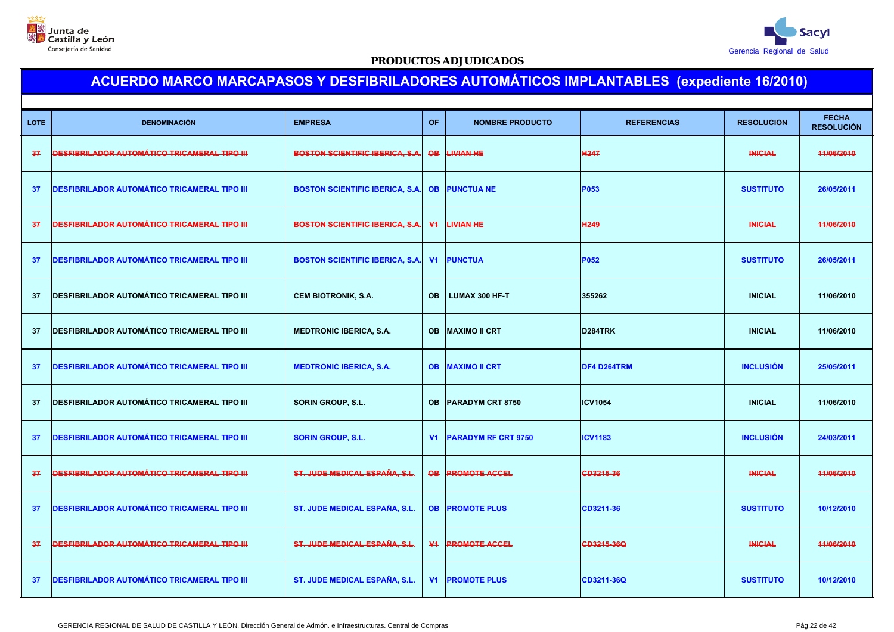



|             |                                                     |                                        |                 |                            |                    |                   | <b>FECHA</b>      |
|-------------|-----------------------------------------------------|----------------------------------------|-----------------|----------------------------|--------------------|-------------------|-------------------|
| <b>LOTE</b> | <b>DENOMINACIÓN</b>                                 | <b>EMPRESA</b>                         | <b>OF</b>       | <b>NOMBRE PRODUCTO</b>     | <b>REFERENCIAS</b> | <b>RESOLUCION</b> | <b>RESOLUCIÓN</b> |
| 37          | <u>DESFIBRILADOR AUTOMÁTICO TRICAMERAL TIPO III</u> | <b>BOSTON SCIENTIFIC IBERICA, S.A.</b> | $\overline{OB}$ | <b>LIVIAN HE</b>           | <b>H247</b>        | <b>INICIAL</b>    | 11/06/2010        |
| 37          | <b>DESFIBRILADOR AUTOMÁTICO TRICAMERAL TIPO III</b> | <b>BOSTON SCIENTIFIC IBERICA, S.A.</b> | <b>OB</b>       | <b>PUNCTUA NE</b>          | P053               | <b>SUSTITUTO</b>  | 26/05/2011        |
| 37          | <u>DESFIBRILADOR AUTOMÁTICO TRICAMERAL TIPO III</u> | <b>BOSTON SCIENTIFIC IBERICA, S.A.</b> | $\Psi$          | <b>LIVIAN HE</b>           | H <sub>249</sub>   | <b>INICIAL</b>    | 44/06/2010        |
| 37          | <b>DESFIBRILADOR AUTOMÁTICO TRICAMERAL TIPO III</b> | <b>BOSTON SCIENTIFIC IBERICA, S.A.</b> | V <sub>1</sub>  | <b>PUNCTUA</b>             | P052               | <b>SUSTITUTO</b>  | 26/05/2011        |
| 37          | DESFIBRILADOR AUTOMÁTICO TRICAMERAL TIPO III        | <b>CEM BIOTRONIK, S.A.</b>             | <b>OB</b>       | LUMAX 300 HF-T             | 355262             | <b>INICIAL</b>    | 11/06/2010        |
| 37          | <b>DESFIBRILADOR AUTOMÁTICO TRICAMERAL TIPO III</b> | <b>MEDTRONIC IBERICA, S.A.</b>         | <b>OB</b>       | <b>MAXIMO II CRT</b>       | D284TRK            | <b>INICIAL</b>    | 11/06/2010        |
| 37          | <b>DESFIBRILADOR AUTOMÁTICO TRICAMERAL TIPO III</b> | <b>MEDTRONIC IBERICA, S.A.</b>         | <b>OB</b>       | <b>MAXIMO II CRT</b>       | DF4 D264TRM        | <b>INCLUSIÓN</b>  | 25/05/2011        |
| -37         | <b>DESFIBRILADOR AUTOMÁTICO TRICAMERAL TIPO III</b> | <b>SORIN GROUP, S.L.</b>               | OB.             | PARADYM CRT 8750           | <b>ICV1054</b>     | <b>INICIAL</b>    | 11/06/2010        |
| 37          | <b>DESFIBRILADOR AUTOMÁTICO TRICAMERAL TIPO III</b> | <b>SORIN GROUP, S.L.</b>               | V <sub>1</sub>  | <b>PARADYM RF CRT 9750</b> | <b>ICV1183</b>     | <b>INCLUSIÓN</b>  | 24/03/2011        |
| 37          | <u>DESFIBRILADOR AUTOMÁTICO TRICAMERAL TIPO III</u> | ST. JUDE MEDICAL ESPAÑA, S.L.          | <b>OB</b>       | <b>PROMOTE ACCEL</b>       | CD3215-36          | <b>INICIAL</b>    | 44/06/2010        |
| 37          | <b>DESFIBRILADOR AUTOMÁTICO TRICAMERAL TIPO III</b> | <b>ST. JUDE MEDICAL ESPAÑA, S.L.</b>   | <b>OB</b>       | <b>PROMOTE PLUS</b>        | CD3211-36          | <b>SUSTITUTO</b>  | 10/12/2010        |
| 37          | <u>DESFIBRILADOR AUTOMÁTICO TRICAMERAL TIPO III</u> | ST. JUDE MEDICAL ESPAÑA, S.L.          | $\Psi$          | <b>PROMOTE ACCEL</b>       | CD3215-36Q         | <b>INICIAL</b>    | 11/06/2010        |
| 37          | <b>DESFIBRILADOR AUTOMÁTICO TRICAMERAL TIPO III</b> | ST. JUDE MEDICAL ESPAÑA, S.L.          | V1              | <b>PROMOTE PLUS</b>        | CD3211-36Q         | <b>SUSTITUTO</b>  | 10/12/2010        |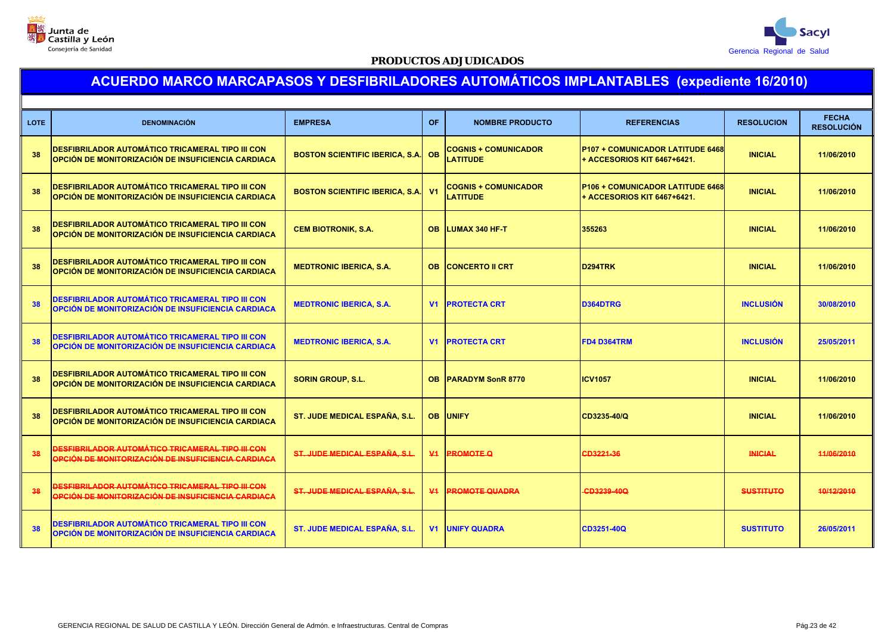



| <b>LOTE</b> | <b>DENOMINACIÓN</b>                                                                                                   | <b>EMPRESA</b>                         | <b>OF</b>      | <b>NOMBRE PRODUCTO</b>                         | <b>REFERENCIAS</b>                                                            | <b>RESOLUCION</b> | <b>FECHA</b><br><b>RESOLUCIÓN</b> |
|-------------|-----------------------------------------------------------------------------------------------------------------------|----------------------------------------|----------------|------------------------------------------------|-------------------------------------------------------------------------------|-------------------|-----------------------------------|
| 38          | <b>DESFIBRILADOR AUTOMÁTICO TRICAMERAL TIPO III CON</b><br><b>OPCIÓN DE MONITORIZACIÓN DE INSUFICIENCIA CARDIACA</b>  | <b>BOSTON SCIENTIFIC IBERICA, S.A.</b> | <b>OB</b>      | <b>COGNIS + COMUNICADOR</b><br><b>LATITUDE</b> | <b>P107 + COMUNICADOR LATITUDE 6468</b><br><b>+ ACCESORIOS KIT 6467+6421.</b> | <b>INICIAL</b>    | 11/06/2010                        |
| 38          | <b>DESFIBRILADOR AUTOMÁTICO TRICAMERAL TIPO III CON</b><br><b>OPCIÓN DE MONITORIZACIÓN DE INSUFICIENCIA CARDIACA</b>  | <b>BOSTON SCIENTIFIC IBERICA, S.A.</b> | V <sub>1</sub> | <b>COGNIS + COMUNICADOR</b><br><b>LATITUDE</b> | <b>P106 + COMUNICADOR LATITUDE 6468</b><br>+ ACCESORIOS KIT 6467+6421.        | <b>INICIAL</b>    | 11/06/2010                        |
| 38          | <b>DESFIBRILADOR AUTOMÁTICO TRICAMERAL TIPO III CON</b><br><b>OPCIÓN DE MONITORIZACIÓN DE INSUFICIENCIA CARDIACA</b>  | <b>CEM BIOTRONIK, S.A.</b>             | <b>OB</b>      | <b>ILUMAX 340 HF-T</b>                         | 355263                                                                        | <b>INICIAL</b>    | 11/06/2010                        |
| 38          | <b>IDESFIBRILADOR AUTOMÁTICO TRICAMERAL TIPO III CON</b><br><b>OPCIÓN DE MONITORIZACIÓN DE INSUFICIENCIA CARDIACA</b> | <b>MEDTRONIC IBERICA, S.A.</b>         | <b>OB</b>      | <b>CONCERTO II CRT</b>                         | D294TRK                                                                       | <b>INICIAL</b>    | 11/06/2010                        |
| 38          | <b>DESFIBRILADOR AUTOMÁTICO TRICAMERAL TIPO III CON</b><br><b>OPCIÓN DE MONITORIZACIÓN DE INSUFICIENCIA CARDIACA</b>  | <b>MEDTRONIC IBERICA, S.A.</b>         | V <sub>1</sub> | <b>PROTECTA CRT</b>                            | D364DTRG                                                                      | <b>INCLUSIÓN</b>  | 30/08/2010                        |
| 38          | <b>DESFIBRILADOR AUTOMÁTICO TRICAMERAL TIPO III CON</b><br><b>OPCIÓN DE MONITORIZACIÓN DE INSUFICIENCIA CARDIACA</b>  | <b>MEDTRONIC IBERICA, S.A.</b>         | V <sub>1</sub> | <b>PROTECTA CRT</b>                            | <b>FD4 D364TRM</b>                                                            | <b>INCLUSIÓN</b>  | 25/05/2011                        |
| 38          | <b>DESFIBRILADOR AUTOMÁTICO TRICAMERAL TIPO III CON</b><br><b>OPCIÓN DE MONITORIZACIÓN DE INSUFICIENCIA CARDIACA</b>  | <b>SORIN GROUP, S.L.</b>               | <b>OB</b>      | <b>PARADYM SonR 8770</b>                       | <b>ICV1057</b>                                                                | <b>INICIAL</b>    | 11/06/2010                        |
| 38          | <b>DESFIBRILADOR AUTOMÁTICO TRICAMERAL TIPO III CON</b><br>OPCIÓN DE MONITORIZACIÓN DE INSUFICIENCIA CARDIACA         | ST. JUDE MEDICAL ESPAÑA, S.L.          | <b>OB</b>      | <b>UNIFY</b>                                   | CD3235-40/Q                                                                   | <b>INICIAL</b>    | 11/06/2010                        |
| 38          | <b>DESFIBRILADOR AUTOMÁTICO TRICAMERAL TIPO III CON</b><br>OPCIÓN DE MONITORIZACIÓN DE INSUFICIENCIA CARDIACA         | ST. JUDE MEDICAL ESPAÑA, S.L.          | $V_1$          | <b>PROMOTE Q</b>                               | CD3221-36                                                                     | <b>INICIAL</b>    | 11/06/2010                        |
| 38          | DESFIBRILADOR AUTOMÁTICO TRICAMERAL TIPO III CON<br>OPCIÓN DE MONITORIZACIÓN DE INSUFICIENCIA CARDIACA                | ST. JUDE MEDICAL ESPAÑA, S.L.          | ₩4             | <b>PROMOTE QUADRA</b>                          | CD3239-40Q                                                                    | <b>SUSTITUTO</b>  | 10/12/2010                        |
| 38          | <b>DESFIBRILADOR AUTOMÁTICO TRICAMERAL TIPO III CON</b><br><b>OPCIÓN DE MONITORIZACIÓN DE INSUFICIENCIA CARDIACA</b>  | ST. JUDE MEDICAL ESPAÑA, S.L.          |                | <b>V1 UNIFY QUADRA</b>                         | CD3251-40Q                                                                    | <b>SUSTITUTO</b>  | 26/05/2011                        |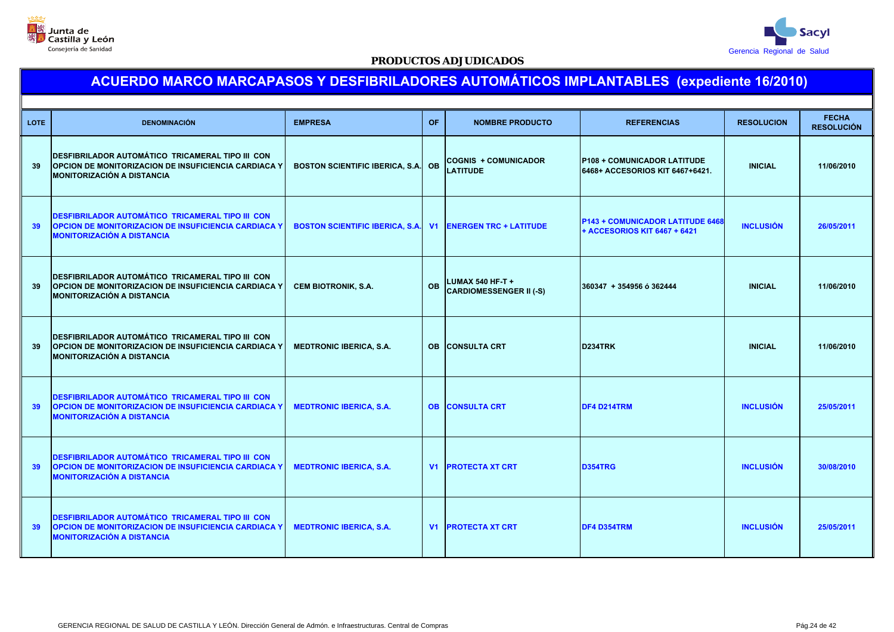



| <b>LOTE</b> | <b>DENOMINACIÓN</b>                                                                                                                                         | <b>EMPRESA</b>                         | <b>OF</b> | <b>NOMBRE PRODUCTO</b>                             | <b>REFERENCIAS</b>                                                      | <b>RESOLUCION</b> | <b>FECHA</b><br><b>RESOLUCIÓN</b> |
|-------------|-------------------------------------------------------------------------------------------------------------------------------------------------------------|----------------------------------------|-----------|----------------------------------------------------|-------------------------------------------------------------------------|-------------------|-----------------------------------|
| 39          | <b>DESFIBRILADOR AUTOMÁTICO TRICAMERAL TIPO III CON</b><br><b>OPCION DE MONITORIZACION DE INSUFICIENCIA CARDIACA Y</b><br>MONITORIZACIÓN A DISTANCIA        | <b>BOSTON SCIENTIFIC IBERICA, S.A.</b> | <b>OB</b> | <b>COGNIS + COMUNICADOR</b><br><b>LATITUDE</b>     | <b>P108 + COMUNICADOR LATITUDE</b><br>6468+ ACCESORIOS KIT 6467+6421.   | <b>INICIAL</b>    | 11/06/2010                        |
| 39          | DESFIBRILADOR AUTOMÁTICO TRICAMERAL TIPO III CON<br>OPCION DE MONITORIZACION DE INSUFICIENCIA CARDIACA Y<br><b>MONITORIZACIÓN A DISTANCIA</b>               | <b>BOSTON SCIENTIFIC IBERICA, S.A.</b> | V1        | <b>ENERGEN TRC + LATITUDE</b>                      | <b>P143 + COMUNICADOR LATITUDE 6468</b><br>+ ACCESORIOS KIT 6467 + 6421 | <b>INCLUSIÓN</b>  | 26/05/2011                        |
| 39          | <b>DESFIBRILADOR AUTOMÁTICO TRICAMERAL TIPO III CON</b><br><b>OPCION DE MONITORIZACION DE INSUFICIENCIA CARDIACA Y</b><br><b>MONITORIZACIÓN A DISTANCIA</b> | <b>CEM BIOTRONIK, S.A.</b>             | <b>OB</b> | LUMAX 540 HF-T +<br><b>CARDIOMESSENGER II (-S)</b> | 360347 + 354956 ó 362444                                                | <b>INICIAL</b>    | 11/06/2010                        |
| 39          | <b>DESFIBRILADOR AUTOMÁTICO TRICAMERAL TIPO III CON</b><br><b>OPCION DE MONITORIZACION DE INSUFICIENCIA CARDIACA Y</b><br><b>MONITORIZACIÓN A DISTANCIA</b> | <b>MEDTRONIC IBERICA, S.A.</b>         |           | <b>OB CONSULTA CRT</b>                             | D234TRK                                                                 | <b>INICIAL</b>    | 11/06/2010                        |
| 39          | <b>DESFIBRILADOR AUTOMÁTICO TRICAMERAL TIPO III CON</b><br>OPCION DE MONITORIZACION DE INSUFICIENCIA CARDIACA Y<br><b>MONITORIZACIÓN A DISTANCIA</b>        | <b>MEDTRONIC IBERICA, S.A.</b>         |           | <b>OB CONSULTA CRT</b>                             | DF4 D214TRM                                                             | <b>INCLUSIÓN</b>  | 25/05/2011                        |
| 39          | DESFIBRILADOR AUTOMÁTICO TRICAMERAL TIPO III CON<br>OPCION DE MONITORIZACION DE INSUFICIENCIA CARDIACA Y<br><b>MONITORIZACIÓN A DISTANCIA</b>               | <b>MEDTRONIC IBERICA, S.A.</b>         |           | <b>V1 PROTECTA XT CRT</b>                          | <b>D354TRG</b>                                                          | <b>INCLUSIÓN</b>  | 30/08/2010                        |
| 39          | <b>DESFIBRILADOR AUTOMÁTICO TRICAMERAL TIPO III CON</b><br>OPCION DE MONITORIZACION DE INSUFICIENCIA CARDIACA Y<br><b>MONITORIZACIÓN A DISTANCIA</b>        | <b>MEDTRONIC IBERICA, S.A.</b>         |           | <b>V1 PROTECTA XT CRT</b>                          | DF4 D354TRM                                                             | <b>INCLUSIÓN</b>  | 25/05/2011                        |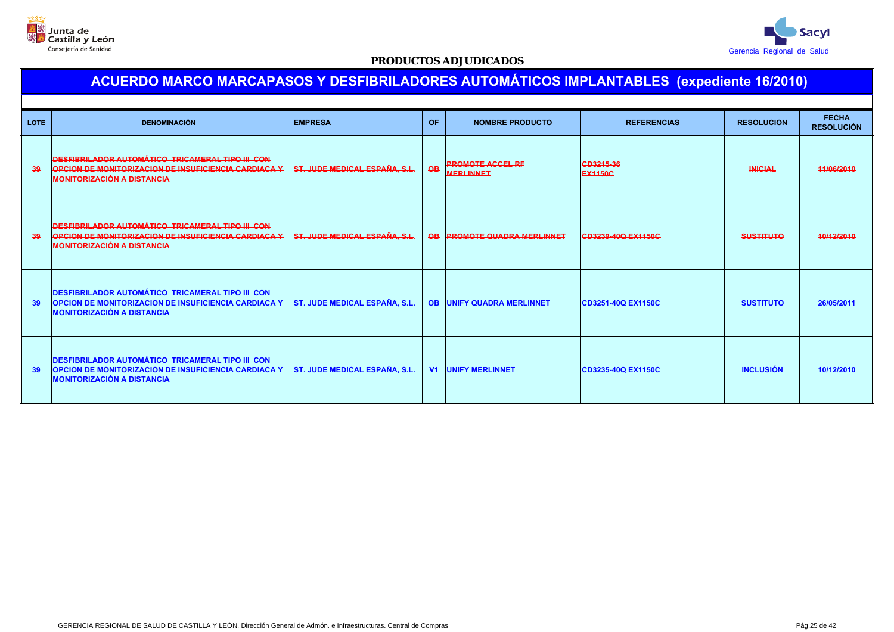



| <b>LOTE</b> | <b>DENOMINACIÓN</b>                                                                                                                                         | <b>EMPRESA</b>                | <b>OF</b>       | <b>NOMBRE PRODUCTO</b>                      | <b>REFERENCIAS</b>          | <b>RESOLUCION</b> | <b>FECHA</b><br><b>RESOLUCIÓN</b> |
|-------------|-------------------------------------------------------------------------------------------------------------------------------------------------------------|-------------------------------|-----------------|---------------------------------------------|-----------------------------|-------------------|-----------------------------------|
| 39          | DESFIBRILADOR AUTOMÁTICO TRICAMERAL TIPO III CON<br><b>OPCION DE MONITORIZACION DE INSUFICIENCIA CARDIACA Y</b><br><b>MONITORIZACIÓN A DISTANCIA</b>        | ST. JUDE MEDICAL ESPAÑA, S.L. | $\overline{OB}$ | <b>PROMOTE ACCEL RF</b><br><b>MERLINNET</b> | CD3215-36<br><b>EX1150C</b> | <b>INICIAL</b>    | 44/06/2010                        |
| 39          | DESFIBRILADOR AUTOMÁTICO TRICAMERAL TIPO III CON<br>OPCION DE MONITORIZACION DE INSUFICIENCIA CARDIACA Y<br><b>MONITORIZACIÓN A DISTANCIA</b>               | ST. JUDE MEDICAL ESPAÑA, S.L. |                 | OB PROMOTE QUADRA MERLINNET                 | CD3239-40Q EX1150C          | <b>SUSTITUTO</b>  | 40/12/2010                        |
| 39          | <b>DESFIBRILADOR AUTOMÁTICO TRICAMERAL TIPO III CON</b><br><b>OPCION DE MONITORIZACION DE INSUFICIENCIA CARDIACA Y</b><br><b>MONITORIZACIÓN A DISTANCIA</b> | ST. JUDE MEDICAL ESPAÑA, S.L. |                 | <b>OB UNIFY QUADRA MERLINNET</b>            | CD3251-40Q EX1150C          | <b>SUSTITUTO</b>  | 26/05/2011                        |
| 39          | <b>DESFIBRILADOR AUTOMÁTICO TRICAMERAL TIPO III CON</b><br><b>OPCION DE MONITORIZACION DE INSUFICIENCIA CARDIACA Y</b><br><b>MONITORIZACIÓN A DISTANCIA</b> | ST. JUDE MEDICAL ESPAÑA, S.L. |                 | <b>V1 UNIFY MERLINNET</b>                   | CD3235-40Q EX1150C          | <b>INCLUSIÓN</b>  | 10/12/2010                        |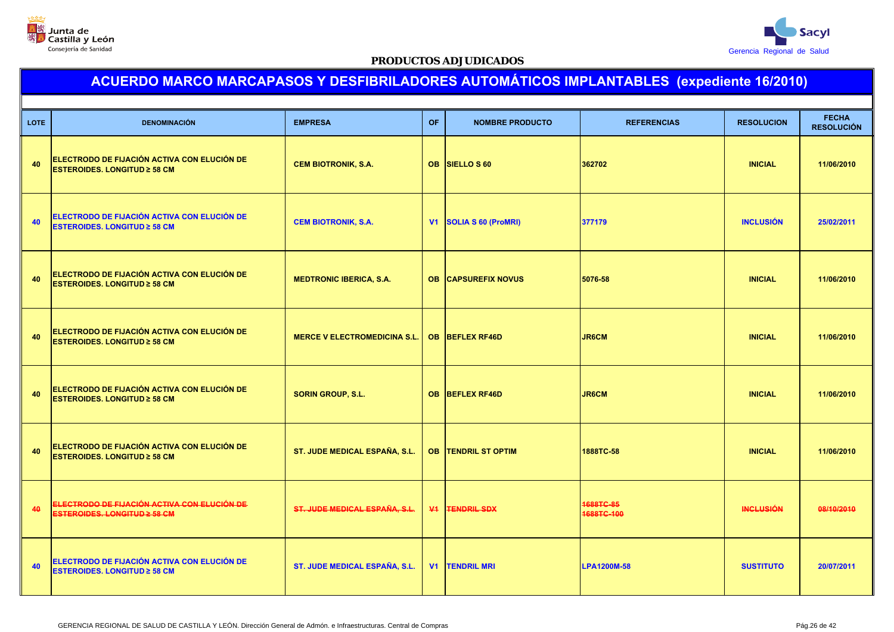



| <b>LOTE</b> | <b>DENOMINACIÓN</b>                                                                 | <b>EMPRESA</b>                       | <b>OF</b>      | <b>NOMBRE PRODUCTO</b>     | <b>REFERENCIAS</b>      | <b>RESOLUCION</b> | <b>FECHA</b><br><b>RESOLUCIÓN</b> |
|-------------|-------------------------------------------------------------------------------------|--------------------------------------|----------------|----------------------------|-------------------------|-------------------|-----------------------------------|
| 40          | ELECTRODO DE FIJACIÓN ACTIVA CON ELUCIÓN DE<br><b>ESTEROIDES. LONGITUD ≥ 58 CM</b>  | <b>CEM BIOTRONIK, S.A.</b>           |                | OB SIELLO S 60             | 362702                  | <b>INICIAL</b>    | 11/06/2010                        |
| 40          | ELECTRODO DE FIJACIÓN ACTIVA CON ELUCIÓN DE<br><b>ESTEROIDES, LONGITUD ≥ 58 CM</b>  | <b>CEM BIOTRONIK, S.A.</b>           | V <sub>1</sub> | <b>SOLIA S 60 (ProMRI)</b> | 377179                  | <b>INCLUSIÓN</b>  | 25/02/2011                        |
| 40          | ELECTRODO DE FIJACIÓN ACTIVA CON ELUCIÓN DE<br><b>ESTEROIDES. LONGITUD ≥ 58 CM</b>  | <b>MEDTRONIC IBERICA, S.A.</b>       |                | <b>OB CAPSUREFIX NOVUS</b> | 5076-58                 | <b>INICIAL</b>    | 11/06/2010                        |
| 40          | ELECTRODO DE FIJACIÓN ACTIVA CON ELUCIÓN DE<br><b>ESTEROIDES. LONGITUD ≥ 58 CM</b>  | <b>MERCE V ELECTROMEDICINA S.L.</b>  |                | OB BEFLEX RF46D            | <b>JR6CM</b>            | <b>INICIAL</b>    | 11/06/2010                        |
| 40          | ELECTRODO DE FIJACIÓN ACTIVA CON ELUCIÓN DE<br><b>ESTEROIDES. LONGITUD ≥ 58 CM</b>  | <b>SORIN GROUP, S.L.</b>             | <b>OB</b>      | <b>BEFLEX RF46D</b>        | <b>JR6CM</b>            | <b>INICIAL</b>    | 11/06/2010                        |
| 40          | ELECTRODO DE FIJACIÓN ACTIVA CON ELUCIÓN DE<br><b>ESTEROIDES. LONGITUD ≥ 58 CM</b>  | ST. JUDE MEDICAL ESPAÑA, S.L.        |                | <b>OB TENDRIL ST OPTIM</b> | 1888TC-58               | <b>INICIAL</b>    | 11/06/2010                        |
| 40          | <u>ELECTRODO DE FIJACIÓN ACTIVA CON ELUCIÓN DE </u><br>ESTEROIDES. LONGITUD 2 58 CM | ST. JUDE MEDICAL ESPAÑA, S.L.        |                | <b>V1 FENDRIL SDX</b>      | 1688TC-85<br>1688TC-100 | <b>INCLUSIÓN</b>  | 08/10/2010                        |
| 40          | ELECTRODO DE FIJACIÓN ACTIVA CON ELUCIÓN DE<br><b>ESTEROIDES. LONGITUD ≥ 58 CM</b>  | <b>ST. JUDE MEDICAL ESPAÑA, S.L.</b> | V <sub>1</sub> | <b>TENDRIL MRI</b>         | <b>LPA1200M-58</b>      | <b>SUSTITUTO</b>  | 20/07/2011                        |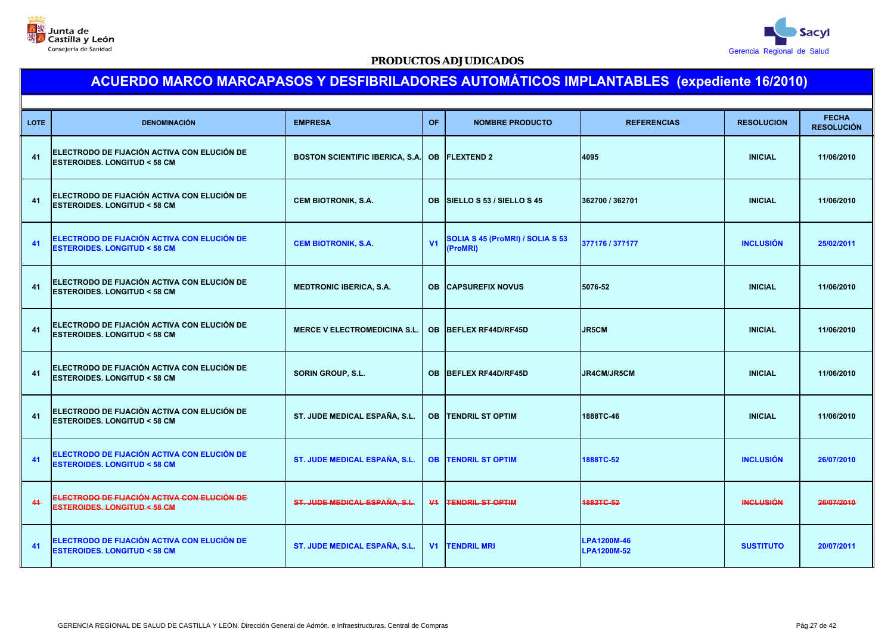



| <b>DENOMINACIÓN</b>                                                                   | <b>EMPRESA</b>                      | <b>OF</b>      | <b>NOMBRE PRODUCTO</b>                       | <b>REFERENCIAS</b>                                                                                                                                                                                                                             | <b>RESOLUCION</b>                                                                                         | <b>FECHA</b><br><b>RESOLUCIÓN</b> |
|---------------------------------------------------------------------------------------|-------------------------------------|----------------|----------------------------------------------|------------------------------------------------------------------------------------------------------------------------------------------------------------------------------------------------------------------------------------------------|-----------------------------------------------------------------------------------------------------------|-----------------------------------|
| ELECTRODO DE FIJACIÓN ACTIVA CON ELUCIÓN DE<br><b>ESTEROIDES. LONGITUD &lt; 58 CM</b> |                                     |                |                                              |                                                                                                                                                                                                                                                | <b>INICIAL</b>                                                                                            | 11/06/2010                        |
| ELECTRODO DE FIJACIÓN ACTIVA CON ELUCIÓN DE<br><b>ESTEROIDES. LONGITUD &lt; 58 CM</b> | <b>CEM BIOTRONIK, S.A.</b>          | OB.            |                                              |                                                                                                                                                                                                                                                | <b>INICIAL</b>                                                                                            | 11/06/2010                        |
| ELECTRODO DE FIJACIÓN ACTIVA CON ELUCIÓN DE<br><b>ESTEROIDES. LONGITUD &lt; 58 CM</b> | <b>CEM BIOTRONIK, S.A.</b>          | V <sub>1</sub> | SOLIA S 45 (ProMRI) / SOLIA S 53<br>(ProMRI) |                                                                                                                                                                                                                                                | <b>INCLUSIÓN</b>                                                                                          | 25/02/2011                        |
| ELECTRODO DE FIJACIÓN ACTIVA CON ELUCIÓN DE<br><b>ESTEROIDES. LONGITUD &lt; 58 CM</b> | <b>MEDTRONIC IBERICA, S.A.</b>      |                |                                              |                                                                                                                                                                                                                                                | <b>INICIAL</b>                                                                                            | 11/06/2010                        |
| ELECTRODO DE FIJACIÓN ACTIVA CON ELUCIÓN DE<br><b>ESTEROIDES. LONGITUD &lt; 58 CM</b> | <b>MERCE V ELECTROMEDICINA S.L.</b> | <b>OB</b>      |                                              |                                                                                                                                                                                                                                                | <b>INICIAL</b>                                                                                            | 11/06/2010                        |
| ELECTRODO DE FIJACIÓN ACTIVA CON ELUCIÓN DE<br><b>ESTEROIDES, LONGITUD &lt; 58 CM</b> | <b>SORIN GROUP, S.L.</b>            |                |                                              |                                                                                                                                                                                                                                                | <b>INICIAL</b>                                                                                            | 11/06/2010                        |
| ELECTRODO DE FIJACIÓN ACTIVA CON ELUCIÓN DE<br><b>ESTEROIDES, LONGITUD &lt; 58 CM</b> | ST. JUDE MEDICAL ESPAÑA, S.L.       | <b>OB</b>      |                                              |                                                                                                                                                                                                                                                | <b>INICIAL</b>                                                                                            | 11/06/2010                        |
| ELECTRODO DE FIJACIÓN ACTIVA CON ELUCIÓN DE<br><b>ESTEROIDES. LONGITUD &lt; 58 CM</b> | ST. JUDE MEDICAL ESPAÑA, S.L.       |                |                                              | 1888TC-52                                                                                                                                                                                                                                      | <b>INCLUSIÓN</b>                                                                                          | 26/07/2010                        |
| ELECTRODO DE FIJACIÓN ACTIVA CON ELUCIÓN DE<br><b>ESTEROIDES. LONGITUD &lt; 58 CM</b> | ST. JUDE MEDICAL ESPAÑA, S.L.       | $\Psi$         |                                              | 1882TC-52                                                                                                                                                                                                                                      | <b>INCLUSIÓN</b>                                                                                          | 26/07/2010                        |
| ELECTRODO DE FIJACIÓN ACTIVA CON ELUCIÓN DE<br><b>ESTEROIDES. LONGITUD &lt; 58 CM</b> | ST. JUDE MEDICAL ESPAÑA, S.L.       |                |                                              | LPA1200M-52                                                                                                                                                                                                                                    | <b>SUSTITUTO</b>                                                                                          | 20/07/2011                        |
|                                                                                       |                                     |                | <b>BOSTON SCIENTIFIC IBERICA, S.A.</b>       | <b>OB FLEXTEND 2</b><br>SIELLO S 53 / SIELLO S 45<br><b>OB CAPSUREFIX NOVUS</b><br>BEFLEX RF44D/RF45D<br>OB BEFLEX RF44D/RF45D<br><b>ITENDRIL ST OPTIM</b><br><b>OB TENDRIL ST OPTIM</b><br><b>TENDRIL ST OPTIM</b><br><b>V1   TENDRIL MRI</b> | 4095<br>362700 / 362701<br>377176 / 377177<br>5076-52<br>JR5CM<br>JR4CM/JR5CM<br>1888TC-46<br>LPA1200M-46 |                                   |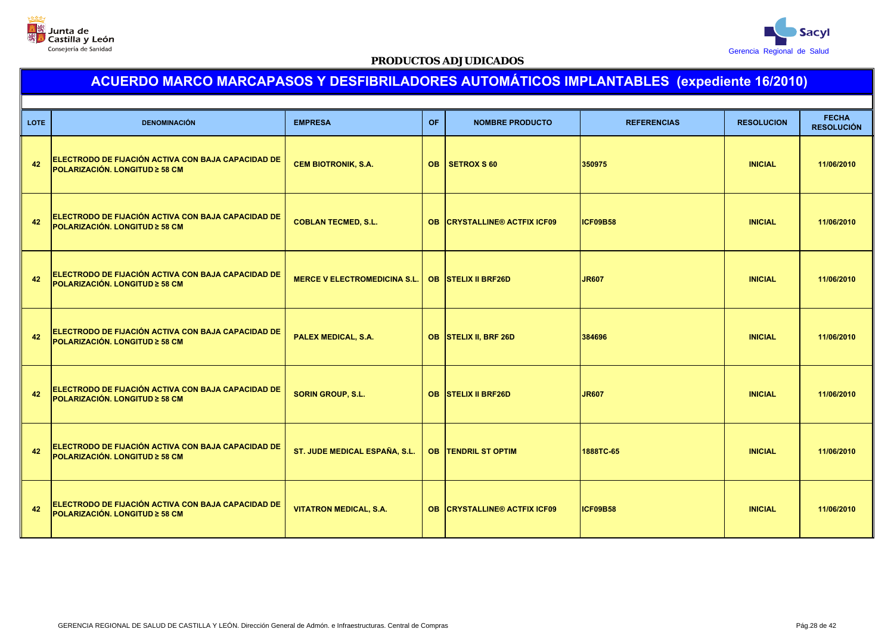



| <b>LOTE</b> | <b>DENOMINACIÓN</b>                                                                         | <b>EMPRESA</b>                      | <b>OF</b> | <b>NOMBRE PRODUCTO</b>              | <b>REFERENCIAS</b> | <b>RESOLUCION</b> | <b>FECHA</b><br><b>RESOLUCIÓN</b> |
|-------------|---------------------------------------------------------------------------------------------|-------------------------------------|-----------|-------------------------------------|--------------------|-------------------|-----------------------------------|
| 42          | ELECTRODO DE FIJACIÓN ACTIVA CON BAJA CAPACIDAD DE<br>POLARIZACIÓN. LONGITUD ≥ 58 CM        | <b>CEM BIOTRONIK, S.A.</b>          | <b>OB</b> | SETROX S 60                         | 350975             | <b>INICIAL</b>    | 11/06/2010                        |
| 42          | ELECTRODO DE FIJACIÓN ACTIVA CON BAJA CAPACIDAD DE<br><b>POLARIZACIÓN, LONGITUD ≥ 58 CM</b> | <b>COBLAN TECMED, S.L.</b>          |           | <b>OB CRYSTALLINE® ACTFIX ICF09</b> | ICF09B58           | <b>INICIAL</b>    | 11/06/2010                        |
| 42          | ELECTRODO DE FIJACIÓN ACTIVA CON BAJA CAPACIDAD DE<br>POLARIZACIÓN. LONGITUD ≥ 58 CM        | <b>MERCE V ELECTROMEDICINA S.L.</b> |           | <b>OB STELIX II BRF26D</b>          | <b>JR607</b>       | <b>INICIAL</b>    | 11/06/2010                        |
| 42          | ELECTRODO DE FIJACIÓN ACTIVA CON BAJA CAPACIDAD DE<br>POLARIZACIÓN. LONGITUD ≥ 58 CM        | <b>PALEX MEDICAL, S.A.</b>          |           | OB STELIX II, BRF 26D               | 384696             | <b>INICIAL</b>    | 11/06/2010                        |
| 42          | ELECTRODO DE FIJACIÓN ACTIVA CON BAJA CAPACIDAD DE<br>POLARIZACIÓN, LONGITUD ≥ 58 CM        | <b>SORIN GROUP, S.L.</b>            |           | <b>OB STELIX II BRF26D</b>          | <b>JR607</b>       | <b>INICIAL</b>    | 11/06/2010                        |
| 42          | ELECTRODO DE FIJACIÓN ACTIVA CON BAJA CAPACIDAD DE<br><b>POLARIZACIÓN. LONGITUD ≥ 58 CM</b> | ST. JUDE MEDICAL ESPAÑA, S.L.       |           | <b>OB TENDRIL ST OPTIM</b>          | 1888TC-65          | <b>INICIAL</b>    | 11/06/2010                        |
| 42          | ELECTRODO DE FIJACIÓN ACTIVA CON BAJA CAPACIDAD DE<br>POLARIZACIÓN. LONGITUD ≥ 58 CM        | <b>VITATRON MEDICAL, S.A.</b>       |           | <b>OB CRYSTALLINE® ACTFIX ICF09</b> | <b>ICF09B58</b>    | <b>INICIAL</b>    | 11/06/2010                        |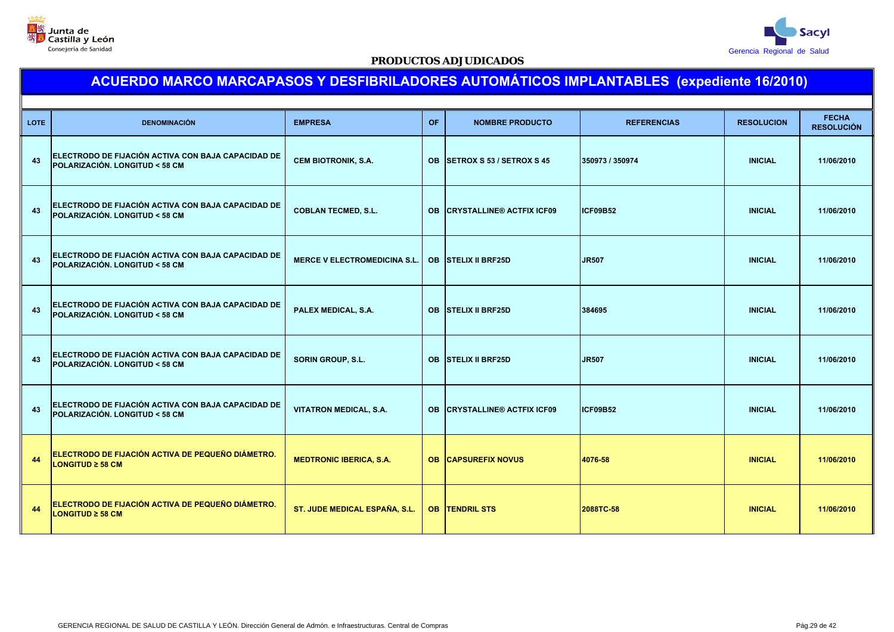



| <b>LOTE</b> | <b>DENOMINACIÓN</b>                                                                            | <b>EMPRESA</b>                      | <b>OF</b> | <b>NOMBRE PRODUCTO</b>           | <b>REFERENCIAS</b> | <b>RESOLUCION</b> | <b>FECHA</b><br><b>RESOLUCIÓN</b> |
|-------------|------------------------------------------------------------------------------------------------|-------------------------------------|-----------|----------------------------------|--------------------|-------------------|-----------------------------------|
| 43          | ELECTRODO DE FIJACIÓN ACTIVA CON BAJA CAPACIDAD DE<br><b>POLARIZACIÓN, LONGITUD &lt; 58 CM</b> | <b>CEM BIOTRONIK, S.A.</b>          | <b>OB</b> | <b>SETROX S 53 / SETROX S 45</b> | 350973 / 350974    | <b>INICIAL</b>    | 11/06/2010                        |
| 43          | ELECTRODO DE FIJACIÓN ACTIVA CON BAJA CAPACIDAD DE<br>POLARIZACIÓN. LONGITUD < 58 CM           | <b>COBLAN TECMED, S.L.</b>          | <b>OB</b> | <b>CRYSTALLINE® ACTFIX ICF09</b> | <b>ICF09B52</b>    | <b>INICIAL</b>    | 11/06/2010                        |
| 43          | ELECTRODO DE FIJACIÓN ACTIVA CON BAJA CAPACIDAD DE<br>POLARIZACIÓN. LONGITUD < 58 CM           | <b>MERCE V ELECTROMEDICINA S.L.</b> |           | <b>OB STELIX II BRF25D</b>       | <b>JR507</b>       | <b>INICIAL</b>    | 11/06/2010                        |
| 43          | ELECTRODO DE FIJACIÓN ACTIVA CON BAJA CAPACIDAD DE<br><b>POLARIZACIÓN, LONGITUD &lt; 58 CM</b> | PALEX MEDICAL, S.A.                 |           | OB STELIX II BRF25D              | 384695             | <b>INICIAL</b>    | 11/06/2010                        |
| 43          | ELECTRODO DE FIJACIÓN ACTIVA CON BAJA CAPACIDAD DE<br><b>POLARIZACIÓN, LONGITUD &lt; 58 CM</b> | <b>SORIN GROUP, S.L.</b>            |           | <b>OB STELIX II BRF25D</b>       | <b>JR507</b>       | <b>INICIAL</b>    | 11/06/2010                        |
| 43          | ELECTRODO DE FIJACIÓN ACTIVA CON BAJA CAPACIDAD DE<br>POLARIZACIÓN. LONGITUD < 58 CM           | <b>VITATRON MEDICAL, S.A.</b>       | <b>OB</b> | <b>CRYSTALLINE® ACTFIX ICF09</b> | <b>ICF09B52</b>    | <b>INICIAL</b>    | 11/06/2010                        |
| 44          | ELECTRODO DE FIJACIÓN ACTIVA DE PEQUEÑO DIÁMETRO.<br><b>LONGITUD ≥ 58 CM</b>                   | <b>MEDTRONIC IBERICA, S.A.</b>      |           | <b>OB CAPSUREFIX NOVUS</b>       | 4076-58            | <b>INICIAL</b>    | 11/06/2010                        |
| 44          | ELECTRODO DE FIJACIÓN ACTIVA DE PEQUEÑO DIÁMETRO.<br><b>LONGITUD ≥ 58 CM</b>                   | ST. JUDE MEDICAL ESPAÑA, S.L.       |           | <b>OB TENDRIL STS</b>            | 2088TC-58          | <b>INICIAL</b>    | 11/06/2010                        |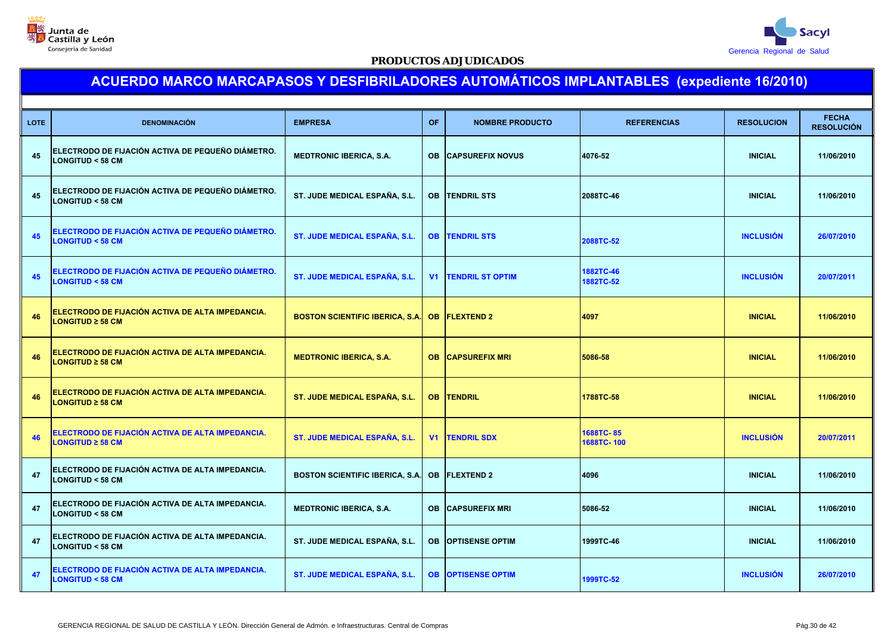



| <b>LOTE</b> | <b>DENOMINACIÓN</b>                                                                    | <b>EMPRESA</b>                         | <b>OF</b>      | <b>NOMBRE PRODUCTO</b>     | <b>REFERENCIAS</b>      | <b>RESOLUCION</b> | <b>FECHA</b><br><b>RESOLUCIÓN</b> |  |  |
|-------------|----------------------------------------------------------------------------------------|----------------------------------------|----------------|----------------------------|-------------------------|-------------------|-----------------------------------|--|--|
| 45          | <b>ELECTRODO DE FIJACIÓN ACTIVA DE PEQUEÑO DIÁMETRO.</b><br><b>LONGITUD &lt; 58 CM</b> | <b>MEDTRONIC IBERICA, S.A.</b>         |                | <b>OB CAPSUREFIX NOVUS</b> | 4076-52                 | <b>INICIAL</b>    | 11/06/2010                        |  |  |
| 45          | ELECTRODO DE FIJACIÓN ACTIVA DE PEQUEÑO DIÁMETRO.<br><b>LONGITUD &lt; 58 CM</b>        | ST. JUDE MEDICAL ESPAÑA, S.L.          |                | <b>OB ITENDRIL STS</b>     | 2088TC-46               | <b>INICIAL</b>    | 11/06/2010                        |  |  |
| 45          | ELECTRODO DE FIJACIÓN ACTIVA DE PEQUEÑO DIÁMETRO.<br><b>LONGITUD &lt; 58 CM</b>        | <b>ST. JUDE MEDICAL ESPAÑA, S.L.</b>   |                | <b>OB TENDRIL STS</b>      | 2088TC-52               | <b>INCLUSIÓN</b>  | 26/07/2010                        |  |  |
| 45          | ELECTRODO DE FIJACIÓN ACTIVA DE PEQUEÑO DIÁMETRO.<br><b>LONGITUD &lt; 58 CM</b>        | <b>ST. JUDE MEDICAL ESPAÑA, S.L.</b>   | V <sub>1</sub> | <b>TENDRIL ST OPTIM</b>    | 1882TC-46<br>1882TC-52  | <b>INCLUSIÓN</b>  | 20/07/2011                        |  |  |
| 46          | ELECTRODO DE FIJACIÓN ACTIVA DE ALTA IMPEDANCIA.<br><b>LONGITUD ≥ 58 CM</b>            | <b>BOSTON SCIENTIFIC IBERICA, S.A.</b> |                | <b>OB FLEXTEND 2</b>       | 4097                    | <b>INICIAL</b>    | 11/06/2010                        |  |  |
| 46          | ELECTRODO DE FIJACIÓN ACTIVA DE ALTA IMPEDANCIA.<br>LONGITUD ≥ 58 CM                   | <b>MEDTRONIC IBERICA, S.A.</b>         |                | <b>OB CAPSUREFIX MRI</b>   | 5086-58                 | <b>INICIAL</b>    | 11/06/2010                        |  |  |
| 46          | ELECTRODO DE FIJACIÓN ACTIVA DE ALTA IMPEDANCIA.<br>LONGITUD ≥ 58 CM                   | ST. JUDE MEDICAL ESPAÑA, S.L.          |                | <b>OB TENDRIL</b>          | 1788TC-58               | <b>INICIAL</b>    | 11/06/2010                        |  |  |
| 46          | ELECTRODO DE FIJACIÓN ACTIVA DE ALTA IMPEDANCIA.<br>$LONGITUD \geq 58$ CM              | ST. JUDE MEDICAL ESPAÑA, S.L.          | V1             | <b>TENDRIL SDX</b>         | 1688TC-85<br>1688TC-100 | <b>INCLUSIÓN</b>  | 20/07/2011                        |  |  |
| 47          | ELECTRODO DE FIJACIÓN ACTIVA DE ALTA IMPEDANCIA.<br><b>LONGITUD &lt; 58 CM</b>         | <b>BOSTON SCIENTIFIC IBERICA, S.A.</b> |                | <b>OB  FLEXTEND 2</b>      | 4096                    | <b>INICIAL</b>    | 11/06/2010                        |  |  |
| 47          | ELECTRODO DE FIJACIÓN ACTIVA DE ALTA IMPEDANCIA.<br><b>LONGITUD &lt; 58 CM</b>         | <b>MEDTRONIC IBERICA, S.A.</b>         |                | <b>OB CAPSUREFIX MRI</b>   | 5086-52                 | <b>INICIAL</b>    | 11/06/2010                        |  |  |
| 47          | ELECTRODO DE FIJACIÓN ACTIVA DE ALTA IMPEDANCIA.<br><b>LONGITUD &lt; 58 CM</b>         | ST. JUDE MEDICAL ESPAÑA, S.L.          |                | <b>OB OPTISENSE OPTIM</b>  | 1999TC-46               | <b>INICIAL</b>    | 11/06/2010                        |  |  |
| 47          | ELECTRODO DE FIJACIÓN ACTIVA DE ALTA IMPEDANCIA.<br><b>LONGITUD &lt; 58 CM</b>         | <b>ST. JUDE MEDICAL ESPAÑA, S.L.</b>   |                | <b>OB OPTISENSE OPTIM</b>  | 1999TC-52               | <b>INCLUSIÓN</b>  | 26/07/2010                        |  |  |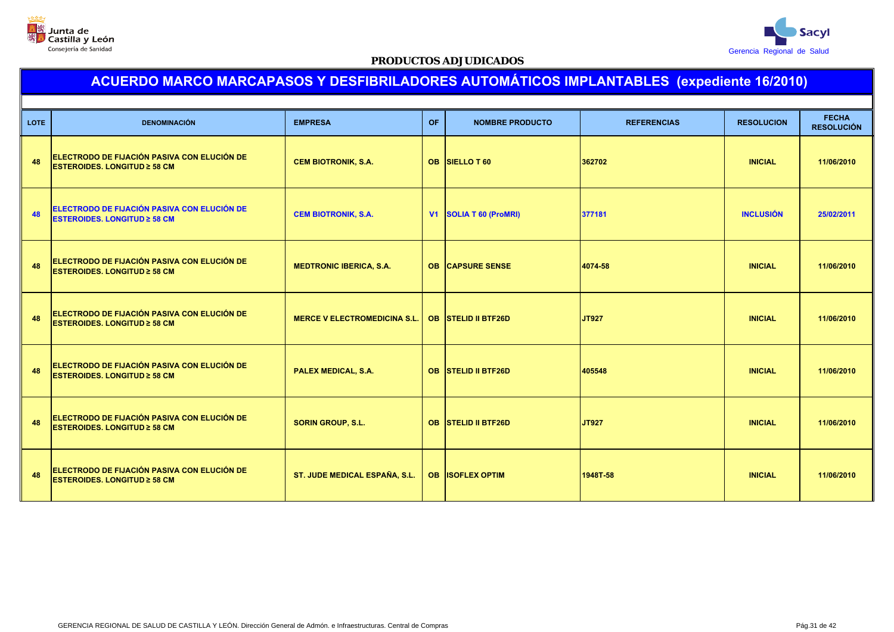



| <b>LOTE</b> | <b>DENOMINACIÓN</b>                                                                | <b>EMPRESA</b>                      | <b>OF</b> | <b>NOMBRE PRODUCTO</b>     | <b>REFERENCIAS</b> | <b>RESOLUCION</b> | <b>FECHA</b><br><b>RESOLUCIÓN</b> |
|-------------|------------------------------------------------------------------------------------|-------------------------------------|-----------|----------------------------|--------------------|-------------------|-----------------------------------|
| 48          | ELECTRODO DE FIJACIÓN PASIVA CON ELUCIÓN DE<br><b>ESTEROIDES. LONGITUD ≥ 58 CM</b> | <b>CEM BIOTRONIK, S.A.</b>          |           | OB SIELLO T 60             | 362702             | <b>INICIAL</b>    | 11/06/2010                        |
| 48          | ELECTRODO DE FIJACIÓN PASIVA CON ELUCIÓN DE<br><b>ESTEROIDES. LONGITUD ≥ 58 CM</b> | <b>CEM BIOTRONIK, S.A.</b>          |           | V1 SOLIA T 60 (ProMRI)     | 377181             | <b>INCLUSIÓN</b>  | 25/02/2011                        |
| 48          | ELECTRODO DE FIJACIÓN PASIVA CON ELUCIÓN DE<br><b>ESTEROIDES. LONGITUD ≥ 58 CM</b> | <b>MEDTRONIC IBERICA, S.A.</b>      |           | <b>OB CAPSURE SENSE</b>    | 4074-58            | <b>INICIAL</b>    | 11/06/2010                        |
| 48          | ELECTRODO DE FIJACIÓN PASIVA CON ELUCIÓN DE<br><b>ESTEROIDES. LONGITUD ≥ 58 CM</b> | <b>MERCE V ELECTROMEDICINA S.L.</b> |           | <b>OB STELID II BTF26D</b> | <b>JT927</b>       | <b>INICIAL</b>    | 11/06/2010                        |
| 48          | ELECTRODO DE FIJACIÓN PASIVA CON ELUCIÓN DE<br><b>ESTEROIDES. LONGITUD ≥ 58 CM</b> | <b>PALEX MEDICAL, S.A.</b>          |           | OB STELID II BTF26D        | 405548             | <b>INICIAL</b>    | 11/06/2010                        |
| 48          | ELECTRODO DE FIJACIÓN PASIVA CON ELUCIÓN DE<br><b>ESTEROIDES. LONGITUD ≥ 58 CM</b> | <b>SORIN GROUP, S.L.</b>            |           | <b>OB STELID II BTF26D</b> | <b>JT927</b>       | <b>INICIAL</b>    | 11/06/2010                        |
| 48          | ELECTRODO DE FIJACIÓN PASIVA CON ELUCIÓN DE<br><b>ESTEROIDES. LONGITUD ≥ 58 CM</b> | ST. JUDE MEDICAL ESPAÑA, S.L.       |           | <b>OB ISOFLEX OPTIM</b>    | 1948T-58           | <b>INICIAL</b>    | 11/06/2010                        |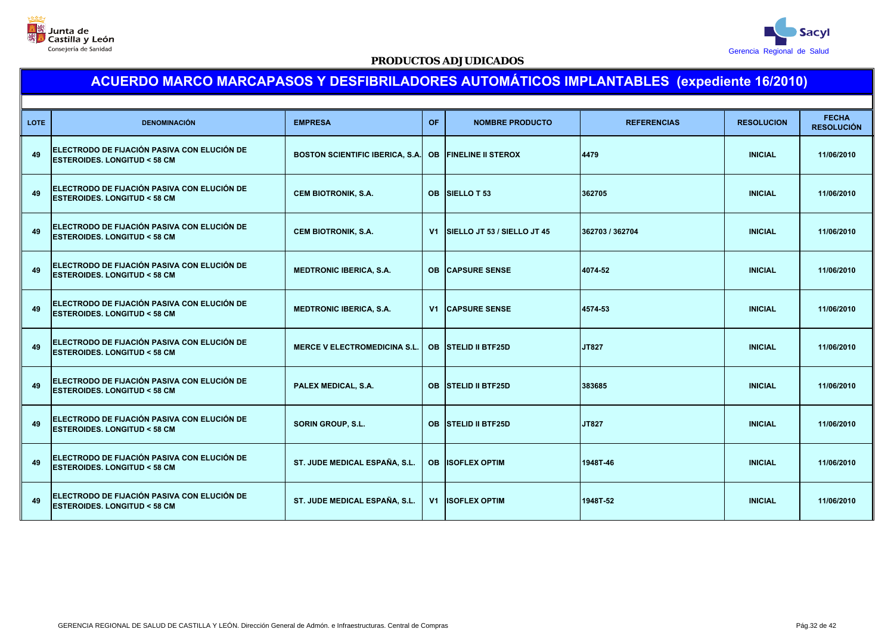



| <b>LOTE</b> | <b>DENOMINACIÓN</b>                                                                    | <b>EMPRESA</b>                         | OF.       | <b>NOMBRE PRODUCTO</b>           | <b>REFERENCIAS</b> | <b>RESOLUCION</b> | <b>FECHA</b><br><b>RESOLUCIÓN</b> |
|-------------|----------------------------------------------------------------------------------------|----------------------------------------|-----------|----------------------------------|--------------------|-------------------|-----------------------------------|
| 49          | ELECTRODO DE FIJACIÓN PASIVA CON ELUCIÓN DE<br><b>ESTEROIDES. LONGITUD &lt; 58 CM</b>  | <b>BOSTON SCIENTIFIC IBERICA, S.A.</b> | <b>OB</b> | <b>FINELINE II STEROX</b>        | 4479               | <b>INICIAL</b>    | 11/06/2010                        |
| 49          | ELECTRODO DE FIJACIÓN PASIVA CON ELUCIÓN DE<br><b>IESTEROIDES. LONGITUD &lt; 58 CM</b> | <b>CEM BIOTRONIK, S.A.</b>             |           | OB SIELLO T 53                   | 362705             | <b>INICIAL</b>    | 11/06/2010                        |
| 49          | ELECTRODO DE FIJACIÓN PASIVA CON ELUCIÓN DE<br><b>ESTEROIDES. LONGITUD &lt; 58 CM</b>  | <b>CEM BIOTRONIK, S.A.</b>             |           | V1   SIELLO JT 53 / SIELLO JT 45 | 362703 / 362704    | <b>INICIAL</b>    | 11/06/2010                        |
| 49          | ELECTRODO DE FIJACIÓN PASIVA CON ELUCIÓN DE<br><b>ESTEROIDES, LONGITUD &lt; 58 CM</b>  | <b>MEDTRONIC IBERICA, S.A.</b>         |           | <b>OB CAPSURE SENSE</b>          | 4074-52            | <b>INICIAL</b>    | 11/06/2010                        |
| 49          | ELECTRODO DE FIJACIÓN PASIVA CON ELUCIÓN DE<br><b>ESTEROIDES, LONGITUD &lt; 58 CM</b>  | <b>MEDTRONIC IBERICA, S.A.</b>         |           | <b>V1 CAPSURE SENSE</b>          | 4574-53            | <b>INICIAL</b>    | 11/06/2010                        |
| 49          | ELECTRODO DE FIJACIÓN PASIVA CON ELUCIÓN DE<br><b>ESTEROIDES, LONGITUD &lt; 58 CM</b>  | <b>MERCE V ELECTROMEDICINA S.L.</b>    |           | OB STELID II BTF25D              | JT827              | <b>INICIAL</b>    | 11/06/2010                        |
| 49          | ELECTRODO DE FIJACIÓN PASIVA CON ELUCIÓN DE<br><b>ESTEROIDES. LONGITUD &lt; 58 CM</b>  | PALEX MEDICAL, S.A.                    |           | OB STELID II BTF25D              | 383685             | <b>INICIAL</b>    | 11/06/2010                        |
| 49          | ELECTRODO DE FIJACIÓN PASIVA CON ELUCIÓN DE<br><b>ESTEROIDES. LONGITUD &lt; 58 CM</b>  | <b>SORIN GROUP, S.L.</b>               |           | <b>OB STELID II BTF25D</b>       | <b>JT827</b>       | <b>INICIAL</b>    | 11/06/2010                        |
| 49          | ELECTRODO DE FIJACIÓN PASIVA CON ELUCIÓN DE<br><b>ESTEROIDES. LONGITUD &lt; 58 CM</b>  | ST. JUDE MEDICAL ESPAÑA, S.L.          |           | <b>OB ISOFLEX OPTIM</b>          | 1948T-46           | <b>INICIAL</b>    | 11/06/2010                        |
| 49          | ELECTRODO DE FIJACIÓN PASIVA CON ELUCIÓN DE<br><b>ESTEROIDES, LONGITUD &lt; 58 CM</b>  | ST. JUDE MEDICAL ESPAÑA, S.L.          |           | <b>V1 IISOFLEX OPTIM</b>         | 1948T-52           | <b>INICIAL</b>    | 11/06/2010                        |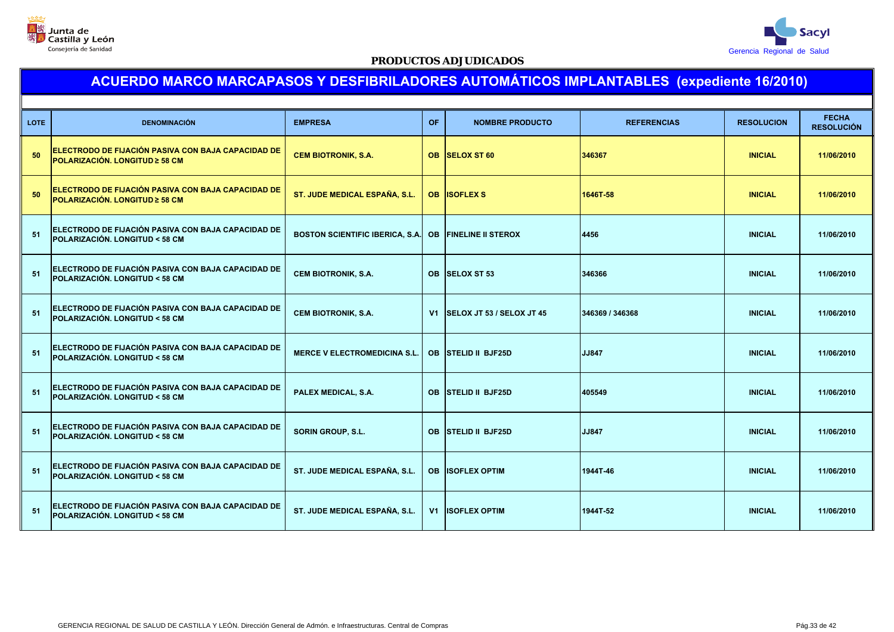



| <b>LOTE</b> | <b>DENOMINACIÓN</b>                                                                            | <b>EMPRESA</b>                            | <b>OF</b> | <b>NOMBRE PRODUCTO</b>       | <b>REFERENCIAS</b> | <b>RESOLUCION</b> | <b>FECHA</b><br><b>RESOLUCIÓN</b> |
|-------------|------------------------------------------------------------------------------------------------|-------------------------------------------|-----------|------------------------------|--------------------|-------------------|-----------------------------------|
| 50          | ELECTRODO DE FIJACIÓN PASIVA CON BAJA CAPACIDAD DE<br>POLARIZACIÓN. LONGITUD ≥ 58 CM           | <b>CEM BIOTRONIK, S.A.</b>                |           | <b>OB SELOX ST 60</b>        | 346367             | <b>INICIAL</b>    | 11/06/2010                        |
| 50          | ELECTRODO DE FIJACIÓN PASIVA CON BAJA CAPACIDAD DE<br>POLARIZACIÓN. LONGITUD ≥ 58 CM           | ST. JUDE MEDICAL ESPAÑA, S.L.             |           | <b>OB ISOFLEX S</b>          | 1646T-58           | <b>INICIAL</b>    | 11/06/2010                        |
| 51          | ELECTRODO DE FIJACIÓN PASIVA CON BAJA CAPACIDAD DE<br><b>POLARIZACIÓN, LONGITUD &lt; 58 CM</b> | <b>BOSTON SCIENTIFIC IBERICA, S.A.</b> OB |           | <b>FINELINE II STEROX</b>    | 4456               | <b>INICIAL</b>    | 11/06/2010                        |
| 51          | ELECTRODO DE FIJACIÓN PASIVA CON BAJA CAPACIDAD DE<br><b>POLARIZACIÓN, LONGITUD &lt; 58 CM</b> | <b>CEM BIOTRONIK, S.A.</b>                |           | OB SELOX ST 53               | 346366             | <b>INICIAL</b>    | 11/06/2010                        |
| 51          | ELECTRODO DE FIJACIÓN PASIVA CON BAJA CAPACIDAD DE<br>POLARIZACIÓN. LONGITUD < 58 CM           | <b>CEM BIOTRONIK, S.A.</b>                |           | V1 SELOX JT 53 / SELOX JT 45 | 346369 / 346368    | <b>INICIAL</b>    | 11/06/2010                        |
| 51          | ELECTRODO DE FIJACIÓN PASIVA CON BAJA CAPACIDAD DE<br><b>POLARIZACIÓN, LONGITUD &lt; 58 CM</b> | <b>MERCE V ELECTROMEDICINA S.L.</b>       |           | OB STELID II BJF25D          | JJ847              | <b>INICIAL</b>    | 11/06/2010                        |
| 51          | ELECTRODO DE FIJACIÓN PASIVA CON BAJA CAPACIDAD DE<br><b>POLARIZACIÓN. LONGITUD &lt; 58 CM</b> | PALEX MEDICAL, S.A.                       | <b>OB</b> | <b>STELID II BJF25D</b>      | 405549             | <b>INICIAL</b>    | 11/06/2010                        |
| 51          | ELECTRODO DE FIJACIÓN PASIVA CON BAJA CAPACIDAD DE<br>POLARIZACIÓN. LONGITUD < 58 CM           | <b>SORIN GROUP, S.L.</b>                  |           | <b>OB STELID II BJF25D</b>   | JJ847              | <b>INICIAL</b>    | 11/06/2010                        |
| 51          | ELECTRODO DE FIJACIÓN PASIVA CON BAJA CAPACIDAD DE<br><b>POLARIZACIÓN, LONGITUD &lt; 58 CM</b> | ST. JUDE MEDICAL ESPAÑA, S.L.             | <b>OB</b> | <b>ISOFLEX OPTIM</b>         | 1944T-46           | <b>INICIAL</b>    | 11/06/2010                        |
| 51          | ELECTRODO DE FIJACIÓN PASIVA CON BAJA CAPACIDAD DE<br><b>POLARIZACIÓN, LONGITUD &lt; 58 CM</b> | ST. JUDE MEDICAL ESPAÑA, S.L.             | V1        | <b>ISOFLEX OPTIM</b>         | 1944T-52           | <b>INICIAL</b>    | 11/06/2010                        |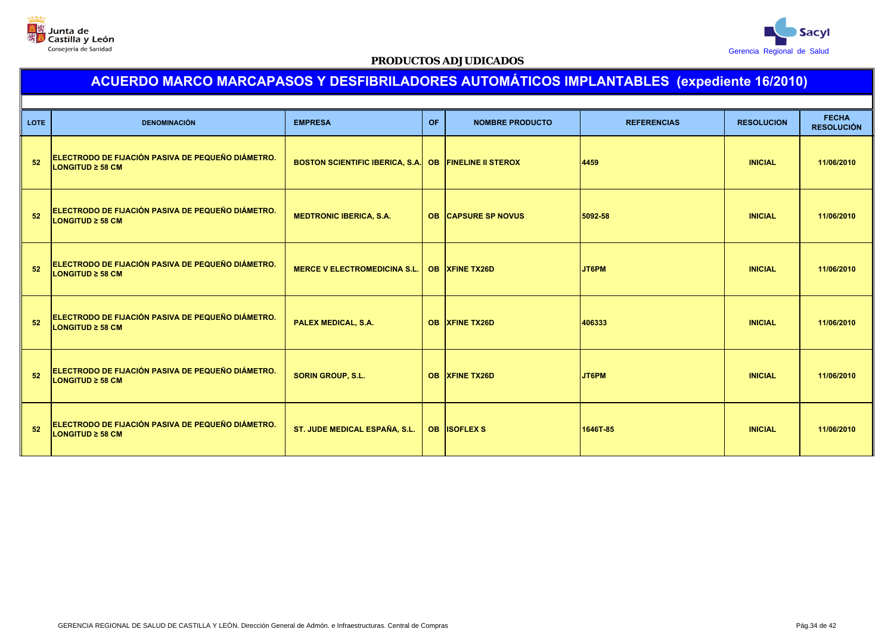



| <b>LOTE</b> | <b>DENOMINACIÓN</b>                                                        | <b>EMPRESA</b>                                        | <b>OF</b> | <b>NOMBRE PRODUCTO</b>     | <b>REFERENCIAS</b> | <b>RESOLUCION</b> | <b>FECHA</b><br><b>RESOLUCIÓN</b> |
|-------------|----------------------------------------------------------------------------|-------------------------------------------------------|-----------|----------------------------|--------------------|-------------------|-----------------------------------|
| 52          | ELECTRODO DE FIJACIÓN PASIVA DE PEQUEÑO DIÁMETRO.<br>LONGITUD ≥ 58 CM      | BOSTON SCIENTIFIC IBERICA, S.A. OB FINELINE II STEROX |           |                            | 4459               | <b>INICIAL</b>    | 11/06/2010                        |
| 52          | ELECTRODO DE FIJACIÓN PASIVA DE PEQUEÑO DIÁMETRO.<br>LONGITUD $\geq$ 58 CM | <b>MEDTRONIC IBERICA, S.A.</b>                        |           | <b>OB CAPSURE SP NOVUS</b> | 5092-58            | <b>INICIAL</b>    | 11/06/2010                        |
| 52          | ELECTRODO DE FIJACIÓN PASIVA DE PEQUEÑO DIÁMETRO.<br>LONGITUD $\geq$ 58 CM | <b>MERCE V ELECTROMEDICINA S.L.</b>                   |           | <b>OB XFINE TX26D</b>      | JT6PM              | <b>INICIAL</b>    | 11/06/2010                        |
| 52          | ELECTRODO DE FIJACIÓN PASIVA DE PEQUEÑO DIÁMETRO.<br>LONGITUD $\geq$ 58 CM | <b>PALEX MEDICAL, S.A.</b>                            |           | OB   XFINE TX26D           | 406333             | <b>INICIAL</b>    | 11/06/2010                        |
| 52          | ELECTRODO DE FIJACIÓN PASIVA DE PEQUEÑO DIÁMETRO.<br>$LONGITUD \geq 58 CM$ | <b>SORIN GROUP, S.L.</b>                              |           | <b>OB XFINE TX26D</b>      | JT6PM              | <b>INICIAL</b>    | 11/06/2010                        |
| 52          | ELECTRODO DE FIJACIÓN PASIVA DE PEQUEÑO DIÁMETRO.<br>LONGITUD ≥ 58 CM      | ST. JUDE MEDICAL ESPAÑA, S.L.                         |           | <b>OB ISOFLEX S</b>        | 1646T-85           | <b>INICIAL</b>    | 11/06/2010                        |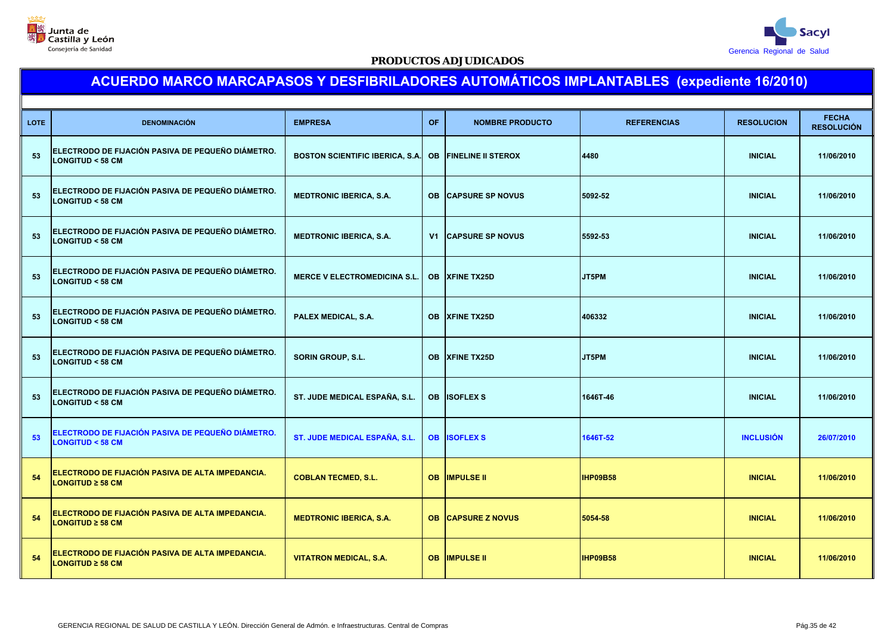



| <b>LOTE</b> | <b>DENOMINACIÓN</b>                                                              | <b>EMPRESA</b>                         | <b>OF</b> | <b>NOMBRE PRODUCTO</b>    | <b>REFERENCIAS</b> | <b>RESOLUCION</b> | <b>FECHA</b><br><b>RESOLUCIÓN</b> |
|-------------|----------------------------------------------------------------------------------|----------------------------------------|-----------|---------------------------|--------------------|-------------------|-----------------------------------|
| 53          | ELECTRODO DE FIJACIÓN PASIVA DE PEQUEÑO DIÁMETRO.<br><b>LONGITUD &lt; 58 CM</b>  | <b>BOSTON SCIENTIFIC IBERICA, S.A.</b> | <b>OB</b> | <b>FINELINE II STEROX</b> | 4480               | <b>INICIAL</b>    | 11/06/2010                        |
| 53          | ELECTRODO DE FIJACIÓN PASIVA DE PEQUEÑO DIÁMETRO.<br><b>LONGITUD &lt; 58 CM</b>  | <b>MEDTRONIC IBERICA, S.A.</b>         | <b>OB</b> | <b>CAPSURE SP NOVUS</b>   | 5092-52            | <b>INICIAL</b>    | 11/06/2010                        |
| 53          | ELECTRODO DE FIJACIÓN PASIVA DE PEQUEÑO DIÁMETRO.<br><b>LONGITUD &lt; 58 CM</b>  | <b>MEDTRONIC IBERICA, S.A.</b>         | V1        | <b>CAPSURE SP NOVUS</b>   | 5592-53            | <b>INICIAL</b>    | 11/06/2010                        |
| 53          | ELECTRODO DE FIJACIÓN PASIVA DE PEQUEÑO DIÁMETRO.<br><b>LONGITUD &lt; 58 CM</b>  | <b>MERCE V ELECTROMEDICINA S.L.</b>    | <b>OB</b> | <b>XFINE TX25D</b>        | JT5PM              | <b>INICIAL</b>    | 11/06/2010                        |
| 53          | ELECTRODO DE FIJACIÓN PASIVA DE PEQUEÑO DIÁMETRO.<br><b>LONGITUD &lt; 58 CM</b>  | PALEX MEDICAL, S.A.                    | <b>OB</b> | <b>XFINE TX25D</b>        | 406332             | <b>INICIAL</b>    | 11/06/2010                        |
| 53          | ELECTRODO DE FIJACIÓN PASIVA DE PEQUEÑO DIÁMETRO.<br><b>LONGITUD &lt; 58 CM</b>  | SORIN GROUP, S.L.                      | OB.       | <b>XFINE TX25D</b>        | JT5PM              | <b>INICIAL</b>    | 11/06/2010                        |
| 53          | ELECTRODO DE FIJACIÓN PASIVA DE PEQUEÑO DIÁMETRO.<br><b>LONGITUD &lt; 58 CM</b>  | ST. JUDE MEDICAL ESPAÑA, S.L.          | <b>OB</b> | <b>ISOFLEX S</b>          | 1646T-46           | <b>INICIAL</b>    | 11/06/2010                        |
| 53          | ELECTRODO DE FIJACIÓN PASIVA DE PEQUEÑO DIÁMETRO.<br><b>LONGITUD &lt; 58 CM</b>  | ST. JUDE MEDICAL ESPAÑA, S.L.          | <b>OB</b> | <b>ISOFLEX S</b>          | 1646T-52           | <b>INCLUSIÓN</b>  | 26/07/2010                        |
| 54          | ELECTRODO DE FIJACIÓN PASIVA DE ALTA IMPEDANCIA.<br>LONGITUD $\geq$ 58 CM        | <b>COBLAN TECMED, S.L.</b>             | <b>OB</b> | <b>IMPULSE II</b>         | <b>IHP09B58</b>    | <b>INICIAL</b>    | 11/06/2010                        |
| 54          | <b>ELECTRODO DE FIJACIÓN PASIVA DE ALTA IMPEDANCIA.</b><br>LONGITUD $\geq$ 58 CM | <b>MEDTRONIC IBERICA, S.A.</b>         |           | <b>OB CAPSURE Z NOVUS</b> | 5054-58            | <b>INICIAL</b>    | 11/06/2010                        |
| 54          | ELECTRODO DE FIJACIÓN PASIVA DE ALTA IMPEDANCIA.<br>$LONGITUD \geq 58 CM$        | <b>VITATRON MEDICAL, S.A.</b>          | OB.       | <b>IMPULSE II</b>         | <b>IHP09B58</b>    | <b>INICIAL</b>    | 11/06/2010                        |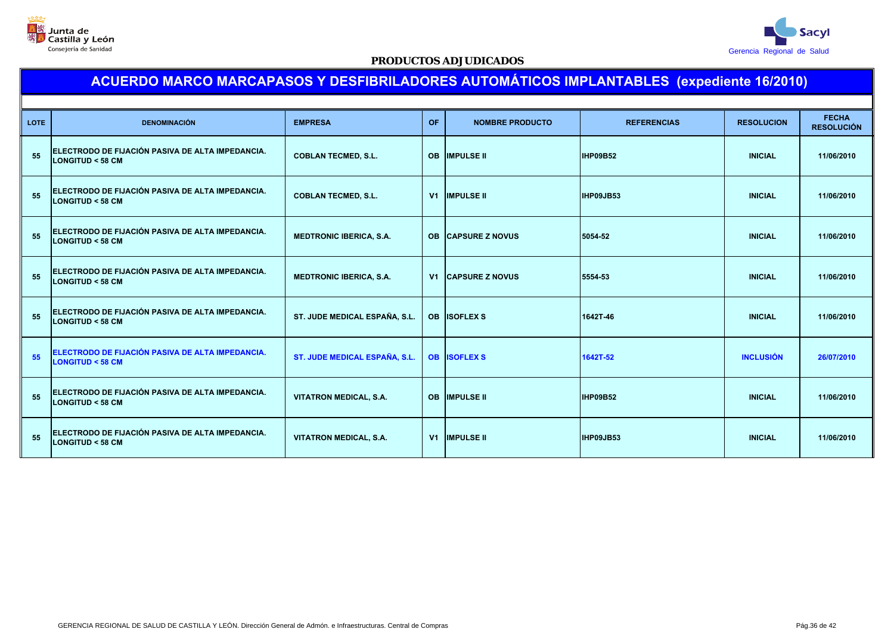



| <b>LOTE</b> | <b>DENOMINACIÓN</b>                                                            | <b>EMPRESA</b>                       | OF        | <b>NOMBRE PRODUCTO</b>    | <b>REFERENCIAS</b> | <b>RESOLUCION</b> | <b>FECHA</b><br><b>RESOLUCIÓN</b> |
|-------------|--------------------------------------------------------------------------------|--------------------------------------|-----------|---------------------------|--------------------|-------------------|-----------------------------------|
| 55          | ELECTRODO DE FIJACIÓN PASIVA DE ALTA IMPEDANCIA.<br><b>LONGITUD &lt; 58 CM</b> | <b>COBLAN TECMED, S.L.</b>           | <b>OB</b> | <b>IMPULSE II</b>         | <b>IHP09B52</b>    | <b>INICIAL</b>    | 11/06/2010                        |
| 55          | ELECTRODO DE FIJACIÓN PASIVA DE ALTA IMPEDANCIA.<br><b>LONGITUD &lt; 58 CM</b> | <b>COBLAN TECMED, S.L.</b>           |           | <b>V1 IMPULSE II</b>      | IHP09JB53          | <b>INICIAL</b>    | 11/06/2010                        |
| 55          | ELECTRODO DE FIJACIÓN PASIVA DE ALTA IMPEDANCIA.<br><b>LONGITUD &lt; 58 CM</b> | <b>MEDTRONIC IBERICA, S.A.</b>       |           | <b>OB CAPSURE Z NOVUS</b> | 5054-52            | <b>INICIAL</b>    | 11/06/2010                        |
| 55          | ELECTRODO DE FIJACIÓN PASIVA DE ALTA IMPEDANCIA.<br><b>LONGITUD &lt; 58 CM</b> | <b>MEDTRONIC IBERICA, S.A.</b>       |           | <b>V1 CAPSURE Z NOVUS</b> | 5554-53            | <b>INICIAL</b>    | 11/06/2010                        |
| 55          | ELECTRODO DE FIJACIÓN PASIVA DE ALTA IMPEDANCIA.<br><b>LONGITUD &lt; 58 CM</b> | ST. JUDE MEDICAL ESPAÑA, S.L.        | <b>OB</b> | <b>ISOFLEX S</b>          | 1642T-46           | <b>INICIAL</b>    | 11/06/2010                        |
| 55          | ELECTRODO DE FIJACIÓN PASIVA DE ALTA IMPEDANCIA.<br>$LONGITUD < 58$ CM         | <b>ST. JUDE MEDICAL ESPAÑA, S.L.</b> | <b>OB</b> | <b>ISOFLEX S</b>          | 1642T-52           | <b>INCLUSIÓN</b>  | 26/07/2010                        |
| 55          | ELECTRODO DE FIJACIÓN PASIVA DE ALTA IMPEDANCIA.<br><b>LONGITUD &lt; 58 CM</b> | <b>VITATRON MEDICAL, S.A.</b>        | <b>OB</b> | <b>IMPULSE II</b>         | IHP09B52           | <b>INICIAL</b>    | 11/06/2010                        |
| 55          | ELECTRODO DE FIJACIÓN PASIVA DE ALTA IMPEDANCIA.<br><b>LONGITUD &lt; 58 CM</b> | <b>VITATRON MEDICAL, S.A.</b>        |           | <b>V1 IMPULSE II</b>      | IHP09JB53          | <b>INICIAL</b>    | 11/06/2010                        |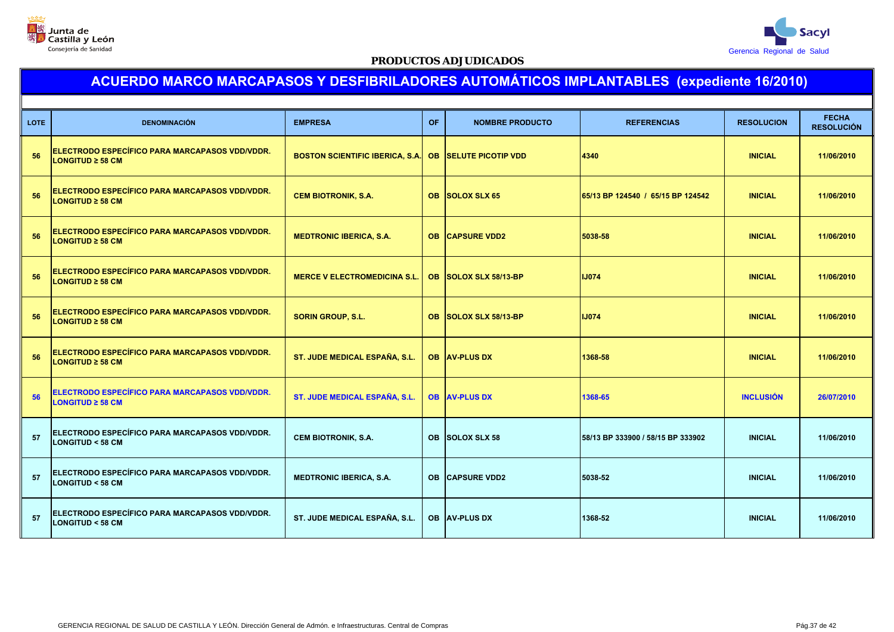



| <b>LOTE</b> | <b>DENOMINACIÓN</b>                                                          | <b>EMPRESA</b>                                        | <b>OF</b> | <b>NOMBRE PRODUCTO</b>    | <b>REFERENCIAS</b>                | <b>RESOLUCION</b> | <b>FECHA</b><br><b>RESOLUCIÓN</b> |
|-------------|------------------------------------------------------------------------------|-------------------------------------------------------|-----------|---------------------------|-----------------------------------|-------------------|-----------------------------------|
| 56          | ELECTRODO ESPECÍFICO PARA MARCAPASOS VDD/VDDR.<br>$LONGITUD \geq 58 CM$      | BOSTON SCIENTIFIC IBERICA, S.A. OB SELUTE PICOTIP VDD |           |                           | 4340                              | <b>INICIAL</b>    | 11/06/2010                        |
| 56          | ELECTRODO ESPECÍFICO PARA MARCAPASOS VDD/VDDR.<br><b>LONGITUD ≥ 58 CM</b>    | <b>CEM BIOTRONIK, S.A.</b>                            | OB.       | <b>SOLOX SLX 65</b>       | 65/13 BP 124540 / 65/15 BP 124542 | <b>INICIAL</b>    | 11/06/2010                        |
| 56          | ELECTRODO ESPECÍFICO PARA MARCAPASOS VDD/VDDR.<br>$LONGITUD \geq 58 CM$      | <b>MEDTRONIC IBERICA, S.A.</b>                        | <b>OB</b> | <b>CAPSURE VDD2</b>       | 5038-58                           | <b>INICIAL</b>    | 11/06/2010                        |
| 56          | ELECTRODO ESPECÍFICO PARA MARCAPASOS VDD/VDDR.<br>$LONGITUD \geq 58 CM$      | <b>MERCE V ELECTROMEDICINA S.L.</b>                   | <b>OB</b> | SOLOX SLX 58/13-BP        | <b>IJ074</b>                      | <b>INICIAL</b>    | 11/06/2010                        |
| 56          | ELECTRODO ESPECÍFICO PARA MARCAPASOS VDD/VDDR.<br>$LONGITUD \geq 58 CM$      | <b>SORIN GROUP, S.L.</b>                              | <b>OB</b> | <b>SOLOX SLX 58/13-BP</b> | <b>IJ074</b>                      | <b>INICIAL</b>    | 11/06/2010                        |
| 56          | ELECTRODO ESPECÍFICO PARA MARCAPASOS VDD/VDDR.<br><b>LONGITUD ≥ 58 CM</b>    | ST. JUDE MEDICAL ESPAÑA, S.L.                         |           | <b>OB AV-PLUS DX</b>      | 1368-58                           | <b>INICIAL</b>    | 11/06/2010                        |
| 56          | ELECTRODO ESPECÍFICO PARA MARCAPASOS VDD/VDDR.<br>$LONGITUD \geq 58 CM$      | ST. JUDE MEDICAL ESPAÑA, S.L.                         |           | <b>OB AV-PLUS DX</b>      | 1368-65                           | <b>INCLUSIÓN</b>  | 26/07/2010                        |
| 57          | ELECTRODO ESPECÍFICO PARA MARCAPASOS VDD/VDDR.<br><b>LONGITUD &lt; 58 CM</b> | <b>CEM BIOTRONIK, S.A.</b>                            |           | OB SOLOX SLX 58           | 58/13 BP 333900 / 58/15 BP 333902 | <b>INICIAL</b>    | 11/06/2010                        |
| 57          | ELECTRODO ESPECÍFICO PARA MARCAPASOS VDD/VDDR.<br><b>LONGITUD &lt; 58 CM</b> | <b>MEDTRONIC IBERICA, S.A.</b>                        | <b>OB</b> | <b>CAPSURE VDD2</b>       | 5038-52                           | <b>INICIAL</b>    | 11/06/2010                        |
| 57          | ELECTRODO ESPECÍFICO PARA MARCAPASOS VDD/VDDR.<br><b>LONGITUD &lt; 58 CM</b> | ST. JUDE MEDICAL ESPAÑA, S.L.                         |           | <b>OB AV-PLUS DX</b>      | 1368-52                           | <b>INICIAL</b>    | 11/06/2010                        |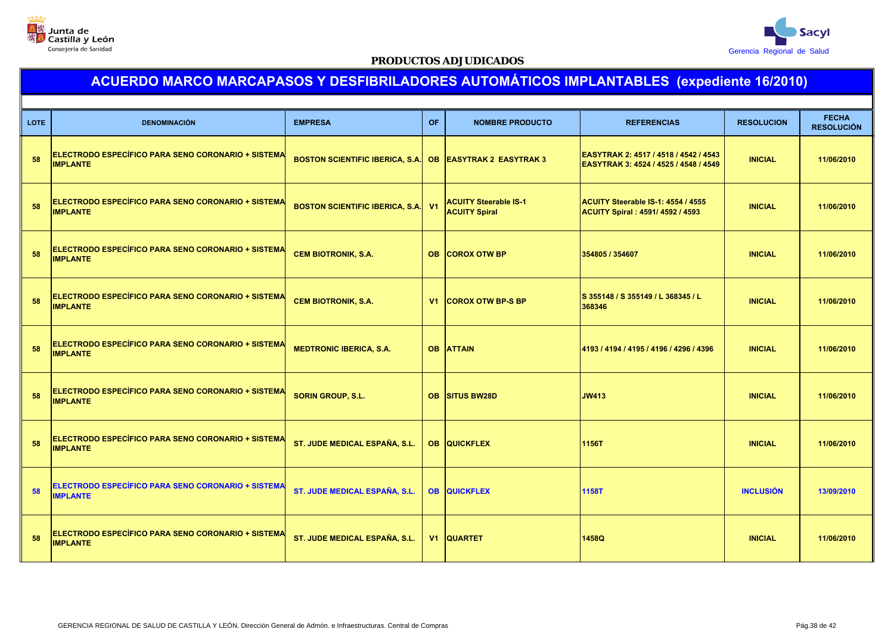



| <b>LOTE</b> | <b>DENOMINACIÓN</b>                                                   | <b>EMPRESA</b>                                           | <b>OF</b>      | <b>NOMBRE PRODUCTO</b>                               | <b>REFERENCIAS</b>                                                             | <b>RESOLUCION</b> | <b>FECHA</b><br><b>RESOLUCIÓN</b> |
|-------------|-----------------------------------------------------------------------|----------------------------------------------------------|----------------|------------------------------------------------------|--------------------------------------------------------------------------------|-------------------|-----------------------------------|
| 58          | ELECTRODO ESPECÍFICO PARA SENO CORONARIO + SISTEMA<br><b>IMPLANTE</b> | BOSTON SCIENTIFIC IBERICA, S.A. OB EASYTRAK 2 EASYTRAK 3 |                |                                                      | EASYTRAK 2: 4517 / 4518 / 4542 / 4543<br>EASYTRAK 3: 4524 / 4525 / 4548 / 4549 | <b>INICIAL</b>    | 11/06/2010                        |
| 58          | ELECTRODO ESPECÍFICO PARA SENO CORONARIO + SISTEMA<br><b>IMPLANTE</b> | <b>BOSTON SCIENTIFIC IBERICA, S.A.</b> V1                |                | <b>ACUITY Steerable IS-1</b><br><b>ACUITY Spiral</b> | ACUITY Steerable IS-1: 4554 / 4555<br>ACUITY Spiral: 4591/4592 / 4593          | <b>INICIAL</b>    | 11/06/2010                        |
| 58          | ELECTRODO ESPECÍFICO PARA SENO CORONARIO + SISTEMA<br><b>IMPLANTE</b> | <b>CEM BIOTRONIK, S.A.</b>                               | <b>OB</b>      | <b>COROX OTW BP</b>                                  | 354805 / 354607                                                                | <b>INICIAL</b>    | 11/06/2010                        |
| 58          | ELECTRODO ESPECÍFICO PARA SENO CORONARIO + SISTEMA<br><b>IMPLANTE</b> | <b>CEM BIOTRONIK, S.A.</b>                               | V <sub>1</sub> | <b>COROX OTW BP-S BP</b>                             | S 355148 / S 355149 / L 368345 / L<br>368346                                   | <b>INICIAL</b>    | 11/06/2010                        |
| 58          | ELECTRODO ESPECÍFICO PARA SENO CORONARIO + SISTEMA<br><b>IMPLANTE</b> | <b>MEDTRONIC IBERICA, S.A.</b>                           | <b>OB</b>      | <b>ATTAIN</b>                                        | 4193 / 4194 / 4195 / 4196 / 4296 / 4396                                        | <b>INICIAL</b>    | 11/06/2010                        |
| 58          | ELECTRODO ESPECÍFICO PARA SENO CORONARIO + SISTEMA<br><b>IMPLANTE</b> | <b>SORIN GROUP, S.L.</b>                                 | <b>OB</b>      | <b>SITUS BW28D</b>                                   | <b>JW413</b>                                                                   | <b>INICIAL</b>    | 11/06/2010                        |
| 58          | ELECTRODO ESPECÍFICO PARA SENO CORONARIO + SISTEMA<br><b>IMPLANTE</b> | ST. JUDE MEDICAL ESPAÑA, S.L.                            |                | <b>OB QUICKFLEX</b>                                  | 1156T                                                                          | <b>INICIAL</b>    | 11/06/2010                        |
| 58          | ELECTRODO ESPECÍFICO PARA SENO CORONARIO + SISTEMA<br><b>IMPLANTE</b> | <b>ST. JUDE MEDICAL ESPAÑA, S.L.</b>                     |                | <b>OB QUICKFLEX</b>                                  | <b>1158T</b>                                                                   | <b>INCLUSIÓN</b>  | 13/09/2010                        |
| 58          | ELECTRODO ESPECÍFICO PARA SENO CORONARIO + SISTEMA<br><b>IMPLANTE</b> | ST. JUDE MEDICAL ESPAÑA, S.L.                            |                | <b>V1 QUARTET</b>                                    | 1458Q                                                                          | <b>INICIAL</b>    | 11/06/2010                        |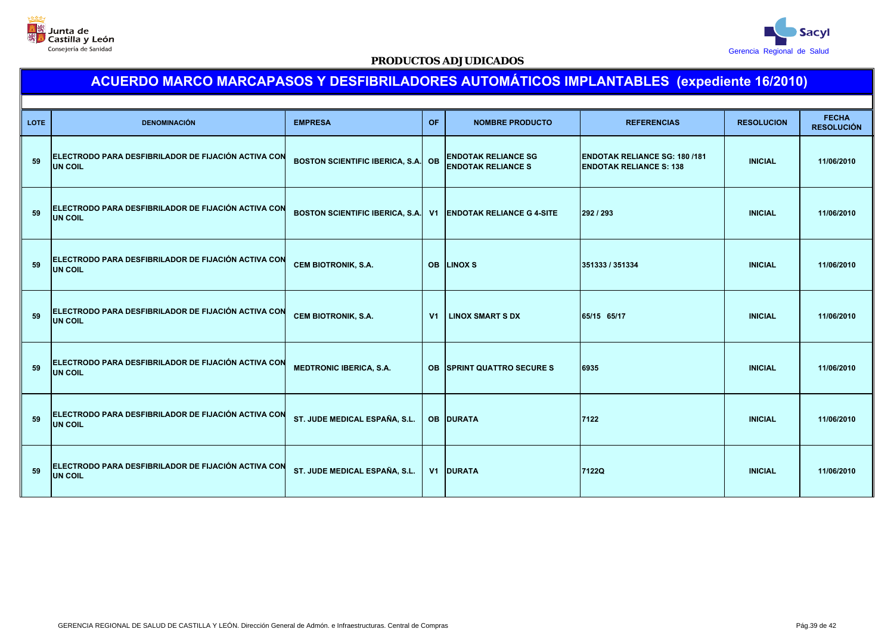



| LOTE: | <b>DENOMINACIÓN</b>                                                   | <b>EMPRESA</b>                            | OF.            | <b>NOMBRE PRODUCTO</b>                                  | <b>REFERENCIAS</b>                                                     | <b>RESOLUCION</b> | <b>FECHA</b><br><b>RESOLUCIÓN</b> |
|-------|-----------------------------------------------------------------------|-------------------------------------------|----------------|---------------------------------------------------------|------------------------------------------------------------------------|-------------------|-----------------------------------|
| 59    | ELECTRODO PARA DESFIBRILADOR DE FIJACIÓN ACTIVA CON<br><b>UN COIL</b> | <b>BOSTON SCIENTIFIC IBERICA, S.A. OB</b> |                | <b>ENDOTAK RELIANCE SG</b><br><b>ENDOTAK RELIANCE S</b> | <b>ENDOTAK RELIANCE SG: 180 /181</b><br><b>ENDOTAK RELIANCE S: 138</b> | <b>INICIAL</b>    | 11/06/2010                        |
| 59    | ELECTRODO PARA DESFIBRILADOR DE FIJACIÓN ACTIVA CON<br><b>UN COIL</b> | <b>BOSTON SCIENTIFIC IBERICA, S.A.</b>    |                | <b>V1 ENDOTAK RELIANCE G 4-SITE</b>                     | 292 / 293                                                              | <b>INICIAL</b>    | 11/06/2010                        |
| 59    | ELECTRODO PARA DESFIBRILADOR DE FIJACIÓN ACTIVA CON<br><b>UN COIL</b> | <b>CEM BIOTRONIK, S.A.</b>                |                | <b>OB LINOX S</b>                                       | 351333 / 351334                                                        | <b>INICIAL</b>    | 11/06/2010                        |
| 59    | ELECTRODO PARA DESFIBRILADOR DE FIJACIÓN ACTIVA CON<br><b>UN COIL</b> | <b>CEM BIOTRONIK, S.A.</b>                | V <sub>1</sub> | <b>LINOX SMART S DX</b>                                 | 65/15 65/17                                                            | <b>INICIAL</b>    | 11/06/2010                        |
| 59    | ELECTRODO PARA DESFIBRILADOR DE FIJACIÓN ACTIVA CON<br><b>UN COIL</b> | <b>MEDTRONIC IBERICA, S.A.</b>            |                | <b>OB SPRINT QUATTRO SECURE S</b>                       | 6935                                                                   | <b>INICIAL</b>    | 11/06/2010                        |
| 59    | ELECTRODO PARA DESFIBRILADOR DE FIJACIÓN ACTIVA CON<br><b>UN COIL</b> | ST. JUDE MEDICAL ESPAÑA, S.L.             |                | OB DURATA                                               | 7122                                                                   | <b>INICIAL</b>    | 11/06/2010                        |
| 59    | ELECTRODO PARA DESFIBRILADOR DE FIJACIÓN ACTIVA CON<br><b>UN COIL</b> | ST. JUDE MEDICAL ESPAÑA, S.L.             |                | <b>V1 DURATA</b>                                        | 7122Q                                                                  | <b>INICIAL</b>    | 11/06/2010                        |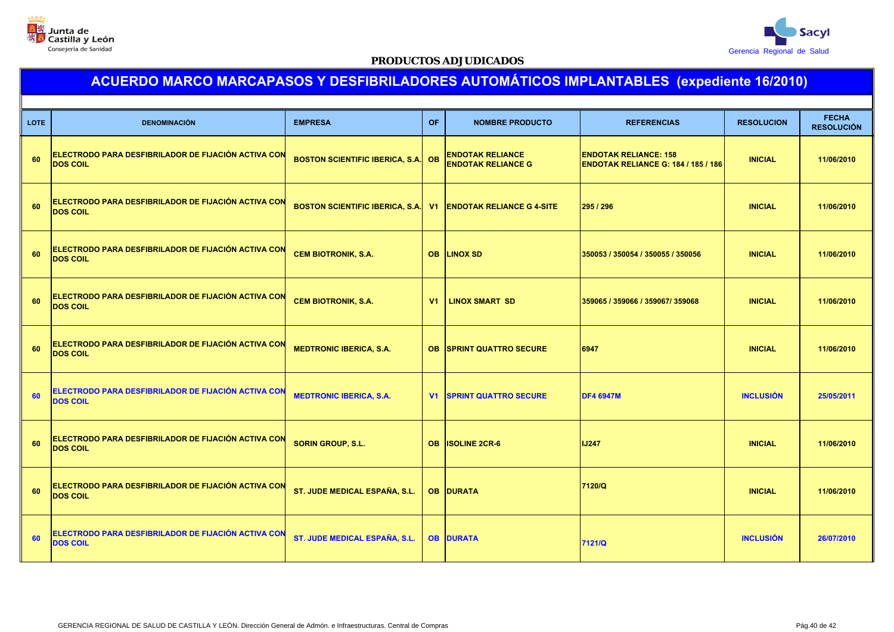



| <b>LOTE</b> | <b>DENOMINACIÓN</b>                                                    | <b>EMPRESA</b>                         | <b>OF</b>      | <b>NOMBRE PRODUCTO</b>                               | <b>REFERENCIAS</b>                                                         | <b>RESOLUCION</b> | <b>FECHA</b><br><b>RESOLUCIÓN</b> |
|-------------|------------------------------------------------------------------------|----------------------------------------|----------------|------------------------------------------------------|----------------------------------------------------------------------------|-------------------|-----------------------------------|
| 60          | ELECTRODO PARA DESFIBRILADOR DE FIJACIÓN ACTIVA CON<br><b>DOS COIL</b> | <b>BOSTON SCIENTIFIC IBERICA, S.A.</b> | <b>OB</b>      | <b>ENDOTAK RELIANCE</b><br><b>ENDOTAK RELIANCE G</b> | <b>ENDOTAK RELIANCE: 158</b><br><b>ENDOTAK RELIANCE G: 184 / 185 / 186</b> | <b>INICIAL</b>    | 11/06/2010                        |
| 60          | ELECTRODO PARA DESFIBRILADOR DE FIJACIÓN ACTIVA CON<br><b>DOS COIL</b> | <b>BOSTON SCIENTIFIC IBERICA, S.A.</b> | V1             | <b>ENDOTAK RELIANCE G 4-SITE</b>                     | 295 / 296                                                                  | <b>INICIAL</b>    | 11/06/2010                        |
| 60          | ELECTRODO PARA DESFIBRILADOR DE FIJACIÓN ACTIVA CON<br><b>DOS COIL</b> | <b>CEM BIOTRONIK, S.A.</b>             | <b>OB</b>      | <b>LINOX SD</b>                                      | 350053 / 350054 / 350055 / 350056                                          | <b>INICIAL</b>    | 11/06/2010                        |
| 60          | ELECTRODO PARA DESFIBRILADOR DE FIJACIÓN ACTIVA CON<br><b>DOS COIL</b> | <b>CEM BIOTRONIK, S.A.</b>             | V <sub>1</sub> | <b>LINOX SMART SD</b>                                | 359065 / 359066 / 359067/ 359068                                           | <b>INICIAL</b>    | 11/06/2010                        |
| 60          | ELECTRODO PARA DESFIBRILADOR DE FIJACIÓN ACTIVA CON<br><b>DOS COIL</b> | <b>MEDTRONIC IBERICA, S.A.</b>         | <b>OB</b>      | <b>SPRINT QUATTRO SECURE</b>                         | 6947                                                                       | <b>INICIAL</b>    | 11/06/2010                        |
| 60          | ELECTRODO PARA DESFIBRILADOR DE FIJACIÓN ACTIVA CON<br><b>DOS COIL</b> | <b>MEDTRONIC IBERICA, S.A.</b>         | V1             | <b>SPRINT QUATTRO SECURE</b>                         | <b>DF4 6947M</b>                                                           | <b>INCLUSIÓN</b>  | 25/05/2011                        |
| 60          | ELECTRODO PARA DESFIBRILADOR DE FIJACIÓN ACTIVA CON<br><b>DOS COIL</b> | <b>SORIN GROUP, S.L.</b>               | <b>OB</b>      | <b>ISOLINE 2CR-6</b>                                 | <b>IJ247</b>                                                               | <b>INICIAL</b>    | 11/06/2010                        |
| 60          | ELECTRODO PARA DESFIBRILADOR DE FIJACIÓN ACTIVA CON<br><b>DOS COIL</b> | ST. JUDE MEDICAL ESPAÑA, S.L.          |                | <b>OB DURATA</b>                                     | 7120/Q                                                                     | <b>INICIAL</b>    | 11/06/2010                        |
| 60          | ELECTRODO PARA DESFIBRILADOR DE FIJACIÓN ACTIVA CON<br><b>DOS COIL</b> | <b>ST. JUDE MEDICAL ESPAÑA, S.L.</b>   |                | <b>OB DURATA</b>                                     | 7121/Q                                                                     | <b>INCLUSIÓN</b>  | 26/07/2010                        |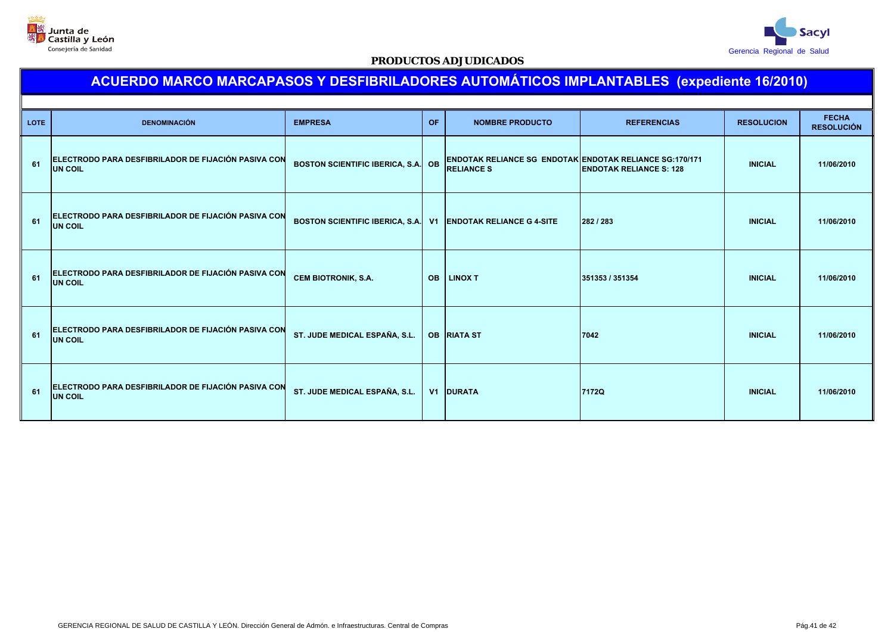



| <b>LOTE</b> | <b>DENOMINACIÓN</b>                                                   | <b>EMPRESA</b>                                               | <b>OF</b> | <b>NOMBRE PRODUCTO</b>                                                              | <b>REFERENCIAS</b>             | <b>RESOLUCION</b> | <b>FECHA</b><br><b>RESOLUCIÓN</b> |
|-------------|-----------------------------------------------------------------------|--------------------------------------------------------------|-----------|-------------------------------------------------------------------------------------|--------------------------------|-------------------|-----------------------------------|
| 61          | ELECTRODO PARA DESFIBRILADOR DE FIJACIÓN PASIVA CON<br><b>UN COIL</b> | BOSTON SCIENTIFIC IBERICA, S.A. OB                           |           | <b>ENDOTAK RELIANCE SG ENDOTAK ENDOTAK RELIANCE SG:170/171</b><br><b>RELIANCE S</b> | <b>ENDOTAK RELIANCE S: 128</b> | <b>INICIAL</b>    | 11/06/2010                        |
| 61          | ELECTRODO PARA DESFIBRILADOR DE FIJACIÓN PASIVA CON<br>UN COIL        | BOSTON SCIENTIFIC IBERICA, S.A. V1 ENDOTAK RELIANCE G 4-SITE |           |                                                                                     | 282/283                        | <b>INICIAL</b>    | 11/06/2010                        |
| 61          | ELECTRODO PARA DESFIBRILADOR DE FIJACIÓN PASIVA CON<br><b>UN COIL</b> | <b>CEM BIOTRONIK, S.A.</b>                                   | <b>OB</b> | <b>LINOX T</b>                                                                      | 351353 / 351354                | <b>INICIAL</b>    | 11/06/2010                        |
| 61          | ELECTRODO PARA DESFIBRILADOR DE FIJACIÓN PASIVA CON<br><b>UN COIL</b> | ST. JUDE MEDICAL ESPAÑA, S.L.                                |           | <b>OB RIATA ST</b>                                                                  | 7042                           | <b>INICIAL</b>    | 11/06/2010                        |
| 61          | ELECTRODO PARA DESFIBRILADOR DE FIJACIÓN PASIVA CON<br><b>UN COIL</b> | ST. JUDE MEDICAL ESPAÑA, S.L.                                |           | <b>V1 DURATA</b>                                                                    | 7172Q                          | <b>INICIAL</b>    | 11/06/2010                        |